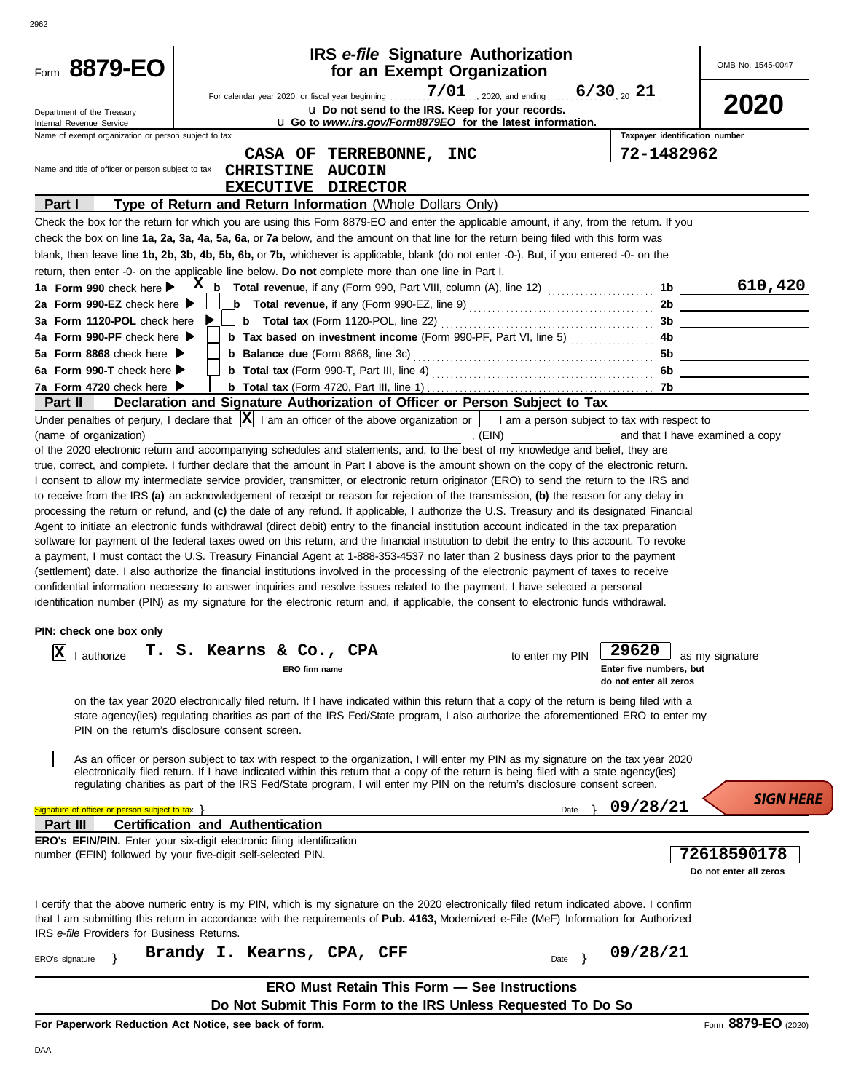| 2962                                                                             |                                                                                                                                                                                                                                                                                                                                                                                                                                                                                                                                                                                                                                                                                                                                                                                                                                                                                                                                                                                                                                                                                                                                                                                                                                                                                                                                                                                                                                                                                                                                                                                                                                                                                                                                                                                                                                                                                                                                                                                                                                                                                                                                                                                                                                       |                                                                         |                                                            |                                                            |                                       |
|----------------------------------------------------------------------------------|---------------------------------------------------------------------------------------------------------------------------------------------------------------------------------------------------------------------------------------------------------------------------------------------------------------------------------------------------------------------------------------------------------------------------------------------------------------------------------------------------------------------------------------------------------------------------------------------------------------------------------------------------------------------------------------------------------------------------------------------------------------------------------------------------------------------------------------------------------------------------------------------------------------------------------------------------------------------------------------------------------------------------------------------------------------------------------------------------------------------------------------------------------------------------------------------------------------------------------------------------------------------------------------------------------------------------------------------------------------------------------------------------------------------------------------------------------------------------------------------------------------------------------------------------------------------------------------------------------------------------------------------------------------------------------------------------------------------------------------------------------------------------------------------------------------------------------------------------------------------------------------------------------------------------------------------------------------------------------------------------------------------------------------------------------------------------------------------------------------------------------------------------------------------------------------------------------------------------------------|-------------------------------------------------------------------------|------------------------------------------------------------|------------------------------------------------------------|---------------------------------------|
| Form 8879-EO                                                                     |                                                                                                                                                                                                                                                                                                                                                                                                                                                                                                                                                                                                                                                                                                                                                                                                                                                                                                                                                                                                                                                                                                                                                                                                                                                                                                                                                                                                                                                                                                                                                                                                                                                                                                                                                                                                                                                                                                                                                                                                                                                                                                                                                                                                                                       | <b>IRS</b> e-file Signature Authorization<br>for an Exempt Organization |                                                            |                                                            | OMB No. 1545-0047                     |
| Department of the Treasury                                                       |                                                                                                                                                                                                                                                                                                                                                                                                                                                                                                                                                                                                                                                                                                                                                                                                                                                                                                                                                                                                                                                                                                                                                                                                                                                                                                                                                                                                                                                                                                                                                                                                                                                                                                                                                                                                                                                                                                                                                                                                                                                                                                                                                                                                                                       | u Do not send to the IRS. Keep for your records.                        |                                                            | $6/30_{20}$ 21                                             | 2020                                  |
| Internal Revenue Service<br>Name of exempt organization or person subject to tax |                                                                                                                                                                                                                                                                                                                                                                                                                                                                                                                                                                                                                                                                                                                                                                                                                                                                                                                                                                                                                                                                                                                                                                                                                                                                                                                                                                                                                                                                                                                                                                                                                                                                                                                                                                                                                                                                                                                                                                                                                                                                                                                                                                                                                                       |                                                                         | u Go to www.irs.gov/Form8879EO for the latest information. | Taxpayer identification number                             |                                       |
|                                                                                  | CASA OF                                                                                                                                                                                                                                                                                                                                                                                                                                                                                                                                                                                                                                                                                                                                                                                                                                                                                                                                                                                                                                                                                                                                                                                                                                                                                                                                                                                                                                                                                                                                                                                                                                                                                                                                                                                                                                                                                                                                                                                                                                                                                                                                                                                                                               | <b>TERREBONNE,</b><br><b>INC</b>                                        |                                                            | 72-1482962                                                 |                                       |
| Name and title of officer or person subject to tax                               | <b>AUCOIN</b><br><b>CHRISTINE</b>                                                                                                                                                                                                                                                                                                                                                                                                                                                                                                                                                                                                                                                                                                                                                                                                                                                                                                                                                                                                                                                                                                                                                                                                                                                                                                                                                                                                                                                                                                                                                                                                                                                                                                                                                                                                                                                                                                                                                                                                                                                                                                                                                                                                     |                                                                         |                                                            |                                                            |                                       |
|                                                                                  | <b>DIRECTOR</b><br><b>EXECUTIVE</b>                                                                                                                                                                                                                                                                                                                                                                                                                                                                                                                                                                                                                                                                                                                                                                                                                                                                                                                                                                                                                                                                                                                                                                                                                                                                                                                                                                                                                                                                                                                                                                                                                                                                                                                                                                                                                                                                                                                                                                                                                                                                                                                                                                                                   |                                                                         |                                                            |                                                            |                                       |
| Part I                                                                           | Type of Return and Return Information (Whole Dollars Only)                                                                                                                                                                                                                                                                                                                                                                                                                                                                                                                                                                                                                                                                                                                                                                                                                                                                                                                                                                                                                                                                                                                                                                                                                                                                                                                                                                                                                                                                                                                                                                                                                                                                                                                                                                                                                                                                                                                                                                                                                                                                                                                                                                            |                                                                         |                                                            |                                                            |                                       |
|                                                                                  | Check the box for the return for which you are using this Form 8879-EO and enter the applicable amount, if any, from the return. If you                                                                                                                                                                                                                                                                                                                                                                                                                                                                                                                                                                                                                                                                                                                                                                                                                                                                                                                                                                                                                                                                                                                                                                                                                                                                                                                                                                                                                                                                                                                                                                                                                                                                                                                                                                                                                                                                                                                                                                                                                                                                                               |                                                                         |                                                            |                                                            |                                       |
|                                                                                  | check the box on line 1a, 2a, 3a, 4a, 5a, 6a, or 7a below, and the amount on that line for the return being filed with this form was<br>blank, then leave line 1b, 2b, 3b, 4b, 5b, 6b, or 7b, whichever is applicable, blank (do not enter -0-). But, if you entered -0- on the                                                                                                                                                                                                                                                                                                                                                                                                                                                                                                                                                                                                                                                                                                                                                                                                                                                                                                                                                                                                                                                                                                                                                                                                                                                                                                                                                                                                                                                                                                                                                                                                                                                                                                                                                                                                                                                                                                                                                       |                                                                         |                                                            |                                                            |                                       |
|                                                                                  | return, then enter -0- on the applicable line below. Do not complete more than one line in Part I.                                                                                                                                                                                                                                                                                                                                                                                                                                                                                                                                                                                                                                                                                                                                                                                                                                                                                                                                                                                                                                                                                                                                                                                                                                                                                                                                                                                                                                                                                                                                                                                                                                                                                                                                                                                                                                                                                                                                                                                                                                                                                                                                    |                                                                         |                                                            |                                                            |                                       |
| 1a Form 990 check here $\blacktriangleright$                                     | $ {\bf X} $                                                                                                                                                                                                                                                                                                                                                                                                                                                                                                                                                                                                                                                                                                                                                                                                                                                                                                                                                                                                                                                                                                                                                                                                                                                                                                                                                                                                                                                                                                                                                                                                                                                                                                                                                                                                                                                                                                                                                                                                                                                                                                                                                                                                                           |                                                                         |                                                            |                                                            |                                       |
| 2a Form 990-EZ check here $\blacktriangleright$                                  | <b>b</b> Total revenue, if any (Form 990-EZ, line 9) $\ldots$ $\ldots$ $\ldots$ $\ldots$ $\ldots$ $\ldots$                                                                                                                                                                                                                                                                                                                                                                                                                                                                                                                                                                                                                                                                                                                                                                                                                                                                                                                                                                                                                                                                                                                                                                                                                                                                                                                                                                                                                                                                                                                                                                                                                                                                                                                                                                                                                                                                                                                                                                                                                                                                                                                            |                                                                         |                                                            |                                                            | 2b                                    |
| 3a Form 1120-POL check here                                                      |                                                                                                                                                                                                                                                                                                                                                                                                                                                                                                                                                                                                                                                                                                                                                                                                                                                                                                                                                                                                                                                                                                                                                                                                                                                                                                                                                                                                                                                                                                                                                                                                                                                                                                                                                                                                                                                                                                                                                                                                                                                                                                                                                                                                                                       |                                                                         |                                                            |                                                            |                                       |
| 4a Form 990-PF check here $\blacktriangleright$                                  | <b>b</b> Tax based on investment income (Form 990-PF, Part VI, line 5)                                                                                                                                                                                                                                                                                                                                                                                                                                                                                                                                                                                                                                                                                                                                                                                                                                                                                                                                                                                                                                                                                                                                                                                                                                                                                                                                                                                                                                                                                                                                                                                                                                                                                                                                                                                                                                                                                                                                                                                                                                                                                                                                                                |                                                                         |                                                            |                                                            | 4b                                    |
| 5a Form 8868 check here $\blacktriangleright$                                    |                                                                                                                                                                                                                                                                                                                                                                                                                                                                                                                                                                                                                                                                                                                                                                                                                                                                                                                                                                                                                                                                                                                                                                                                                                                                                                                                                                                                                                                                                                                                                                                                                                                                                                                                                                                                                                                                                                                                                                                                                                                                                                                                                                                                                                       |                                                                         |                                                            |                                                            |                                       |
| 6a Form 990-T check here $\blacktriangleright$                                   |                                                                                                                                                                                                                                                                                                                                                                                                                                                                                                                                                                                                                                                                                                                                                                                                                                                                                                                                                                                                                                                                                                                                                                                                                                                                                                                                                                                                                                                                                                                                                                                                                                                                                                                                                                                                                                                                                                                                                                                                                                                                                                                                                                                                                                       |                                                                         |                                                            |                                                            | 6b ____________________               |
| 7a Form 4720 check here $\blacktriangleright$                                    |                                                                                                                                                                                                                                                                                                                                                                                                                                                                                                                                                                                                                                                                                                                                                                                                                                                                                                                                                                                                                                                                                                                                                                                                                                                                                                                                                                                                                                                                                                                                                                                                                                                                                                                                                                                                                                                                                                                                                                                                                                                                                                                                                                                                                                       |                                                                         |                                                            |                                                            |                                       |
| Part II                                                                          | Declaration and Signature Authorization of Officer or Person Subject to Tax<br>Under penalties of perjury, I declare that $ \mathbf{X} $ I am an officer of the above organization or $\ \cdot\ $ I am a person subject to tax with respect to                                                                                                                                                                                                                                                                                                                                                                                                                                                                                                                                                                                                                                                                                                                                                                                                                                                                                                                                                                                                                                                                                                                                                                                                                                                                                                                                                                                                                                                                                                                                                                                                                                                                                                                                                                                                                                                                                                                                                                                        |                                                                         |                                                            |                                                            |                                       |
| PIN: check one box only<br> X<br>I authorize                                     | true, correct, and complete. I further declare that the amount in Part I above is the amount shown on the copy of the electronic return.<br>I consent to allow my intermediate service provider, transmitter, or electronic return originator (ERO) to send the return to the IRS and<br>to receive from the IRS (a) an acknowledgement of receipt or reason for rejection of the transmission, (b) the reason for any delay in<br>processing the return or refund, and (c) the date of any refund. If applicable, I authorize the U.S. Treasury and its designated Financial<br>Agent to initiate an electronic funds withdrawal (direct debit) entry to the financial institution account indicated in the tax preparation<br>software for payment of the federal taxes owed on this return, and the financial institution to debit the entry to this account. To revoke<br>a payment, I must contact the U.S. Treasury Financial Agent at 1-888-353-4537 no later than 2 business days prior to the payment<br>(settlement) date. I also authorize the financial institutions involved in the processing of the electronic payment of taxes to receive<br>confidential information necessary to answer inquiries and resolve issues related to the payment. I have selected a personal<br>identification number (PIN) as my signature for the electronic return and, if applicable, the consent to electronic funds withdrawal.<br>T. S. Kearns & Co.,<br><b>CPA</b><br>ERO firm name<br>on the tax year 2020 electronically filed return. If I have indicated within this return that a copy of the return is being filed with a<br>state agency(ies) regulating charities as part of the IRS Fed/State program, I also authorize the aforementioned ERO to enter my<br>PIN on the return's disclosure consent screen.<br>As an officer or person subject to tax with respect to the organization, I will enter my PIN as my signature on the tax year 2020<br>electronically filed return. If I have indicated within this return that a copy of the return is being filed with a state agency(ies)<br>regulating charities as part of the IRS Fed/State program, I will enter my PIN on the return's disclosure consent screen. |                                                                         | to enter my PIN                                            | 29620<br>Enter five numbers, but<br>do not enter all zeros | as my signature<br><b>SIGN HERE</b>   |
| Signature of officer or person subject to tax >                                  |                                                                                                                                                                                                                                                                                                                                                                                                                                                                                                                                                                                                                                                                                                                                                                                                                                                                                                                                                                                                                                                                                                                                                                                                                                                                                                                                                                                                                                                                                                                                                                                                                                                                                                                                                                                                                                                                                                                                                                                                                                                                                                                                                                                                                                       |                                                                         | Date                                                       | 09/28/21                                                   |                                       |
| Part III                                                                         | <b>Certification and Authentication</b>                                                                                                                                                                                                                                                                                                                                                                                                                                                                                                                                                                                                                                                                                                                                                                                                                                                                                                                                                                                                                                                                                                                                                                                                                                                                                                                                                                                                                                                                                                                                                                                                                                                                                                                                                                                                                                                                                                                                                                                                                                                                                                                                                                                               |                                                                         |                                                            |                                                            |                                       |
|                                                                                  | ERO's EFIN/PIN. Enter your six-digit electronic filing identification<br>number (EFIN) followed by your five-digit self-selected PIN.                                                                                                                                                                                                                                                                                                                                                                                                                                                                                                                                                                                                                                                                                                                                                                                                                                                                                                                                                                                                                                                                                                                                                                                                                                                                                                                                                                                                                                                                                                                                                                                                                                                                                                                                                                                                                                                                                                                                                                                                                                                                                                 |                                                                         |                                                            |                                                            | 72618590178<br>Do not enter all zeros |
| IRS e-file Providers for Business Returns.                                       | I certify that the above numeric entry is my PIN, which is my signature on the 2020 electronically filed return indicated above. I confirm<br>that I am submitting this return in accordance with the requirements of Pub. 4163, Modernized e-File (MeF) Information for Authorized                                                                                                                                                                                                                                                                                                                                                                                                                                                                                                                                                                                                                                                                                                                                                                                                                                                                                                                                                                                                                                                                                                                                                                                                                                                                                                                                                                                                                                                                                                                                                                                                                                                                                                                                                                                                                                                                                                                                                   |                                                                         |                                                            |                                                            |                                       |
| ERO's signature                                                                  | Brandy I. Kearns, CPA, CFF                                                                                                                                                                                                                                                                                                                                                                                                                                                                                                                                                                                                                                                                                                                                                                                                                                                                                                                                                                                                                                                                                                                                                                                                                                                                                                                                                                                                                                                                                                                                                                                                                                                                                                                                                                                                                                                                                                                                                                                                                                                                                                                                                                                                            |                                                                         | Date $\}$                                                  | 09/28/21                                                   |                                       |
|                                                                                  | <b>ERO Must Retain This Form - See Instructions</b>                                                                                                                                                                                                                                                                                                                                                                                                                                                                                                                                                                                                                                                                                                                                                                                                                                                                                                                                                                                                                                                                                                                                                                                                                                                                                                                                                                                                                                                                                                                                                                                                                                                                                                                                                                                                                                                                                                                                                                                                                                                                                                                                                                                   |                                                                         |                                                            |                                                            |                                       |
|                                                                                  | Do Not Submit This Form to the IRS Unless Requested To Do So                                                                                                                                                                                                                                                                                                                                                                                                                                                                                                                                                                                                                                                                                                                                                                                                                                                                                                                                                                                                                                                                                                                                                                                                                                                                                                                                                                                                                                                                                                                                                                                                                                                                                                                                                                                                                                                                                                                                                                                                                                                                                                                                                                          |                                                                         |                                                            |                                                            |                                       |
|                                                                                  | For Paperwork Reduction Act Notice, see back of form.                                                                                                                                                                                                                                                                                                                                                                                                                                                                                                                                                                                                                                                                                                                                                                                                                                                                                                                                                                                                                                                                                                                                                                                                                                                                                                                                                                                                                                                                                                                                                                                                                                                                                                                                                                                                                                                                                                                                                                                                                                                                                                                                                                                 |                                                                         |                                                            |                                                            | Form 8879-EO (2020)                   |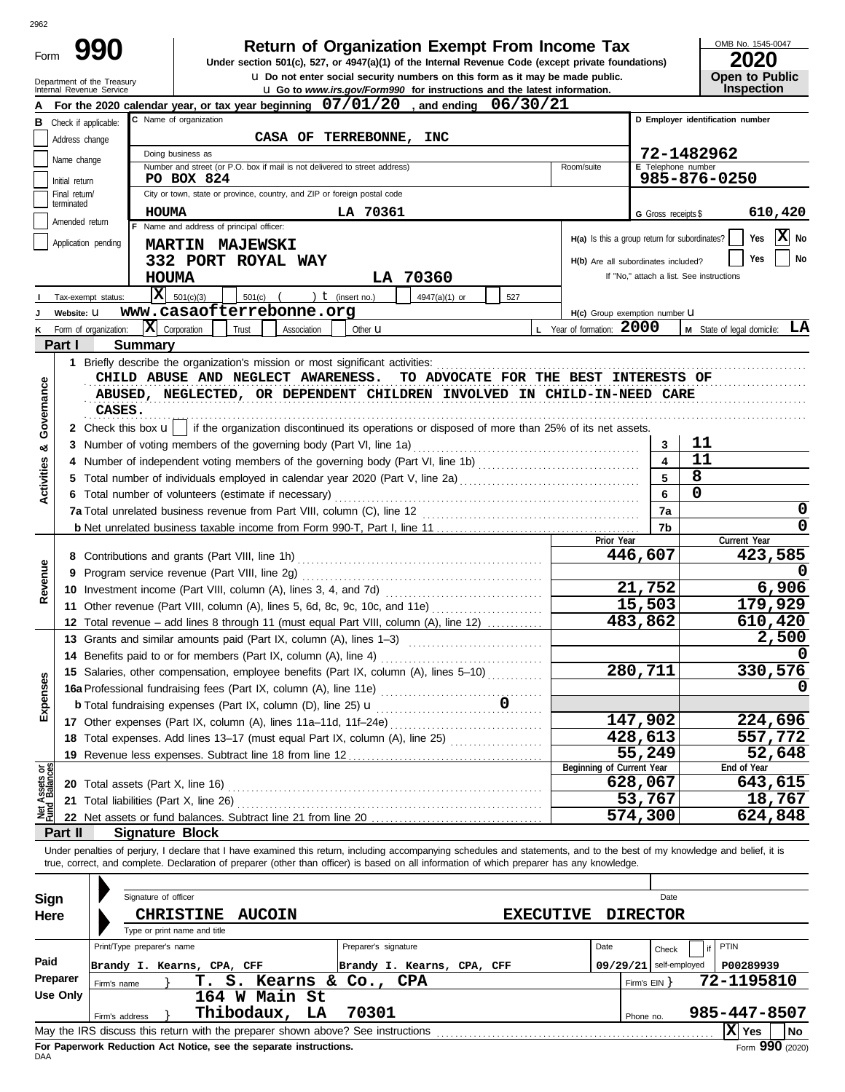| Form                           |                                                 | 990                        |                              |                              |                                                                             |             |                      |                                                                  | <b>Return of Organization Exempt From Income Tax</b><br>Under section 501(c), 527, or 4947(a)(1) of the Internal Revenue Code (except private foundations)                                                                                                                                                               |                                                            |                                          |                     | OMB No. 1545-0047                |
|--------------------------------|-------------------------------------------------|----------------------------|------------------------------|------------------------------|-----------------------------------------------------------------------------|-------------|----------------------|------------------------------------------------------------------|--------------------------------------------------------------------------------------------------------------------------------------------------------------------------------------------------------------------------------------------------------------------------------------------------------------------------|------------------------------------------------------------|------------------------------------------|---------------------|----------------------------------|
|                                |                                                 | Department of the Treasury |                              |                              |                                                                             |             |                      |                                                                  | <b>u</b> Do not enter social security numbers on this form as it may be made public.                                                                                                                                                                                                                                     |                                                            |                                          |                     | <b>Open to Public</b>            |
|                                |                                                 | Internal Revenue Service   |                              |                              |                                                                             |             |                      |                                                                  | <b>u</b> Go to www.irs.gov/Form990 for instructions and the latest information.                                                                                                                                                                                                                                          |                                                            |                                          |                     | Inspection                       |
|                                |                                                 |                            |                              |                              |                                                                             |             |                      |                                                                  | For the 2020 calendar year, or tax year beginning $07/01/20$ , and ending $06/30/21$                                                                                                                                                                                                                                     |                                                            |                                          |                     |                                  |
|                                | <b>B</b> Check if applicable:<br>Address change |                            |                              | C Name of organization       | CASA OF                                                                     |             | <b>TERREBONNE,</b>   | <b>INC</b>                                                       |                                                                                                                                                                                                                                                                                                                          |                                                            |                                          |                     | D Employer identification number |
|                                |                                                 |                            |                              | Doing business as            |                                                                             |             |                      |                                                                  |                                                                                                                                                                                                                                                                                                                          |                                                            |                                          | 72-1482962          |                                  |
|                                | Name change                                     |                            |                              |                              | Number and street (or P.O. box if mail is not delivered to street address)  |             |                      |                                                                  |                                                                                                                                                                                                                                                                                                                          | Room/suite                                                 |                                          | E Telephone number  |                                  |
|                                | Initial return                                  |                            |                              | PO BOX 824                   |                                                                             |             |                      |                                                                  |                                                                                                                                                                                                                                                                                                                          |                                                            |                                          |                     | 985-876-0250                     |
|                                | Final return/<br>terminated                     |                            |                              |                              | City or town, state or province, country, and ZIP or foreign postal code    |             |                      |                                                                  |                                                                                                                                                                                                                                                                                                                          |                                                            |                                          |                     |                                  |
|                                | Amended return                                  |                            | HOUMA                        |                              |                                                                             |             | LA 70361             |                                                                  |                                                                                                                                                                                                                                                                                                                          |                                                            |                                          | G Gross receipts \$ | 610,420                          |
|                                |                                                 |                            |                              |                              | Name and address of principal officer:                                      |             |                      |                                                                  |                                                                                                                                                                                                                                                                                                                          | $H(a)$ Is this a group return for subordinates?            |                                          |                     | X No<br>Yes                      |
|                                | Application pending                             |                            |                              |                              | <b>MARTIN MAJEWSKI</b>                                                      |             |                      |                                                                  |                                                                                                                                                                                                                                                                                                                          |                                                            |                                          |                     | No<br>Yes                        |
|                                |                                                 |                            |                              |                              | 332 PORT ROYAL WAY                                                          |             |                      |                                                                  |                                                                                                                                                                                                                                                                                                                          | H(b) Are all subordinates included?                        | If "No," attach a list. See instructions |                     |                                  |
|                                |                                                 |                            | <b>HOUMA</b><br>$\mathbf{x}$ |                              |                                                                             |             |                      | LA 70360                                                         |                                                                                                                                                                                                                                                                                                                          |                                                            |                                          |                     |                                  |
|                                |                                                 | Tax-exempt status:         |                              | 501(c)(3)                    | 501(c)<br>www.casaofterrebonne.org                                          |             | ) $t$ (insert no.)   | 4947(a)(1) or                                                    | 527                                                                                                                                                                                                                                                                                                                      |                                                            |                                          |                     |                                  |
|                                | Website: U                                      | Form of organization:      | $ \mathbf{X} $ Corporation   |                              | Trust                                                                       | Association | Other <b>u</b>       |                                                                  |                                                                                                                                                                                                                                                                                                                          | H(c) Group exemption number U<br>L Year of formation: 2000 |                                          |                     | M State of legal domicile: LA    |
| ĸ                              | Part I                                          |                            | Summary                      |                              |                                                                             |             |                      |                                                                  |                                                                                                                                                                                                                                                                                                                          |                                                            |                                          |                     |                                  |
|                                |                                                 |                            |                              |                              |                                                                             |             |                      |                                                                  |                                                                                                                                                                                                                                                                                                                          |                                                            |                                          |                     |                                  |
| Governance                     |                                                 | CASES.                     |                              |                              | CHILD ABUSE AND NEGLECT AWARENESS.                                          |             |                      |                                                                  | TO ADVOCATE FOR THE BEST INTERESTS OF<br>ABUSED, NEGLECTED, OR DEPENDENT CHILDREN INVOLVED IN CHILD-IN-NEED CARE<br>2 Check this box u    if the organization discontinued its operations or disposed of more than 25% of its net assets.                                                                                |                                                            |                                          |                     |                                  |
| ಯ                              |                                                 |                            |                              |                              |                                                                             |             |                      |                                                                  |                                                                                                                                                                                                                                                                                                                          |                                                            | 3                                        | 11                  |                                  |
|                                |                                                 |                            |                              |                              |                                                                             |             |                      |                                                                  | 4 Number of independent voting members of the governing body (Part VI, line 1b) [11] [11] Number of independent voting members of the governing body (Part VI, line 1b)                                                                                                                                                  |                                                            | $\overline{\mathbf{4}}$                  | 11                  |                                  |
| <b>Activities</b>              |                                                 |                            |                              |                              |                                                                             |             |                      |                                                                  | 5 Total number of individuals employed in calendar year 2020 (Part V, line 2a) [[[[[[[[[[[[[[[[[[[[[[[[[[[[[[[                                                                                                                                                                                                           |                                                            | 5                                        | 8                   |                                  |
|                                |                                                 |                            |                              |                              | 6 Total number of volunteers (estimate if necessary)                        |             |                      |                                                                  |                                                                                                                                                                                                                                                                                                                          |                                                            | 6                                        | 0                   |                                  |
|                                |                                                 |                            |                              |                              |                                                                             |             |                      |                                                                  |                                                                                                                                                                                                                                                                                                                          |                                                            | 7a                                       |                     | 0                                |
|                                |                                                 |                            |                              |                              |                                                                             |             |                      |                                                                  |                                                                                                                                                                                                                                                                                                                          |                                                            | 7b                                       |                     | 0                                |
|                                |                                                 |                            |                              |                              |                                                                             |             |                      |                                                                  |                                                                                                                                                                                                                                                                                                                          | Prior Year                                                 | 446,607                                  |                     | Current Year<br>423,585          |
|                                |                                                 |                            |                              |                              |                                                                             |             |                      |                                                                  |                                                                                                                                                                                                                                                                                                                          |                                                            |                                          |                     |                                  |
| Revenue                        |                                                 |                            |                              |                              | 9 Program service revenue (Part VIII, line 2g)                              |             |                      |                                                                  |                                                                                                                                                                                                                                                                                                                          |                                                            | 21,752                                   |                     | 6,906                            |
|                                |                                                 |                            |                              |                              |                                                                             |             |                      |                                                                  | 11 Other revenue (Part VIII, column (A), lines 5, 6d, 8c, 9c, 10c, and 11e)                                                                                                                                                                                                                                              |                                                            | 15,503                                   |                     | 179,929                          |
|                                |                                                 |                            |                              |                              |                                                                             |             |                      |                                                                  | 12 Total revenue - add lines 8 through 11 (must equal Part VIII, column (A), line 12)                                                                                                                                                                                                                                    |                                                            | 483,862                                  |                     | 610,420                          |
|                                |                                                 |                            |                              |                              | 13 Grants and similar amounts paid (Part IX, column (A), lines 1–3)         |             |                      |                                                                  |                                                                                                                                                                                                                                                                                                                          |                                                            |                                          |                     | 2,500                            |
|                                |                                                 |                            |                              |                              |                                                                             |             |                      | 14 Benefits paid to or for members (Part IX, column (A), line 4) |                                                                                                                                                                                                                                                                                                                          |                                                            |                                          |                     |                                  |
|                                |                                                 |                            |                              |                              |                                                                             |             |                      |                                                                  | 15 Salaries, other compensation, employee benefits (Part IX, column (A), lines 5-10)                                                                                                                                                                                                                                     |                                                            | 280,711                                  |                     | 330,576                          |
| Expenses                       |                                                 |                            |                              |                              |                                                                             |             |                      |                                                                  | 16a Professional fundraising fees (Part IX, column (A), line 11e)<br>C                                                                                                                                                                                                                                                   |                                                            |                                          |                     |                                  |
|                                |                                                 |                            |                              |                              | <b>b</b> Total fundraising expenses (Part IX, column (D), line 25) <b>u</b> |             |                      |                                                                  |                                                                                                                                                                                                                                                                                                                          |                                                            |                                          |                     |                                  |
|                                |                                                 |                            |                              |                              | 17 Other expenses (Part IX, column (A), lines 11a-11d, 11f-24e)             |             |                      |                                                                  |                                                                                                                                                                                                                                                                                                                          |                                                            | 147,902                                  |                     | 224,696                          |
|                                |                                                 |                            |                              |                              |                                                                             |             |                      |                                                                  | 18 Total expenses. Add lines 13-17 (must equal Part IX, column (A), line 25)                                                                                                                                                                                                                                             |                                                            | 428,613                                  |                     | 557,772                          |
|                                |                                                 |                            |                              |                              |                                                                             |             |                      |                                                                  |                                                                                                                                                                                                                                                                                                                          |                                                            | 55,249                                   |                     | 52,648                           |
| Net Assets or<br>Fund Balances |                                                 |                            |                              |                              |                                                                             |             |                      |                                                                  |                                                                                                                                                                                                                                                                                                                          | Beginning of Current Year                                  |                                          |                     | End of Year                      |
|                                |                                                 |                            |                              |                              |                                                                             |             |                      |                                                                  |                                                                                                                                                                                                                                                                                                                          |                                                            | 628,067                                  |                     | 643,615                          |
|                                |                                                 |                            |                              |                              |                                                                             |             |                      |                                                                  |                                                                                                                                                                                                                                                                                                                          |                                                            | 53,767                                   |                     | 18,767                           |
|                                |                                                 |                            |                              |                              |                                                                             |             |                      |                                                                  |                                                                                                                                                                                                                                                                                                                          |                                                            | 574,300                                  |                     | 624,848                          |
|                                | Part II                                         |                            | <b>Signature Block</b>       |                              |                                                                             |             |                      |                                                                  |                                                                                                                                                                                                                                                                                                                          |                                                            |                                          |                     |                                  |
|                                |                                                 |                            |                              |                              |                                                                             |             |                      |                                                                  | Under penalties of perjury, I declare that I have examined this return, including accompanying schedules and statements, and to the best of my knowledge and belief, it is<br>true, correct, and complete. Declaration of preparer (other than officer) is based on all information of which preparer has any knowledge. |                                                            |                                          |                     |                                  |
| Sign                           |                                                 |                            | Signature of officer         |                              |                                                                             |             |                      |                                                                  |                                                                                                                                                                                                                                                                                                                          |                                                            |                                          | Date                |                                  |
| Here                           |                                                 |                            |                              | <b>CHRISTINE</b>             | <b>AUCOIN</b>                                                               |             |                      |                                                                  | <b>EXECUTIVE</b>                                                                                                                                                                                                                                                                                                         |                                                            | <b>DIRECTOR</b>                          |                     |                                  |
|                                |                                                 |                            |                              | Type or print name and title |                                                                             |             |                      |                                                                  |                                                                                                                                                                                                                                                                                                                          |                                                            |                                          |                     |                                  |
|                                |                                                 |                            | Print/Type preparer's name   |                              |                                                                             |             | Preparer's signature |                                                                  |                                                                                                                                                                                                                                                                                                                          | Date                                                       | Check                                    |                     | PTIN                             |
| Paid                           |                                                 |                            |                              | Brandy I. Kearns, CPA, CFF   |                                                                             |             |                      | Brandy I. Kearns, CPA, CFF                                       |                                                                                                                                                                                                                                                                                                                          | 09/29/21                                                   |                                          | self-employed       | P00289939                        |
|                                | Preparer                                        | Firm's name                |                              |                              | T. S. Kearns & Co., CPA                                                     |             |                      |                                                                  |                                                                                                                                                                                                                                                                                                                          |                                                            | Firm's $EIN$ }                           |                     | 72-1195810                       |
|                                | <b>Use Only</b>                                 |                            |                              |                              | 164 W Main St                                                               |             |                      |                                                                  |                                                                                                                                                                                                                                                                                                                          |                                                            |                                          |                     |                                  |
|                                |                                                 | Firm's address             |                              |                              | Thibodaux, LA                                                               |             | 70301                |                                                                  |                                                                                                                                                                                                                                                                                                                          |                                                            | Phone no.                                |                     | 985-447-8507                     |
|                                |                                                 |                            |                              |                              |                                                                             |             |                      |                                                                  | May the IRS discuss this return with the preparer shown above? See instructions [11] [11] May the IRS discuss this return with the preparer shown above? See instructions                                                                                                                                                |                                                            |                                          |                     | $ X $ Yes<br><b>No</b>           |

| Sign<br>Here |                            | Signature of officer<br><b>CHRISTINE</b><br>Type or print name and title | <b>AUCOIN</b>                                                        |    | <b>EXECUTIVE</b>                                                                |      |                         | Date<br><b>DIRECTOR</b> |                    |      |
|--------------|----------------------------|--------------------------------------------------------------------------|----------------------------------------------------------------------|----|---------------------------------------------------------------------------------|------|-------------------------|-------------------------|--------------------|------|
| Paid         | Print/Type preparer's name |                                                                          |                                                                      |    | Preparer's signature                                                            | Date |                         | Check                   | PTIN               |      |
|              |                            |                                                                          | Brandy I. Kearns, CPA, CFF                                           |    | Brandy I. Kearns, CPA, CFF                                                      |      | 09/29/21                | self-employed           | P00289939          |      |
| Preparer     | Firm's name                |                                                                          | т.                                                                   |    | S. Kearns & Co., CPA                                                            |      | Firm's $EIN$ $\uparrow$ |                         | 72-1195810         |      |
| Use Only     | Firm's address             |                                                                          | 164 W Main St<br>Thibodaux,                                          | LA | 70301                                                                           |      | Phone no.               |                         | 985-447-8507       |      |
|              |                            |                                                                          |                                                                      |    | May the IRS discuss this return with the preparer shown above? See instructions |      |                         |                         | $ \mathbf{X} $ Yes | l No |
|              |                            |                                                                          | Fax Bananceal: Badriettan, Ant Nation, and the accession instruments |    |                                                                                 |      |                         |                         |                    | nnn. |

2962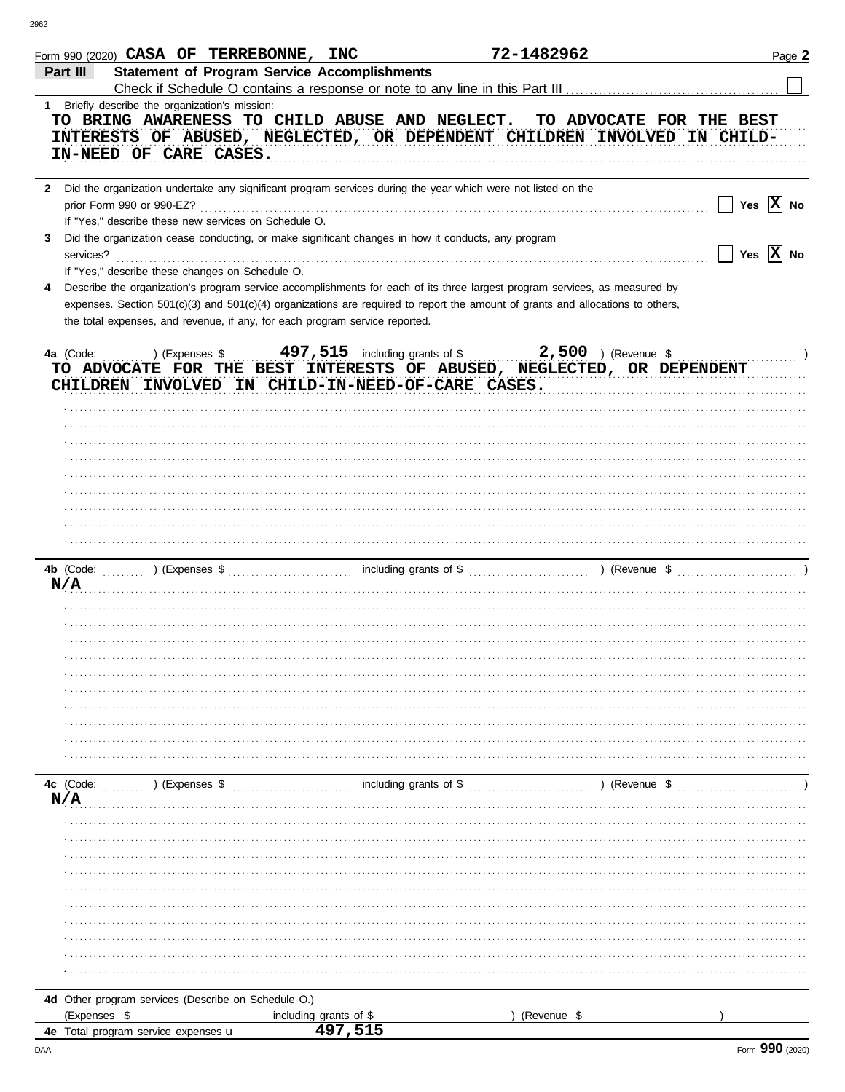| Form 990 (2020) CASA OF TERREBONNE, INC                                                                        |                                                     | 72-1482962                                                                                                                     | Page 2                |
|----------------------------------------------------------------------------------------------------------------|-----------------------------------------------------|--------------------------------------------------------------------------------------------------------------------------------|-----------------------|
| Part III                                                                                                       | <b>Statement of Program Service Accomplishments</b> |                                                                                                                                |                       |
|                                                                                                                |                                                     |                                                                                                                                |                       |
| 1 Briefly describe the organization's mission:                                                                 |                                                     |                                                                                                                                |                       |
|                                                                                                                |                                                     | TO BRING AWARENESS TO CHILD ABUSE AND NEGLECT. TO ADVOCATE FOR THE BEST                                                        |                       |
|                                                                                                                |                                                     | INTERESTS OF ABUSED, NEGLECTED, OR DEPENDENT CHILDREN INVOLVED IN CHILD-                                                       |                       |
| IN-NEED OF CARE CASES.                                                                                         |                                                     |                                                                                                                                |                       |
|                                                                                                                |                                                     |                                                                                                                                |                       |
| 2 Did the organization undertake any significant program services during the year which were not listed on the |                                                     |                                                                                                                                |                       |
| prior Form 990 or 990-EZ?                                                                                      |                                                     |                                                                                                                                | Yes $ \mathbf{X} $ No |
| If "Yes," describe these new services on Schedule O.                                                           |                                                     |                                                                                                                                |                       |
| Did the organization cease conducting, or make significant changes in how it conducts, any program             |                                                     |                                                                                                                                |                       |
| 3                                                                                                              |                                                     |                                                                                                                                | Yes $ \mathbf{X} $ No |
| services?                                                                                                      |                                                     |                                                                                                                                |                       |
| If "Yes," describe these changes on Schedule O.                                                                |                                                     |                                                                                                                                |                       |
| 4                                                                                                              |                                                     | Describe the organization's program service accomplishments for each of its three largest program services, as measured by     |                       |
|                                                                                                                |                                                     | expenses. Section 501(c)(3) and 501(c)(4) organizations are required to report the amount of grants and allocations to others, |                       |
| the total expenses, and revenue, if any, for each program service reported.                                    |                                                     |                                                                                                                                |                       |
|                                                                                                                |                                                     |                                                                                                                                |                       |
| 4a (Code:<br>) (Expenses \$                                                                                    | 497, 515 including grants of \$                     | $2,500$ ) (Revenue \$                                                                                                          |                       |
|                                                                                                                |                                                     | TO ADVOCATE FOR THE BEST INTERESTS OF ABUSED, NEGLECTED, OR DEPENDENT                                                          |                       |
| CHILDREN INVOLVED IN CHILD-IN-NEED-OF-CARE CASES.                                                              |                                                     |                                                                                                                                |                       |
|                                                                                                                |                                                     |                                                                                                                                |                       |
|                                                                                                                |                                                     |                                                                                                                                |                       |
|                                                                                                                |                                                     |                                                                                                                                |                       |
|                                                                                                                |                                                     |                                                                                                                                |                       |
|                                                                                                                |                                                     |                                                                                                                                |                       |
|                                                                                                                |                                                     |                                                                                                                                |                       |
|                                                                                                                |                                                     |                                                                                                                                |                       |
|                                                                                                                |                                                     |                                                                                                                                |                       |
|                                                                                                                |                                                     |                                                                                                                                |                       |
|                                                                                                                |                                                     |                                                                                                                                |                       |
|                                                                                                                |                                                     |                                                                                                                                |                       |
|                                                                                                                |                                                     |                                                                                                                                |                       |
| N/A                                                                                                            |                                                     |                                                                                                                                |                       |
|                                                                                                                |                                                     |                                                                                                                                |                       |
|                                                                                                                |                                                     |                                                                                                                                |                       |
|                                                                                                                |                                                     |                                                                                                                                |                       |
|                                                                                                                |                                                     |                                                                                                                                |                       |
|                                                                                                                |                                                     |                                                                                                                                |                       |
|                                                                                                                |                                                     |                                                                                                                                |                       |
|                                                                                                                |                                                     |                                                                                                                                |                       |
|                                                                                                                |                                                     |                                                                                                                                |                       |
|                                                                                                                |                                                     |                                                                                                                                |                       |
|                                                                                                                |                                                     |                                                                                                                                |                       |
|                                                                                                                |                                                     |                                                                                                                                |                       |
| 4c (Code:<br>) (Expenses \$                                                                                    | including grants of \$                              | ) (Revenue \$                                                                                                                  |                       |
| N/A                                                                                                            |                                                     |                                                                                                                                |                       |
|                                                                                                                |                                                     |                                                                                                                                |                       |
|                                                                                                                |                                                     |                                                                                                                                |                       |
|                                                                                                                |                                                     |                                                                                                                                |                       |
|                                                                                                                |                                                     |                                                                                                                                |                       |
|                                                                                                                |                                                     |                                                                                                                                |                       |
|                                                                                                                |                                                     |                                                                                                                                |                       |
|                                                                                                                |                                                     |                                                                                                                                |                       |
|                                                                                                                |                                                     |                                                                                                                                |                       |
|                                                                                                                |                                                     |                                                                                                                                |                       |
|                                                                                                                |                                                     |                                                                                                                                |                       |
|                                                                                                                |                                                     |                                                                                                                                |                       |
|                                                                                                                |                                                     |                                                                                                                                |                       |
|                                                                                                                |                                                     |                                                                                                                                |                       |
| 4d Other program services (Describe on Schedule O.)                                                            |                                                     |                                                                                                                                |                       |
| (Expenses \$                                                                                                   | including grants of \$<br>497,515                   | (Revenue \$                                                                                                                    |                       |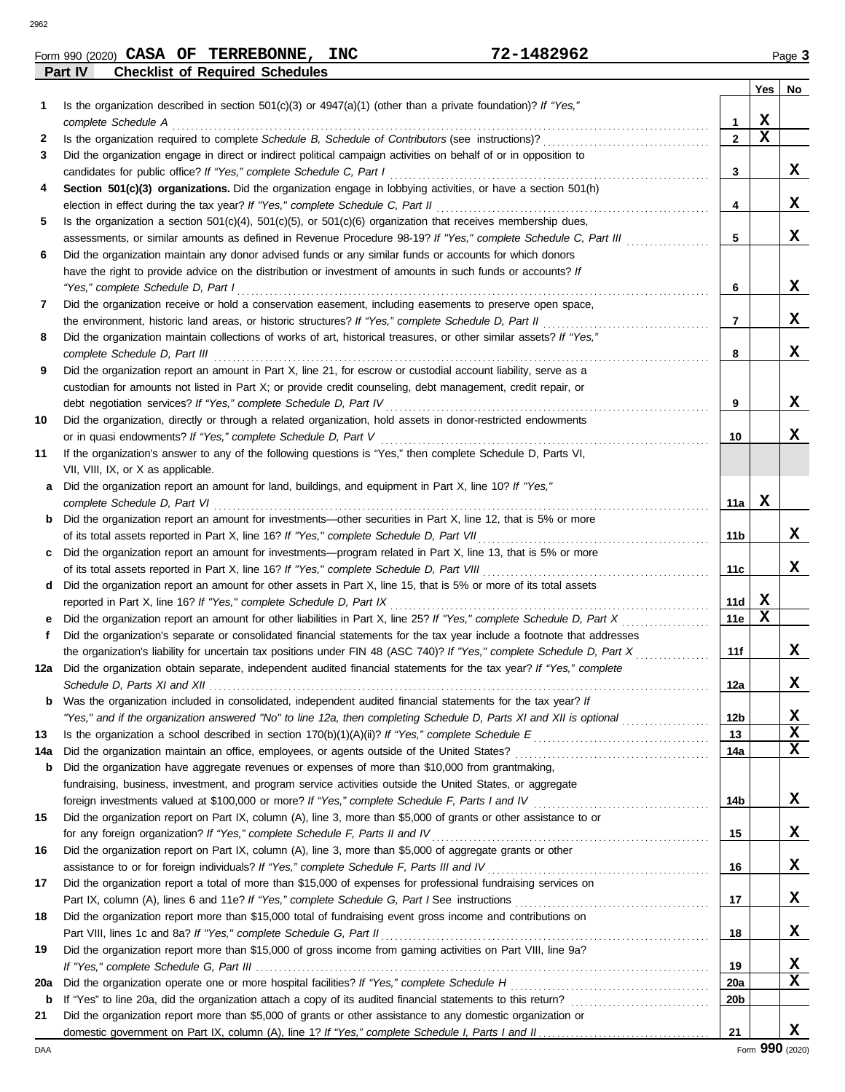| .482962<br><b>INC</b><br>CASA OF<br><b>TERREBONNE,</b><br>70<br>Form 990 (2020) | Page <b>C</b> | . |
|---------------------------------------------------------------------------------|---------------|---|
|---------------------------------------------------------------------------------|---------------|---|

**Part IV Checklist of Required Schedules**

|     |                                                                                                                                                                                                                                 |                 | <b>Yes</b> | No          |
|-----|---------------------------------------------------------------------------------------------------------------------------------------------------------------------------------------------------------------------------------|-----------------|------------|-------------|
| 1   | Is the organization described in section $501(c)(3)$ or $4947(a)(1)$ (other than a private foundation)? If "Yes,"                                                                                                               |                 |            |             |
|     | complete Schedule A                                                                                                                                                                                                             | 1               | X          |             |
| 2   |                                                                                                                                                                                                                                 | $\overline{2}$  | X          |             |
| 3   | Did the organization engage in direct or indirect political campaign activities on behalf of or in opposition to                                                                                                                |                 |            |             |
|     |                                                                                                                                                                                                                                 | 3               |            | X           |
| 4   | Section 501(c)(3) organizations. Did the organization engage in lobbying activities, or have a section 501(h)                                                                                                                   |                 |            |             |
|     |                                                                                                                                                                                                                                 | 4               |            | x           |
| 5   | Is the organization a section $501(c)(4)$ , $501(c)(5)$ , or $501(c)(6)$ organization that receives membership dues,                                                                                                            |                 |            |             |
|     | assessments, or similar amounts as defined in Revenue Procedure 98-19? If "Yes," complete Schedule C, Part III                                                                                                                  | 5               |            | X           |
| 6   | Did the organization maintain any donor advised funds or any similar funds or accounts for which donors                                                                                                                         |                 |            |             |
|     | have the right to provide advice on the distribution or investment of amounts in such funds or accounts? If                                                                                                                     |                 |            |             |
|     | "Yes," complete Schedule D, Part I                                                                                                                                                                                              | 6               |            | X           |
| 7   | Did the organization receive or hold a conservation easement, including easements to preserve open space,                                                                                                                       |                 |            |             |
|     | the environment, historic land areas, or historic structures? If "Yes," complete Schedule D, Part II                                                                                                                            | 7               |            | x           |
| 8   | Did the organization maintain collections of works of art, historical treasures, or other similar assets? If "Yes,"                                                                                                             |                 |            |             |
|     | complete Schedule D, Part III                                                                                                                                                                                                   | 8               |            | X           |
| 9   | Did the organization report an amount in Part X, line 21, for escrow or custodial account liability, serve as a                                                                                                                 |                 |            |             |
|     | custodian for amounts not listed in Part X; or provide credit counseling, debt management, credit repair, or                                                                                                                    |                 |            | X           |
|     |                                                                                                                                                                                                                                 | 9               |            |             |
| 10  | Did the organization, directly or through a related organization, hold assets in donor-restricted endowments                                                                                                                    | 10              |            | x           |
| 11  | If the organization's answer to any of the following questions is "Yes," then complete Schedule D, Parts VI,                                                                                                                    |                 |            |             |
|     | VII, VIII, IX, or X as applicable.                                                                                                                                                                                              |                 |            |             |
| a   | Did the organization report an amount for land, buildings, and equipment in Part X, line 10? If "Yes,"                                                                                                                          |                 |            |             |
|     | complete Schedule D, Part VI                                                                                                                                                                                                    | 11a             | X          |             |
| b   | Did the organization report an amount for investments—other securities in Part X, line 12, that is 5% or more                                                                                                                   |                 |            |             |
|     |                                                                                                                                                                                                                                 | 11 b            |            | x           |
| c   | Did the organization report an amount for investments—program related in Part X, line 13, that is 5% or more                                                                                                                    |                 |            |             |
|     |                                                                                                                                                                                                                                 | 11c             |            | x           |
| d   | Did the organization report an amount for other assets in Part X, line 15, that is 5% or more of its total assets                                                                                                               |                 |            |             |
|     | reported in Part X, line 16? If "Yes," complete Schedule D, Part IX                                                                                                                                                             | 11d             | X          |             |
| е   | Did the organization report an amount for other liabilities in Part X, line 25? If "Yes," complete Schedule D, Part X                                                                                                           | 11e             | X          |             |
| f   | Did the organization's separate or consolidated financial statements for the tax year include a footnote that addresses                                                                                                         |                 |            |             |
|     | the organization's liability for uncertain tax positions under FIN 48 (ASC 740)? If "Yes," complete Schedule D, Part X                                                                                                          | 11f             |            | x           |
| 12a | Did the organization obtain separate, independent audited financial statements for the tax year? If "Yes," complete                                                                                                             |                 |            |             |
|     |                                                                                                                                                                                                                                 | 12a             |            | X           |
| b   | Was the organization included in consolidated, independent audited financial statements for the tax year? If                                                                                                                    |                 |            |             |
|     | "Yes," and if the organization answered "No" to line 12a, then completing Schedule D, Parts XI and XII is optional                                                                                                              | 12 <sub>b</sub> |            | X           |
| 13  |                                                                                                                                                                                                                                 | 13              |            | $\mathbf x$ |
| 14a |                                                                                                                                                                                                                                 | 14a             |            | $\mathbf x$ |
| b   | Did the organization have aggregate revenues or expenses of more than \$10,000 from grantmaking,                                                                                                                                |                 |            |             |
|     | fundraising, business, investment, and program service activities outside the United States, or aggregate                                                                                                                       |                 |            |             |
|     | foreign investments valued at \$100,000 or more? If "Yes," complete Schedule F, Parts I and IV [[[[[[[[[[[[[[[                                                                                                                  | 14b             |            | X           |
| 15  | Did the organization report on Part IX, column (A), line 3, more than \$5,000 of grants or other assistance to or                                                                                                               |                 |            |             |
|     | for any foreign organization? If "Yes," complete Schedule F, Parts II and IV                                                                                                                                                    | 15              |            | X           |
| 16  | Did the organization report on Part IX, column (A), line 3, more than \$5,000 of aggregate grants or other                                                                                                                      | 16              |            | X           |
| 17  | assistance to or for foreign individuals? If "Yes," complete Schedule F, Parts III and IV [[[[[[[[[[[[[[[[[[[<br>Did the organization report a total of more than \$15,000 of expenses for professional fundraising services on |                 |            |             |
|     |                                                                                                                                                                                                                                 | 17              |            | X           |
| 18  | Did the organization report more than \$15,000 total of fundraising event gross income and contributions on                                                                                                                     |                 |            |             |
|     | Part VIII, lines 1c and 8a? If "Yes," complete Schedule G, Part II                                                                                                                                                              | 18              |            | X           |
| 19  | Did the organization report more than \$15,000 of gross income from gaming activities on Part VIII, line 9a?                                                                                                                    |                 |            |             |
|     |                                                                                                                                                                                                                                 | 19              |            | X           |
| 20a |                                                                                                                                                                                                                                 | <b>20a</b>      |            | X           |
| b   |                                                                                                                                                                                                                                 | 20b             |            |             |
| 21  | Did the organization report more than \$5,000 of grants or other assistance to any domestic organization or                                                                                                                     |                 |            |             |
|     |                                                                                                                                                                                                                                 | 21              |            | x           |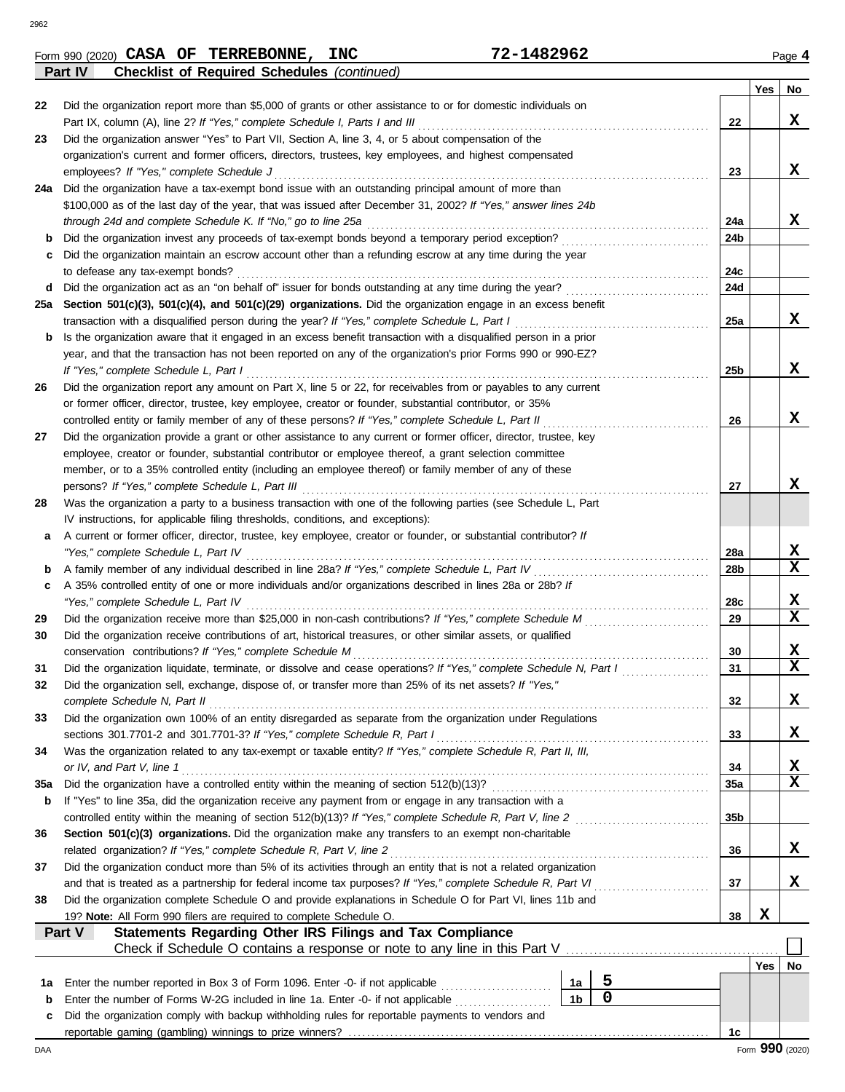|             | <b>Checklist of Required Schedules (continued)</b><br>Part IV                                                      |                      |             |                 |                 |             |
|-------------|--------------------------------------------------------------------------------------------------------------------|----------------------|-------------|-----------------|-----------------|-------------|
|             |                                                                                                                    |                      |             |                 | Yes             | No          |
| 22          | Did the organization report more than \$5,000 of grants or other assistance to or for domestic individuals on      |                      |             |                 |                 |             |
|             | Part IX, column (A), line 2? If "Yes," complete Schedule I, Parts I and III                                        |                      |             | 22              |                 | X           |
| 23          | Did the organization answer "Yes" to Part VII, Section A, line 3, 4, or 5 about compensation of the                |                      |             |                 |                 |             |
|             | organization's current and former officers, directors, trustees, key employees, and highest compensated            |                      |             |                 |                 |             |
|             | employees? If "Yes," complete Schedule J                                                                           |                      |             | 23              |                 | X           |
|             | 24a Did the organization have a tax-exempt bond issue with an outstanding principal amount of more than            |                      |             |                 |                 |             |
|             | \$100,000 as of the last day of the year, that was issued after December 31, 2002? If "Yes," answer lines 24b      |                      |             |                 |                 |             |
|             | through 24d and complete Schedule K. If "No," go to line 25a                                                       |                      |             | 24a             |                 | X           |
| b           | Did the organization invest any proceeds of tax-exempt bonds beyond a temporary period exception?                  |                      |             | 24b             |                 |             |
|             | Did the organization maintain an escrow account other than a refunding escrow at any time during the year          |                      |             |                 |                 |             |
| c           |                                                                                                                    |                      |             | 24c             |                 |             |
|             | to defease any tax-exempt bonds?                                                                                   |                      |             |                 |                 |             |
| d           |                                                                                                                    |                      |             | 24d             |                 |             |
|             | 25a Section 501(c)(3), 501(c)(4), and 501(c)(29) organizations. Did the organization engage in an excess benefit   |                      |             |                 |                 |             |
|             | transaction with a disqualified person during the year? If "Yes," complete Schedule L, Part I                      |                      |             | 25a             |                 | x           |
| b           | Is the organization aware that it engaged in an excess benefit transaction with a disqualified person in a prior   |                      |             |                 |                 |             |
|             | year, and that the transaction has not been reported on any of the organization's prior Forms 990 or 990-EZ?       |                      |             |                 |                 |             |
|             | If "Yes," complete Schedule L, Part I                                                                              |                      |             | 25 <sub>b</sub> |                 | X           |
| 26          | Did the organization report any amount on Part X, line 5 or 22, for receivables from or payables to any current    |                      |             |                 |                 |             |
|             | or former officer, director, trustee, key employee, creator or founder, substantial contributor, or 35%            |                      |             |                 |                 |             |
|             | controlled entity or family member of any of these persons? If "Yes," complete Schedule L, Part II                 |                      |             | 26              |                 | X           |
| 27          | Did the organization provide a grant or other assistance to any current or former officer, director, trustee, key  |                      |             |                 |                 |             |
|             | employee, creator or founder, substantial contributor or employee thereof, a grant selection committee             |                      |             |                 |                 |             |
|             | member, or to a 35% controlled entity (including an employee thereof) or family member of any of these             |                      |             |                 |                 |             |
|             | persons? If "Yes," complete Schedule L, Part III                                                                   |                      |             | 27              |                 | x           |
| 28          | Was the organization a party to a business transaction with one of the following parties (see Schedule L, Part     |                      |             |                 |                 |             |
|             | IV instructions, for applicable filing thresholds, conditions, and exceptions):                                    |                      |             |                 |                 |             |
| а           | A current or former officer, director, trustee, key employee, creator or founder, or substantial contributor? If   |                      |             |                 |                 |             |
|             | "Yes," complete Schedule L, Part IV                                                                                |                      |             | 28a             |                 | X           |
| b           | A family member of any individual described in line 28a? If "Yes," complete Schedule L, Part IV                    |                      |             | 28 <sub>b</sub> |                 | X           |
| c           | A 35% controlled entity of one or more individuals and/or organizations described in lines 28a or 28b? If          |                      |             |                 |                 |             |
|             | "Yes," complete Schedule L, Part IV                                                                                |                      |             | 28c             |                 | X           |
| 29          | Did the organization receive more than \$25,000 in non-cash contributions? If "Yes," complete Schedule M           |                      |             | 29              |                 | X           |
| 30          |                                                                                                                    |                      |             |                 |                 |             |
|             | Did the organization receive contributions of art, historical treasures, or other similar assets, or qualified     |                      |             |                 |                 | X           |
|             | conservation contributions? If "Yes," complete Schedule M                                                          |                      |             | 30              |                 | $\mathbf x$ |
| 31          | Did the organization liquidate, terminate, or dissolve and cease operations? If "Yes," complete Schedule N, Part I |                      |             | 31              |                 |             |
| 32          | Did the organization sell, exchange, dispose of, or transfer more than 25% of its net assets? If "Yes,"            |                      |             |                 |                 |             |
|             | complete Schedule N, Part II                                                                                       |                      |             | 32              |                 | X           |
| 33          | Did the organization own 100% of an entity disregarded as separate from the organization under Regulations         |                      |             |                 |                 |             |
|             | sections 301.7701-2 and 301.7701-3? If "Yes," complete Schedule R, Part I                                          |                      |             | 33              |                 | X           |
| 34          | Was the organization related to any tax-exempt or taxable entity? If "Yes," complete Schedule R, Part II, III,     |                      |             |                 |                 |             |
|             | or IV, and Part V, line 1                                                                                          |                      |             | 34              |                 | X           |
| 35a         | Did the organization have a controlled entity within the meaning of section 512(b)(13)?                            |                      |             | 35a             |                 | X           |
| b           | If "Yes" to line 35a, did the organization receive any payment from or engage in any transaction with a            |                      |             |                 |                 |             |
|             | controlled entity within the meaning of section 512(b)(13)? If "Yes," complete Schedule R, Part V, line 2          |                      |             | 35 <sub>b</sub> |                 |             |
| 36          | Section 501(c)(3) organizations. Did the organization make any transfers to an exempt non-charitable               |                      |             |                 |                 |             |
|             | related organization? If "Yes," complete Schedule R, Part V, line 2                                                |                      |             | 36              |                 | X           |
| 37          | Did the organization conduct more than 5% of its activities through an entity that is not a related organization   |                      |             |                 |                 |             |
|             | and that is treated as a partnership for federal income tax purposes? If "Yes," complete Schedule R, Part VI       |                      |             | 37              |                 | X           |
| 38          | Did the organization complete Schedule O and provide explanations in Schedule O for Part VI, lines 11b and         |                      |             |                 |                 |             |
|             | 19? Note: All Form 990 filers are required to complete Schedule O.                                                 |                      |             | 38              | X               |             |
|             | Statements Regarding Other IRS Filings and Tax Compliance<br>Part V                                                |                      |             |                 |                 |             |
|             | Check if Schedule O contains a response or note to any line in this Part V                                         |                      |             |                 |                 |             |
|             |                                                                                                                    |                      |             |                 | Yes             | No          |
|             |                                                                                                                    |                      | 5           |                 |                 |             |
| 1а          | Enter the number reported in Box 3 of Form 1096. Enter -0- if not applicable                                       | 1a<br>1 <sub>b</sub> | $\mathbf 0$ |                 |                 |             |
| $\mathbf b$ | Enter the number of Forms W-2G included in line 1a. Enter -0- if not applicable                                    |                      |             |                 |                 |             |
| c           | Did the organization comply with backup withholding rules for reportable payments to vendors and                   |                      |             |                 |                 |             |
|             |                                                                                                                    |                      |             | 1c              |                 |             |
| DAA         |                                                                                                                    |                      |             |                 | Form 990 (2020) |             |

| 482962.<br><b>INC</b><br>70<br><b>CASA</b><br><b>TERREBONNE</b><br>OF.<br>Form 990 (2020)<br>$\sim$ – | Page |
|-------------------------------------------------------------------------------------------------------|------|
|-------------------------------------------------------------------------------------------------------|------|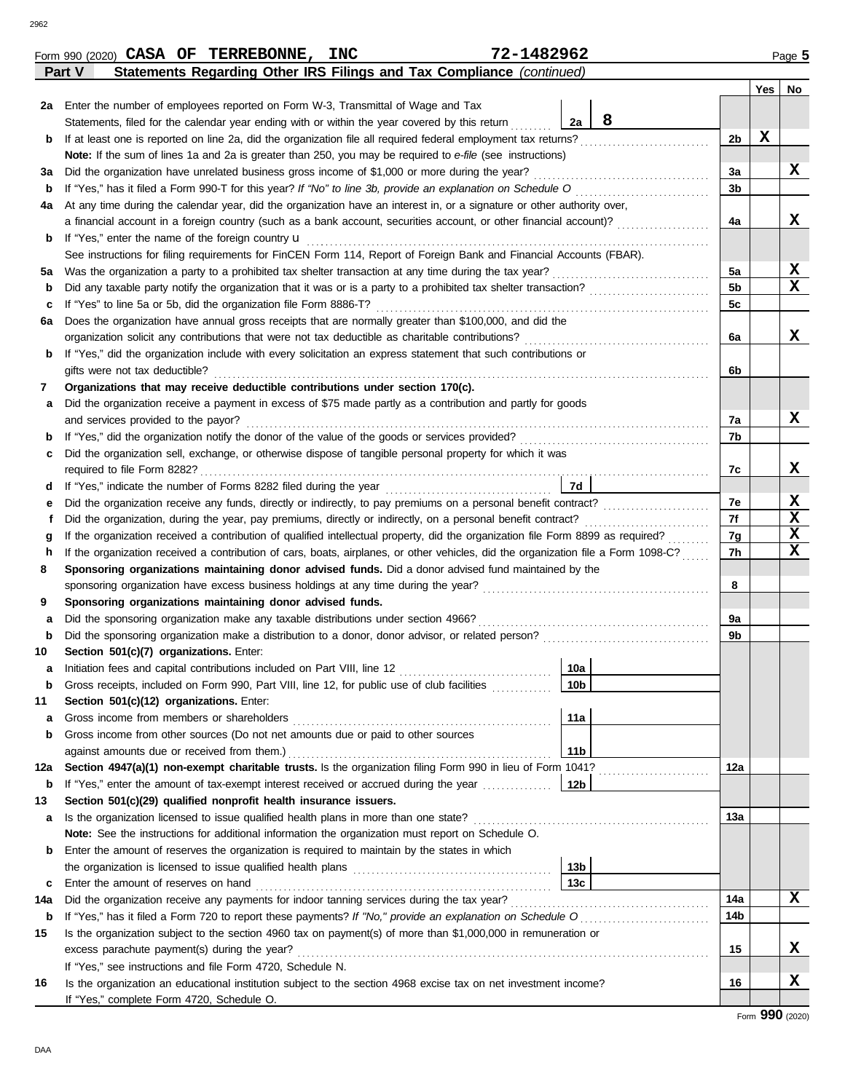|     | 72-1482962<br>Form 990 (2020) CASA OF TERREBONNE, INC                                                                                                                                                                      |                 |                |     | Page 5      |
|-----|----------------------------------------------------------------------------------------------------------------------------------------------------------------------------------------------------------------------------|-----------------|----------------|-----|-------------|
|     | Statements Regarding Other IRS Filings and Tax Compliance (continued)<br>Part V                                                                                                                                            |                 |                |     |             |
|     |                                                                                                                                                                                                                            |                 |                | Yes | No          |
|     | 2a Enter the number of employees reported on Form W-3, Transmittal of Wage and Tax                                                                                                                                         |                 |                |     |             |
|     | Statements, filed for the calendar year ending with or within the year covered by this return                                                                                                                              | 8<br>2a         |                |     |             |
| b   | If at least one is reported on line 2a, did the organization file all required federal employment tax returns?                                                                                                             |                 | 2b             | X   |             |
|     | Note: If the sum of lines 1a and 2a is greater than 250, you may be required to e-file (see instructions)                                                                                                                  |                 |                |     |             |
| За  | Did the organization have unrelated business gross income of \$1,000 or more during the year?                                                                                                                              |                 | За             |     | X           |
| b   | If "Yes," has it filed a Form 990-T for this year? If "No" to line 3b, provide an explanation on Schedule O                                                                                                                |                 | 3b             |     |             |
| 4a  | At any time during the calendar year, did the organization have an interest in, or a signature or other authority over,                                                                                                    |                 |                |     |             |
|     | a financial account in a foreign country (such as a bank account, securities account, or other financial account)?                                                                                                         |                 | 4a             |     | x           |
| b   | If "Yes," enter the name of the foreign country <b>u</b>                                                                                                                                                                   |                 |                |     |             |
|     | See instructions for filing requirements for FinCEN Form 114, Report of Foreign Bank and Financial Accounts (FBAR).                                                                                                        |                 |                |     |             |
| 5a  | Was the organization a party to a prohibited tax shelter transaction at any time during the tax year?                                                                                                                      |                 | 5а             |     | X           |
| b   | Did any taxable party notify the organization that it was or is a party to a prohibited tax shelter transaction?                                                                                                           |                 | 5 <sub>b</sub> |     | X           |
| c   | If "Yes" to line 5a or 5b, did the organization file Form 8886-T?                                                                                                                                                          |                 | 5c             |     |             |
| 6а  | Does the organization have annual gross receipts that are normally greater than \$100,000, and did the                                                                                                                     |                 |                |     |             |
|     | organization solicit any contributions that were not tax deductible as charitable contributions?                                                                                                                           |                 | 6a             |     | x           |
| b   | If "Yes," did the organization include with every solicitation an express statement that such contributions or                                                                                                             |                 |                |     |             |
|     | gifts were not tax deductible?                                                                                                                                                                                             |                 | 6b             |     |             |
| 7   | Organizations that may receive deductible contributions under section 170(c).                                                                                                                                              |                 |                |     |             |
| а   | Did the organization receive a payment in excess of \$75 made partly as a contribution and partly for goods                                                                                                                |                 |                |     | x           |
|     | and services provided to the payor?                                                                                                                                                                                        |                 | 7a<br>7b       |     |             |
| b   | Did the organization sell, exchange, or otherwise dispose of tangible personal property for which it was                                                                                                                   |                 |                |     |             |
| с   |                                                                                                                                                                                                                            |                 | 7c             |     | х           |
| d   |                                                                                                                                                                                                                            | 7d              |                |     |             |
| е   | Did the organization receive any funds, directly or indirectly, to pay premiums on a personal benefit contract?                                                                                                            |                 | 7e             |     | X           |
|     | Did the organization, during the year, pay premiums, directly or indirectly, on a personal benefit contract?                                                                                                               |                 | 7f             |     | $\mathbf x$ |
| g   | If the organization received a contribution of qualified intellectual property, did the organization file Form 8899 as required?                                                                                           |                 | 7g             |     | $\mathbf x$ |
| h   | If the organization received a contribution of cars, boats, airplanes, or other vehicles, did the organization file a Form 1098-C?                                                                                         |                 | 7h             |     | $\mathbf x$ |
| 8   | Sponsoring organizations maintaining donor advised funds. Did a donor advised fund maintained by the                                                                                                                       |                 |                |     |             |
|     |                                                                                                                                                                                                                            |                 | 8              |     |             |
| 9   | Sponsoring organizations maintaining donor advised funds.                                                                                                                                                                  |                 |                |     |             |
| а   | Did the sponsoring organization make any taxable distributions under section 4966?                                                                                                                                         |                 | 9a             |     |             |
| b   | Did the sponsoring organization make a distribution to a donor, donor advisor, or related person?                                                                                                                          |                 | 9b             |     |             |
| 10  | Section 501(c)(7) organizations. Enter:                                                                                                                                                                                    |                 |                |     |             |
|     | Initiation fees and capital contributions included on Part VIII, line 12 [11][11][11][11][11][11][11][11][11][                                                                                                             | 10a             |                |     |             |
| b   | Gross receipts, included on Form 990, Part VIII, line 12, for public use of club facilities                                                                                                                                | 10 <sub>b</sub> |                |     |             |
| 11  | Section 501(c)(12) organizations. Enter:                                                                                                                                                                                   |                 |                |     |             |
| а   | Gross income from members or shareholders                                                                                                                                                                                  | 11a             |                |     |             |
| b   | Gross income from other sources (Do not net amounts due or paid to other sources                                                                                                                                           |                 |                |     |             |
|     | against amounts due or received from them.)                                                                                                                                                                                | 11 <sub>b</sub> |                |     |             |
| 12a | Section 4947(a)(1) non-exempt charitable trusts. Is the organization filing Form 990 in lieu of Form 1041?                                                                                                                 |                 | 12a            |     |             |
| b   | If "Yes," enter the amount of tax-exempt interest received or accrued during the year                                                                                                                                      | 12b             |                |     |             |
| 13  | Section 501(c)(29) qualified nonprofit health insurance issuers.                                                                                                                                                           |                 |                |     |             |
| а   | Is the organization licensed to issue qualified health plans in more than one state?                                                                                                                                       |                 | 13a            |     |             |
|     | Note: See the instructions for additional information the organization must report on Schedule O.                                                                                                                          |                 |                |     |             |
| b   | Enter the amount of reserves the organization is required to maintain by the states in which                                                                                                                               |                 |                |     |             |
|     |                                                                                                                                                                                                                            | 13 <sub>b</sub> |                |     |             |
| c   | Enter the amount of reserves on hand                                                                                                                                                                                       | 13 <sub>c</sub> | 14a            |     | X           |
| 14a | Did the organization receive any payments for indoor tanning services during the tax year?                                                                                                                                 |                 | 14b            |     |             |
| b   | If "Yes," has it filed a Form 720 to report these payments? If "No," provide an explanation on Schedule O<br>Is the organization subject to the section 4960 tax on payment(s) of more than \$1,000,000 in remuneration or |                 |                |     |             |
| 15  |                                                                                                                                                                                                                            |                 | 15             |     | X           |
|     | excess parachute payment(s) during the year?<br>If "Yes," see instructions and file Form 4720, Schedule N.                                                                                                                 |                 |                |     |             |
| 16  | Is the organization an educational institution subject to the section 4968 excise tax on net investment income?                                                                                                            |                 | 16             |     | X           |
|     | If "Yes," complete Form 4720, Schedule O.                                                                                                                                                                                  |                 |                |     |             |
|     |                                                                                                                                                                                                                            |                 |                |     |             |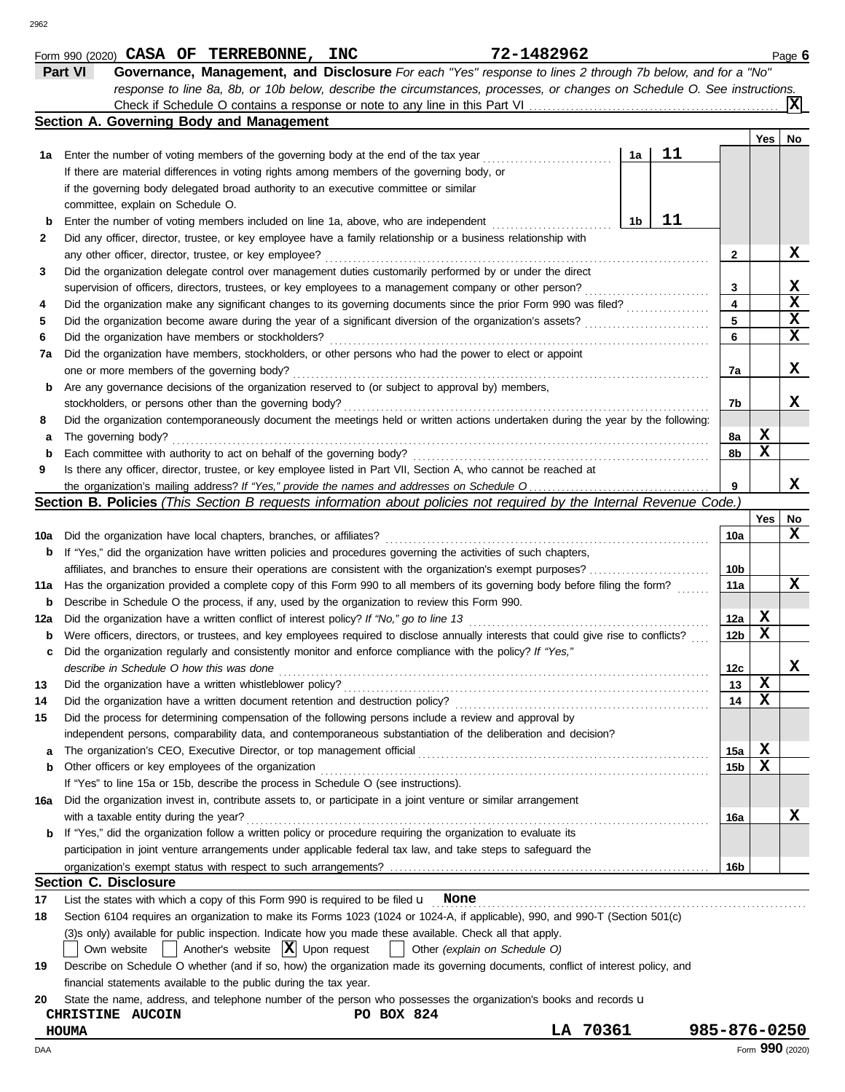|     | Part VI<br>Governance, Management, and Disclosure For each "Yes" response to lines 2 through 7b below, and for a "No"                              |                 |             |                 |
|-----|----------------------------------------------------------------------------------------------------------------------------------------------------|-----------------|-------------|-----------------|
|     | response to line 8a, 8b, or 10b below, describe the circumstances, processes, or changes on Schedule O. See instructions.                          |                 |             | X               |
|     | Section A. Governing Body and Management                                                                                                           |                 |             |                 |
|     |                                                                                                                                                    |                 | Yes         | No              |
| 1а  | 11<br>Enter the number of voting members of the governing body at the end of the tax year<br>1a                                                    |                 |             |                 |
|     | If there are material differences in voting rights among members of the governing body, or                                                         |                 |             |                 |
|     | if the governing body delegated broad authority to an executive committee or similar                                                               |                 |             |                 |
|     | committee, explain on Schedule O.                                                                                                                  |                 |             |                 |
| b   | 11<br>1b<br>Enter the number of voting members included on line 1a, above, who are independent                                                     |                 |             |                 |
| 2   | Did any officer, director, trustee, or key employee have a family relationship or a business relationship with                                     |                 |             |                 |
|     | any other officer, director, trustee, or key employee?                                                                                             | 2               |             | X               |
| 3   | Did the organization delegate control over management duties customarily performed by or under the direct                                          |                 |             |                 |
|     | supervision of officers, directors, trustees, or key employees to a management company or other person?                                            | 3               |             | X               |
| 4   | Did the organization make any significant changes to its governing documents since the prior Form 990 was filed?                                   | 4               |             | $\mathbf x$     |
| 5   | Did the organization become aware during the year of a significant diversion of the organization's assets?                                         | 5               |             | X               |
| 6   | Did the organization have members or stockholders?                                                                                                 | 6               |             | X               |
| 7а  | Did the organization have members, stockholders, or other persons who had the power to elect or appoint                                            |                 |             |                 |
|     | one or more members of the governing body?                                                                                                         | 7a              |             | X               |
| b   | Are any governance decisions of the organization reserved to (or subject to approval by) members,                                                  |                 |             |                 |
|     | stockholders, or persons other than the governing body?                                                                                            | 7b              |             | x               |
| 8   | Did the organization contemporaneously document the meetings held or written actions undertaken during the year by the following:                  |                 |             |                 |
| а   | The governing body?                                                                                                                                | 8a              | X           |                 |
| b   | Each committee with authority to act on behalf of the governing body?                                                                              | 8b              | X           |                 |
| 9   | Is there any officer, director, trustee, or key employee listed in Part VII, Section A, who cannot be reached at                                   |                 |             |                 |
|     |                                                                                                                                                    | 9               |             | х               |
|     | Section B. Policies (This Section B requests information about policies not required by the Internal Revenue Code.)                                |                 |             |                 |
|     |                                                                                                                                                    |                 | Yes         | No              |
| 10a | Did the organization have local chapters, branches, or affiliates?                                                                                 | 10a             |             | x               |
| b   | If "Yes," did the organization have written policies and procedures governing the activities of such chapters,                                     |                 |             |                 |
|     | affiliates, and branches to ensure their operations are consistent with the organization's exempt purposes?                                        | 10b             |             |                 |
| 11a | Has the organization provided a complete copy of this Form 990 to all members of its governing body before filing the form?                        | 11a             |             | x               |
| b   | Describe in Schedule O the process, if any, used by the organization to review this Form 990.                                                      |                 |             |                 |
| 12a | Did the organization have a written conflict of interest policy? If "No," go to line 13                                                            | 12a             | X           |                 |
| b   | Were officers, directors, or trustees, and key employees required to disclose annually interests that could give rise to conflicts?                | 12 <sub>b</sub> | X           |                 |
| c   | Did the organization regularly and consistently monitor and enforce compliance with the policy? If "Yes,"                                          |                 |             |                 |
|     | describe in Schedule O how this was done                                                                                                           | 12c             |             | X               |
| 13  | Did the organization have a written whistleblower policy?                                                                                          | 13              | $\mathbf x$ |                 |
| 14  | Did the organization have a written document retention and destruction policy?                                                                     | 14              | X           |                 |
| 15  | Did the process for determining compensation of the following persons include a review and approval by                                             |                 |             |                 |
|     | independent persons, comparability data, and contemporaneous substantiation of the deliberation and decision?                                      |                 |             |                 |
| а   |                                                                                                                                                    | 15a             | X           |                 |
| b   | Other officers or key employees of the organization                                                                                                | 15 <sub>b</sub> | х           |                 |
|     | If "Yes" to line 15a or 15b, describe the process in Schedule O (see instructions).                                                                |                 |             |                 |
|     | Did the organization invest in, contribute assets to, or participate in a joint venture or similar arrangement                                     |                 |             |                 |
| 16a | with a taxable entity during the year?                                                                                                             | 16a             |             | X               |
| b   | If "Yes," did the organization follow a written policy or procedure requiring the organization to evaluate its                                     |                 |             |                 |
|     | participation in joint venture arrangements under applicable federal tax law, and take steps to safeguard the                                      |                 |             |                 |
|     |                                                                                                                                                    | 16b             |             |                 |
|     | <b>Section C. Disclosure</b>                                                                                                                       |                 |             |                 |
| 17  | List the states with which a copy of this Form 990 is required to be filed $\mathbf u$ None                                                        |                 |             |                 |
| 18  | Section 6104 requires an organization to make its Forms 1023 (1024 or 1024-A, if applicable), 990, and 990-T (Section 501(c)                       |                 |             |                 |
|     | (3)s only) available for public inspection. Indicate how you made these available. Check all that apply.                                           |                 |             |                 |
|     | Another's website $ \mathbf{X} $ Upon request                                                                                                      |                 |             |                 |
|     | Other (explain on Schedule O)<br>Own website<br>$\mathbf{I}$                                                                                       |                 |             |                 |
| 19  | Describe on Schedule O whether (and if so, how) the organization made its governing documents, conflict of interest policy, and                    |                 |             |                 |
|     | financial statements available to the public during the tax year.                                                                                  |                 |             |                 |
| 20  | State the name, address, and telephone number of the person who possesses the organization's books and records u<br>PO BOX 824<br>CHRISTINE AUCOIN |                 |             |                 |
|     | LA 70361<br>HOUMA                                                                                                                                  | 985-876-0250    |             |                 |
|     |                                                                                                                                                    |                 |             | Form 990 (2020) |
| DAA |                                                                                                                                                    |                 |             |                 |

Form 990 (2020) Page **6**

**CASA OF TERREBONNE, INC 72-1482962**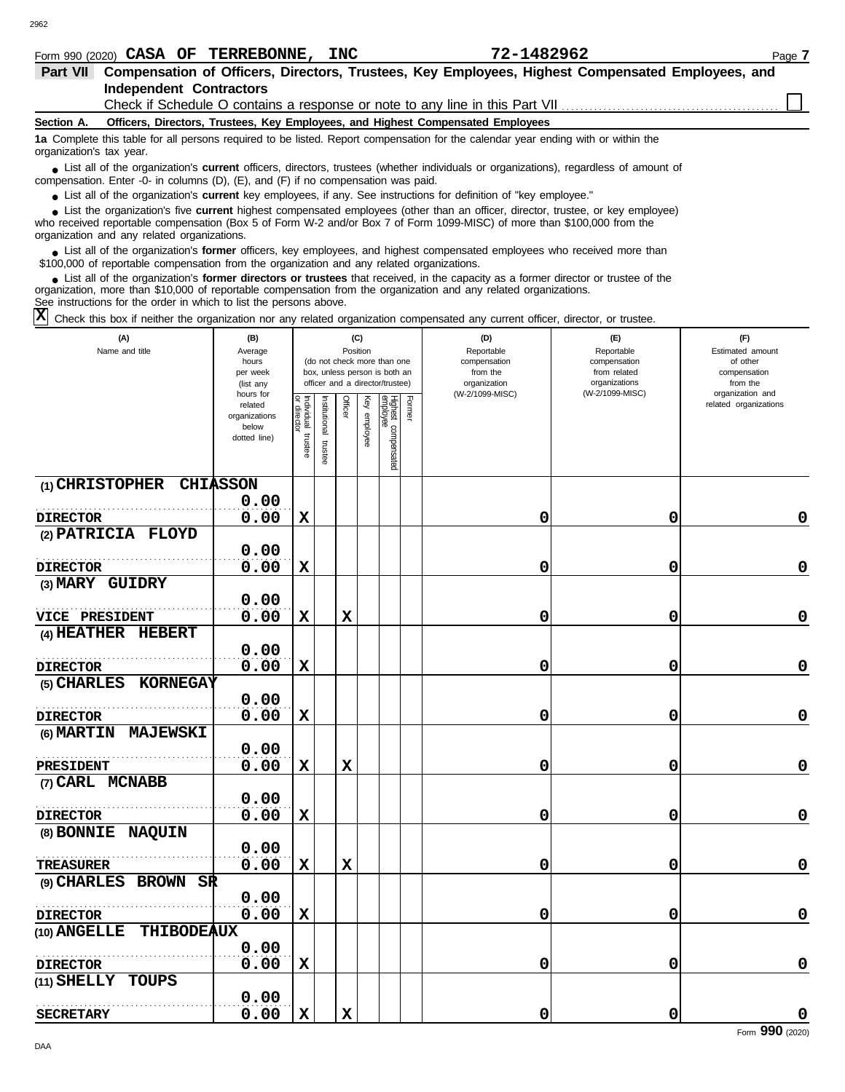| 182962<br><b>INC</b><br><b>TERREBONNE</b><br>⊓ ∩<br><b>CASA</b><br>ОF<br>Form 990<br>(2020) | Page |
|---------------------------------------------------------------------------------------------|------|
|---------------------------------------------------------------------------------------------|------|

| Compensation of Officers, Directors, Trustees, Key Employees, Highest Compensated Employees, and<br>Part VII |                                                                    |                |                                                                                                                                                                                                                                                                  |                   |                   |                         |
|--------------------------------------------------------------------------------------------------------------|--------------------------------------------------------------------|----------------|------------------------------------------------------------------------------------------------------------------------------------------------------------------------------------------------------------------------------------------------------------------|-------------------|-------------------|-------------------------|
|                                                                                                              | <b>Independent Contractors</b>                                     |                |                                                                                                                                                                                                                                                                  |                   |                   |                         |
|                                                                                                              |                                                                    |                |                                                                                                                                                                                                                                                                  |                   |                   |                         |
| Section A.                                                                                                   |                                                                    |                | Officers, Directors, Trustees, Key Employees, and Highest Compensated Employees                                                                                                                                                                                  |                   |                   |                         |
| organization's tax year.                                                                                     |                                                                    |                | 1a Complete this table for all persons required to be listed. Report compensation for the calendar year ending with or within the                                                                                                                                |                   |                   |                         |
|                                                                                                              |                                                                    |                | • List all of the organization's <b>current</b> officers, directors, trustees (whether individuals or organizations), regardless of amount of<br>compensation. Enter -0- in columns $(D)$ , $(E)$ , and $(F)$ if no compensation was paid.                       |                   |                   |                         |
|                                                                                                              |                                                                    |                | • List all of the organization's <b>current</b> key employees, if any. See instructions for definition of "key employee."                                                                                                                                        |                   |                   |                         |
|                                                                                                              | organization and any related organizations.                        |                | List the organization's five <b>current</b> highest compensated employees (other than an officer, director, trustee, or key employee)<br>who received reportable compensation (Box 5 of Form W-2 and/or Box 7 of Form 1099-MISC) of more than \$100,000 from the |                   |                   |                         |
|                                                                                                              |                                                                    |                | • List all of the organization's former officers, key employees, and highest compensated employees who received more than<br>\$100,000 of reportable compensation from the organization and any related organizations.                                           |                   |                   |                         |
|                                                                                                              | See instructions for the order in which to list the persons above. |                | List all of the organization's former directors or trustees that received, in the capacity as a former director or trustee of the<br>organization, more than \$10,000 of reportable compensation from the organization and any related organizations.            |                   |                   |                         |
|                                                                                                              |                                                                    |                | $\boxed{\mathrm{X}}$ Check this box if neither the organization nor any related organization compensated any current officer, director, or trustee.                                                                                                              |                   |                   |                         |
|                                                                                                              | (A)<br>Name and title                                              | (B)<br>Average | (C)<br>Position                                                                                                                                                                                                                                                  | (D)<br>Reportable | (E)<br>Reportable | (F)<br>Estimated amount |

| (A)<br>Name and title              | (B)<br>Average<br>hours<br>per week<br>(list any               |                       |                       | (C)<br>Position |              | (do not check more than one<br>box, unless person is both an<br>officer and a director/trustee) |        | (D)<br>Reportable<br>compensation<br>from the<br>organization | (E)<br>Reportable<br>compensation<br>from related<br>organizations | (F)<br>Estimated amount<br>of other<br>compensation<br>from the |
|------------------------------------|----------------------------------------------------------------|-----------------------|-----------------------|-----------------|--------------|-------------------------------------------------------------------------------------------------|--------|---------------------------------------------------------------|--------------------------------------------------------------------|-----------------------------------------------------------------|
|                                    | hours for<br>related<br>organizations<br>below<br>dotted line) | Individual<br>trustee | Institutional trustee | Officer         | Key employee | Highest compensated<br>employee                                                                 | Former | (W-2/1099-MISC)                                               | (W-2/1099-MISC)                                                    | organization and<br>related organizations                       |
| (1) CHRISTOPHER CHIASSON           |                                                                |                       |                       |                 |              |                                                                                                 |        |                                                               |                                                                    |                                                                 |
|                                    | 0.00                                                           |                       |                       |                 |              |                                                                                                 |        |                                                               |                                                                    |                                                                 |
| <b>DIRECTOR</b>                    | 0.00                                                           | $\mathbf x$           |                       |                 |              |                                                                                                 |        | 0                                                             | 0                                                                  | 0                                                               |
| (2) PATRICIA FLOYD                 |                                                                |                       |                       |                 |              |                                                                                                 |        |                                                               |                                                                    |                                                                 |
|                                    | 0.00<br>0.00                                                   | $\mathbf x$           |                       |                 |              |                                                                                                 |        | 0                                                             | 0                                                                  | $\mathbf 0$                                                     |
| <b>DIRECTOR</b><br>(3) MARY GUIDRY |                                                                |                       |                       |                 |              |                                                                                                 |        |                                                               |                                                                    |                                                                 |
|                                    | 0.00                                                           |                       |                       |                 |              |                                                                                                 |        |                                                               |                                                                    |                                                                 |
| VICE PRESIDENT                     | 0.00                                                           | $\mathbf x$           |                       | $\mathbf x$     |              |                                                                                                 |        | 0                                                             | 0                                                                  | 0                                                               |
| (4) HEATHER HEBERT                 |                                                                |                       |                       |                 |              |                                                                                                 |        |                                                               |                                                                    |                                                                 |
|                                    | 0.00                                                           |                       |                       |                 |              |                                                                                                 |        |                                                               |                                                                    |                                                                 |
| <b>DIRECTOR</b>                    | 0.00                                                           | $\mathbf x$           |                       |                 |              |                                                                                                 |        | 0                                                             | 0                                                                  | 0                                                               |
| (5) CHARLES<br>KORNEGAY            |                                                                |                       |                       |                 |              |                                                                                                 |        |                                                               |                                                                    |                                                                 |
|                                    | 0.00                                                           |                       |                       |                 |              |                                                                                                 |        |                                                               |                                                                    |                                                                 |
| <b>DIRECTOR</b>                    | 0.00                                                           | $\mathbf x$           |                       |                 |              |                                                                                                 |        | 0                                                             | 0                                                                  | $\pmb{0}$                                                       |
| $(6)$ MARTIN<br><b>MAJEWSKI</b>    |                                                                |                       |                       |                 |              |                                                                                                 |        |                                                               |                                                                    |                                                                 |
|                                    | 0.00                                                           |                       |                       |                 |              |                                                                                                 |        |                                                               |                                                                    |                                                                 |
| PRESIDENT                          | 0.00                                                           | $\mathbf x$           |                       | $\mathbf x$     |              |                                                                                                 |        | 0                                                             | 0                                                                  | 0                                                               |
| (7) CARL MCNABB                    |                                                                |                       |                       |                 |              |                                                                                                 |        |                                                               |                                                                    |                                                                 |
|                                    | 0.00                                                           |                       |                       |                 |              |                                                                                                 |        |                                                               |                                                                    |                                                                 |
| <b>DIRECTOR</b>                    | 0.00                                                           | $\mathbf x$           |                       |                 |              |                                                                                                 |        | 0                                                             | 0                                                                  | 0                                                               |
| (8) BONNIE NAQUIN                  | 0.00                                                           |                       |                       |                 |              |                                                                                                 |        |                                                               |                                                                    |                                                                 |
| <b>TREASURER</b>                   | 0.00                                                           | $\mathbf x$           |                       | $\mathbf x$     |              |                                                                                                 |        | 0                                                             | 0                                                                  | 0                                                               |
| (9) CHARLES BROWN SR               |                                                                |                       |                       |                 |              |                                                                                                 |        |                                                               |                                                                    |                                                                 |
|                                    | 0.00                                                           |                       |                       |                 |              |                                                                                                 |        |                                                               |                                                                    |                                                                 |
| <b>DIRECTOR</b>                    | 0.00                                                           | $\mathbf x$           |                       |                 |              |                                                                                                 |        | 0                                                             | 0                                                                  | 0                                                               |
| <b>THIBODEAUX</b><br>(10) ANGELLE  |                                                                |                       |                       |                 |              |                                                                                                 |        |                                                               |                                                                    |                                                                 |
|                                    | 0.00                                                           |                       |                       |                 |              |                                                                                                 |        |                                                               |                                                                    |                                                                 |
| <b>DIRECTOR</b>                    | 0.00                                                           | $\mathbf x$           |                       |                 |              |                                                                                                 |        | 0                                                             | 0                                                                  | $\mathbf 0$                                                     |
| <b>TOUPS</b><br>$(11)$ SHELLY      |                                                                |                       |                       |                 |              |                                                                                                 |        |                                                               |                                                                    |                                                                 |
|                                    | 0.00                                                           |                       |                       |                 |              |                                                                                                 |        |                                                               |                                                                    |                                                                 |
| <b>SECRETARY</b>                   | 0.00                                                           | $\mathbf x$           |                       | $\mathbf x$     |              |                                                                                                 |        | 0                                                             | 0                                                                  | 0                                                               |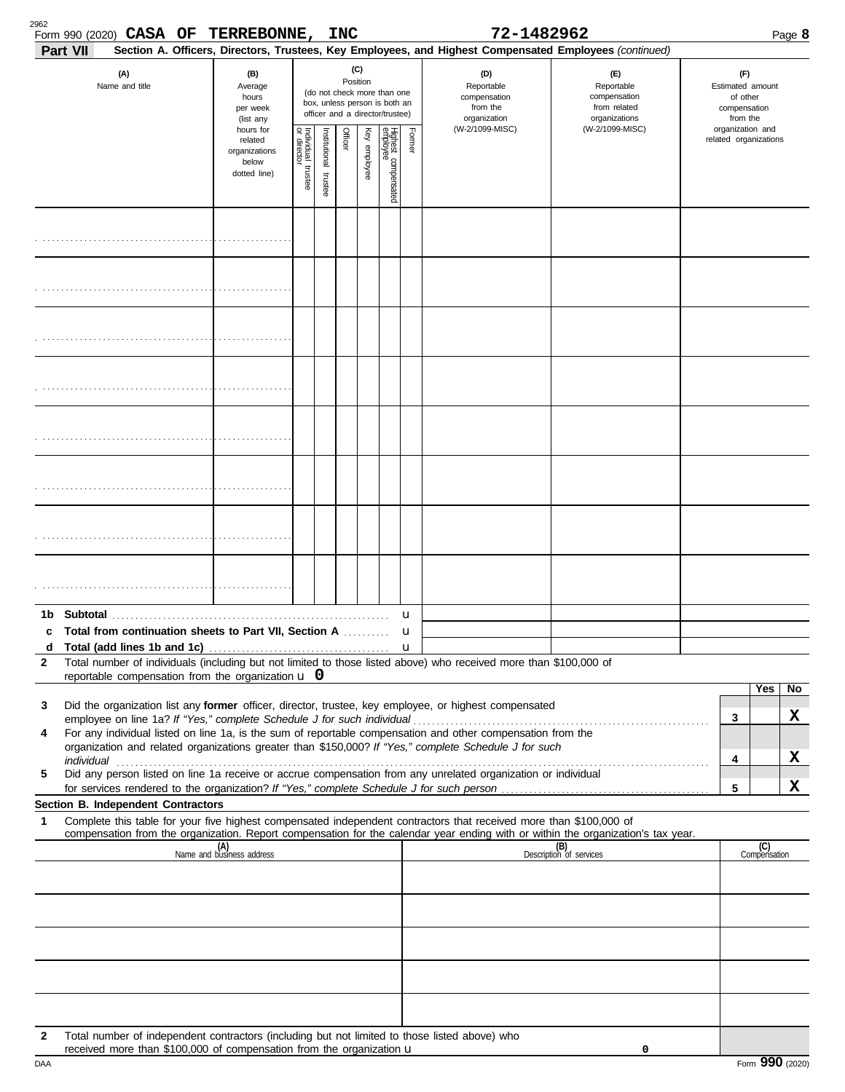| 2962         | Form 990 (2020) CASA OF TERREBONNE, INC<br>Part VII                                                                                                                   |                                                                |                         |                       |         |                 |                                                                                                 |                   | 72-1482962<br>Section A. Officers, Directors, Trustees, Key Employees, and Highest Compensated Employees (continued) |                                                                    |                                                                 |                       | Page 8 |
|--------------|-----------------------------------------------------------------------------------------------------------------------------------------------------------------------|----------------------------------------------------------------|-------------------------|-----------------------|---------|-----------------|-------------------------------------------------------------------------------------------------|-------------------|----------------------------------------------------------------------------------------------------------------------|--------------------------------------------------------------------|-----------------------------------------------------------------|-----------------------|--------|
|              | (A)<br>Name and title                                                                                                                                                 | (B)<br>Average<br>hours<br>per week<br>(list any               |                         |                       |         | (C)<br>Position | (do not check more than one<br>box, unless person is both an<br>officer and a director/trustee) |                   | (D)<br>Reportable<br>compensation<br>from the<br>organization                                                        | (E)<br>Reportable<br>compensation<br>from related<br>organizations | (F)<br>Estimated amount<br>of other<br>compensation<br>from the |                       |        |
|              |                                                                                                                                                                       | hours for<br>related<br>organizations<br>below<br>dotted line) | Individual 1<br>trustee | Institutional trustee | Officer | Key employee    | Highest compensated<br>employee                                                                 | Former            | (W-2/1099-MISC)                                                                                                      | (W-2/1099-MISC)                                                    | organization and                                                | related organizations |        |
|              |                                                                                                                                                                       |                                                                |                         |                       |         |                 |                                                                                                 |                   |                                                                                                                      |                                                                    |                                                                 |                       |        |
|              |                                                                                                                                                                       |                                                                |                         |                       |         |                 |                                                                                                 |                   |                                                                                                                      |                                                                    |                                                                 |                       |        |
|              |                                                                                                                                                                       |                                                                |                         |                       |         |                 |                                                                                                 |                   |                                                                                                                      |                                                                    |                                                                 |                       |        |
|              |                                                                                                                                                                       |                                                                |                         |                       |         |                 |                                                                                                 |                   |                                                                                                                      |                                                                    |                                                                 |                       |        |
|              |                                                                                                                                                                       |                                                                |                         |                       |         |                 |                                                                                                 |                   |                                                                                                                      |                                                                    |                                                                 |                       |        |
|              |                                                                                                                                                                       |                                                                |                         |                       |         |                 |                                                                                                 |                   |                                                                                                                      |                                                                    |                                                                 |                       |        |
|              |                                                                                                                                                                       |                                                                |                         |                       |         |                 |                                                                                                 |                   |                                                                                                                      |                                                                    |                                                                 |                       |        |
|              |                                                                                                                                                                       |                                                                |                         |                       |         |                 |                                                                                                 |                   |                                                                                                                      |                                                                    |                                                                 |                       |        |
| 1b.          |                                                                                                                                                                       |                                                                |                         |                       |         |                 |                                                                                                 | u                 |                                                                                                                      |                                                                    |                                                                 |                       |        |
| c<br>d       | Total from continuation sheets to Part VII, Section A                                                                                                                 |                                                                |                         |                       |         |                 |                                                                                                 | u<br>$\mathbf{u}$ |                                                                                                                      |                                                                    |                                                                 |                       |        |
| $\mathbf{2}$ | Total number of individuals (including but not limited to those listed above) who received more than \$100,000 of                                                     |                                                                |                         |                       |         |                 |                                                                                                 |                   |                                                                                                                      |                                                                    |                                                                 |                       |        |
|              | reportable compensation from the organization $\bf{u}$ 0                                                                                                              |                                                                |                         |                       |         |                 |                                                                                                 |                   |                                                                                                                      |                                                                    |                                                                 | Yes                   | No     |
| 3            | Did the organization list any former officer, director, trustee, key employee, or highest compensated                                                                 |                                                                |                         |                       |         |                 |                                                                                                 |                   |                                                                                                                      |                                                                    |                                                                 |                       | x      |
| 4            | For any individual listed on line 1a, is the sum of reportable compensation and other compensation from the                                                           |                                                                |                         |                       |         |                 |                                                                                                 |                   |                                                                                                                      |                                                                    | 3                                                               |                       |        |
|              | organization and related organizations greater than \$150,000? If "Yes," complete Schedule J for such                                                                 |                                                                |                         |                       |         |                 |                                                                                                 |                   |                                                                                                                      |                                                                    | 4                                                               |                       | X      |
| 5            | Did any person listed on line 1a receive or accrue compensation from any unrelated organization or individual                                                         |                                                                |                         |                       |         |                 |                                                                                                 |                   |                                                                                                                      |                                                                    |                                                                 |                       |        |
|              |                                                                                                                                                                       |                                                                |                         |                       |         |                 |                                                                                                 |                   |                                                                                                                      |                                                                    | 5                                                               |                       | X      |
| 1            | <b>Section B. Independent Contractors</b><br>Complete this table for your five highest compensated independent contractors that received more than \$100,000 of       |                                                                |                         |                       |         |                 |                                                                                                 |                   |                                                                                                                      |                                                                    |                                                                 |                       |        |
|              | compensation from the organization. Report compensation for the calendar year ending with or within the organization's tax year.                                      |                                                                |                         |                       |         |                 |                                                                                                 |                   |                                                                                                                      |                                                                    |                                                                 |                       |        |
|              |                                                                                                                                                                       | (A)<br>Name and business address                               |                         |                       |         |                 |                                                                                                 |                   |                                                                                                                      | (B)<br>Description of services                                     |                                                                 | (C)<br>Compensation   |        |
|              |                                                                                                                                                                       |                                                                |                         |                       |         |                 |                                                                                                 |                   |                                                                                                                      |                                                                    |                                                                 |                       |        |
|              |                                                                                                                                                                       |                                                                |                         |                       |         |                 |                                                                                                 |                   |                                                                                                                      |                                                                    |                                                                 |                       |        |
|              |                                                                                                                                                                       |                                                                |                         |                       |         |                 |                                                                                                 |                   |                                                                                                                      |                                                                    |                                                                 |                       |        |
|              |                                                                                                                                                                       |                                                                |                         |                       |         |                 |                                                                                                 |                   |                                                                                                                      |                                                                    |                                                                 |                       |        |
| $\mathbf{2}$ | Total number of independent contractors (including but not limited to those listed above) who<br>received more than \$100,000 of compensation from the organization u |                                                                |                         |                       |         |                 |                                                                                                 |                   |                                                                                                                      | 0                                                                  |                                                                 |                       |        |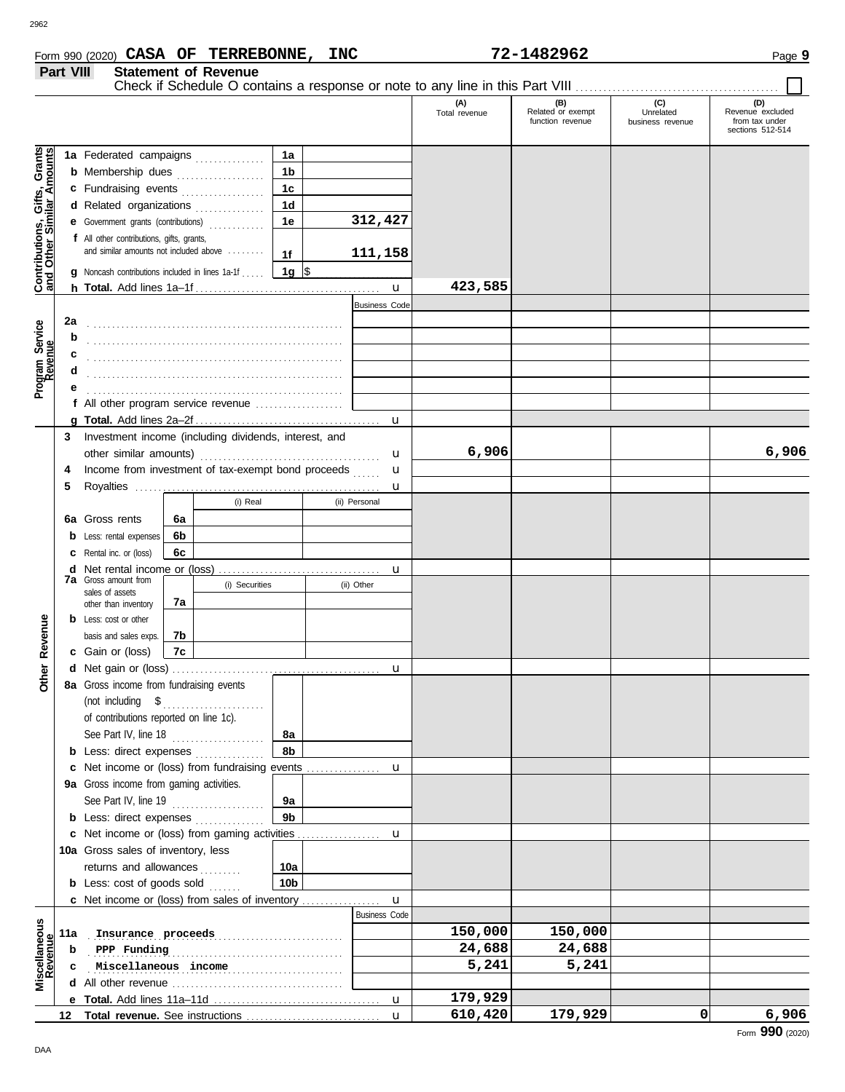## Form 990 (2020) Page **9 CASA OF TERREBONNE, INC 72-1482962**

|                                                                                                | Part VIII              |                                                                                                                                                                                                                                                                                                                                                                     |          | <b>Statement of Revenue</b> |                                                                                       |                                                            |                      |                                              |                                      |                                                               |
|------------------------------------------------------------------------------------------------|------------------------|---------------------------------------------------------------------------------------------------------------------------------------------------------------------------------------------------------------------------------------------------------------------------------------------------------------------------------------------------------------------|----------|-----------------------------|---------------------------------------------------------------------------------------|------------------------------------------------------------|----------------------|----------------------------------------------|--------------------------------------|---------------------------------------------------------------|
|                                                                                                |                        |                                                                                                                                                                                                                                                                                                                                                                     |          |                             |                                                                                       |                                                            | (A)<br>Total revenue | (B)<br>Related or exempt<br>function revenue | (C)<br>Unrelated<br>business revenue | (D)<br>Revenue excluded<br>from tax under<br>sections 512-514 |
| Gifts, Grants<br>ilar Amounts<br>Contributions,<br>and Other Sim<br>Program Service<br>Revenue | 2a<br>b<br>c<br>d<br>е | 1a Federated campaigns<br><b>b</b> Membership dues<br>c Fundraising events<br>d Related organizations<br>e Government grants (contributions)<br>f All other contributions, gifts, grants,<br>and similar amounts not included above<br><b>g</b> Noncash contributions included in lines 1a-1f<br>f All other program service revenue $\ldots$ , $\ldots$ , $\ldots$ |          |                             | 1a<br>1 <sub>b</sub><br>1 <sub>c</sub><br>1 <sub>d</sub><br>1e<br>1f<br>1g $\sqrt{ }$ | 312,427<br>111,158<br>$\mathbf{u}$<br><b>Business Code</b> | 423,585              |                                              |                                      |                                                               |
|                                                                                                |                        |                                                                                                                                                                                                                                                                                                                                                                     |          |                             |                                                                                       | u                                                          |                      |                                              |                                      |                                                               |
|                                                                                                | 3<br>5                 | Investment income (including dividends, interest, and<br>Income from investment of tax-exempt bond proceeds                                                                                                                                                                                                                                                         |          |                             |                                                                                       | u<br>u<br>u                                                | 6,906                |                                              |                                      | 6,906                                                         |
|                                                                                                |                        | 6a Gross rents<br><b>b</b> Less: rental expenses                                                                                                                                                                                                                                                                                                                    | 6a<br>6b | (i) Real                    |                                                                                       | (ii) Personal                                              |                      |                                              |                                      |                                                               |
|                                                                                                |                        | <b>c</b> Rental inc. or (loss)<br>6с<br><b>7a</b> Gross amount from<br>(i) Securities<br>sales of assets<br>7а                                                                                                                                                                                                                                                      |          |                             | u<br>(ii) Other                                                                       |                                                            |                      |                                              |                                      |                                                               |
| Revenue                                                                                        |                        | other than inventory<br><b>b</b> Less: cost or other<br>basis and sales exps.<br>c Gain or (loss)                                                                                                                                                                                                                                                                   | 7b<br>7c |                             |                                                                                       |                                                            |                      |                                              |                                      |                                                               |
| <u>ber</u><br>ŏ                                                                                |                        | 8a Gross income from fundraising events<br>(not including $$$<br>of contributions reported on line 1c).                                                                                                                                                                                                                                                             |          |                             |                                                                                       | u                                                          |                      |                                              |                                      |                                                               |
|                                                                                                |                        | See Part IV, line 18<br><b>b</b> Less: direct expenses<br>9a Gross income from gaming activities.                                                                                                                                                                                                                                                                   |          |                             | 8а<br>8b                                                                              | u                                                          |                      |                                              |                                      |                                                               |
|                                                                                                |                        | See Part IV, line 19<br><b>b</b> Less: direct expenses <i>minimum</i>                                                                                                                                                                                                                                                                                               |          |                             | 9а<br>9 <sub>b</sub>                                                                  | c Net income or (loss) from gaming activities<br>u         |                      |                                              |                                      |                                                               |
|                                                                                                |                        | 10a Gross sales of inventory, less<br>returns and allowances<br><b>b</b> Less: $cost$ of goods sold $\ldots$                                                                                                                                                                                                                                                        |          |                             | 10a<br>10b                                                                            |                                                            |                      |                                              |                                      |                                                               |
|                                                                                                |                        |                                                                                                                                                                                                                                                                                                                                                                     |          |                             |                                                                                       | u<br><b>Business Code</b>                                  |                      |                                              |                                      |                                                               |
| Miscellaneous                                                                                  | 11a<br>b               | Insurance proceeds<br>PPP Funding                                                                                                                                                                                                                                                                                                                                   |          |                             |                                                                                       |                                                            | 150,000<br>24,688    | 150,000<br>24,688                            |                                      |                                                               |
|                                                                                                | c                      | Miscellaneous income                                                                                                                                                                                                                                                                                                                                                |          |                             |                                                                                       |                                                            | 5,241                | 5,241                                        |                                      |                                                               |
|                                                                                                |                        |                                                                                                                                                                                                                                                                                                                                                                     |          |                             |                                                                                       | u                                                          | 179,929              |                                              |                                      |                                                               |
|                                                                                                |                        |                                                                                                                                                                                                                                                                                                                                                                     |          |                             |                                                                                       | $\mathbf{u}$                                               | 610,420              | 179,929                                      | $\mathbf{0}$                         | 6,906                                                         |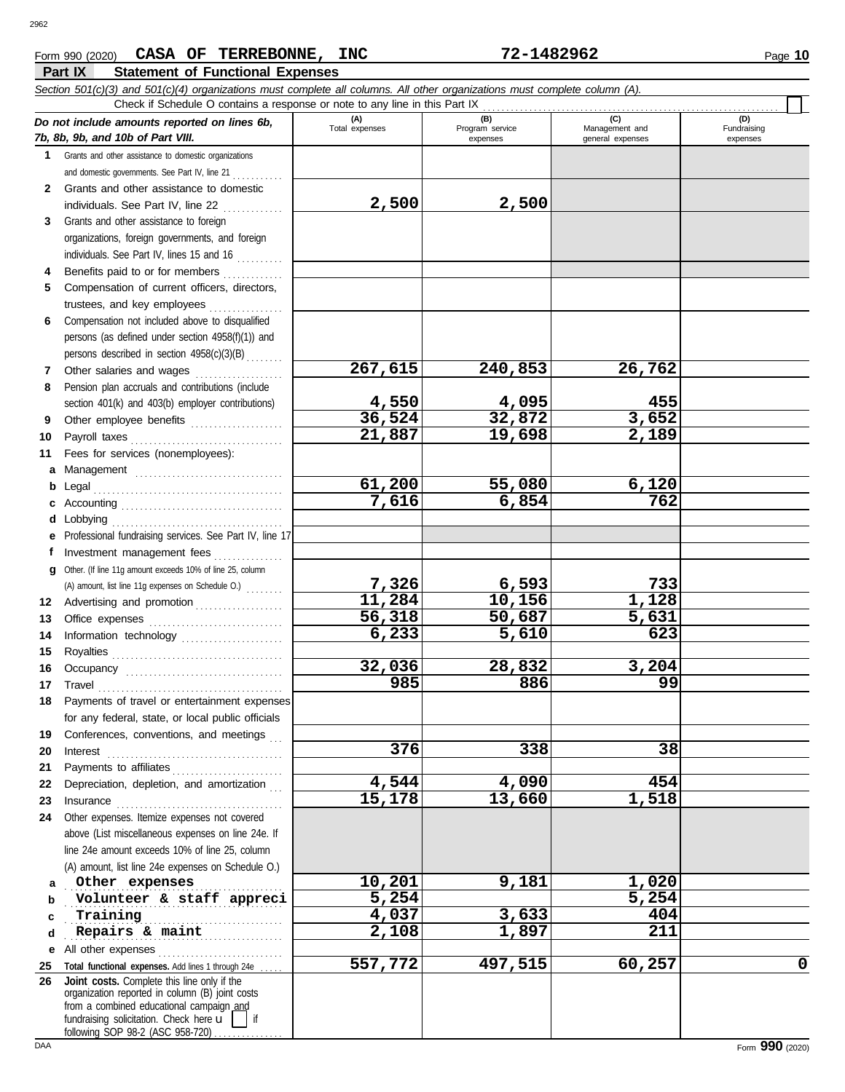### **Part IX Statement of Functional Expenses** Form 990 (2020) Page **10 CASA OF TERREBONNE, INC 72-1482962**

|             | Check if Schedule O contains a response or note to any line in this Part IX                                                                                                                                                                                                      |                       |                        |                       |                    |
|-------------|----------------------------------------------------------------------------------------------------------------------------------------------------------------------------------------------------------------------------------------------------------------------------------|-----------------------|------------------------|-----------------------|--------------------|
|             | Do not include amounts reported on lines 6b,                                                                                                                                                                                                                                     | (A)<br>Total expenses | (B)<br>Program service | (C)<br>Management and | (D)<br>Fundraising |
|             | 7b, 8b, 9b, and 10b of Part VIII.                                                                                                                                                                                                                                                |                       | expenses               | general expenses      | expenses           |
| $\mathbf 1$ | Grants and other assistance to domestic organizations                                                                                                                                                                                                                            |                       |                        |                       |                    |
|             | and domestic governments. See Part IV, line 21                                                                                                                                                                                                                                   |                       |                        |                       |                    |
| 2           | Grants and other assistance to domestic                                                                                                                                                                                                                                          |                       |                        |                       |                    |
|             | individuals. See Part IV, line 22                                                                                                                                                                                                                                                | 2,500                 | 2,500                  |                       |                    |
| 3           | Grants and other assistance to foreign                                                                                                                                                                                                                                           |                       |                        |                       |                    |
|             | organizations, foreign governments, and foreign                                                                                                                                                                                                                                  |                       |                        |                       |                    |
|             | individuals. See Part IV, lines 15 and 16                                                                                                                                                                                                                                        |                       |                        |                       |                    |
| 4           | Benefits paid to or for members                                                                                                                                                                                                                                                  |                       |                        |                       |                    |
| 5           | Compensation of current officers, directors,                                                                                                                                                                                                                                     |                       |                        |                       |                    |
|             | trustees, and key employees                                                                                                                                                                                                                                                      |                       |                        |                       |                    |
| 6           | Compensation not included above to disqualified                                                                                                                                                                                                                                  |                       |                        |                       |                    |
|             | persons (as defined under section 4958(f)(1)) and                                                                                                                                                                                                                                |                       |                        |                       |                    |
|             | persons described in section 4958(c)(3)(B)                                                                                                                                                                                                                                       |                       |                        |                       |                    |
| 7           | Other salaries and wages                                                                                                                                                                                                                                                         | 267,615               | 240,853                | 26,762                |                    |
| 8           | Pension plan accruals and contributions (include                                                                                                                                                                                                                                 |                       |                        |                       |                    |
|             | section 401(k) and 403(b) employer contributions)                                                                                                                                                                                                                                | 4,550<br>36,524       | 4,095                  | 455<br>3,652          |                    |
| 9           | Other employee benefits                                                                                                                                                                                                                                                          |                       | 32,872                 |                       |                    |
| 10          |                                                                                                                                                                                                                                                                                  | 21,887                | 19,698                 | 2,189                 |                    |
| 11          | Fees for services (nonemployees):                                                                                                                                                                                                                                                |                       |                        |                       |                    |
| a           |                                                                                                                                                                                                                                                                                  |                       |                        |                       |                    |
| b           |                                                                                                                                                                                                                                                                                  | 61,200                | 55,080                 | 6,120                 |                    |
| с           |                                                                                                                                                                                                                                                                                  | 7,616                 | 6,854                  | 762                   |                    |
| d           | Lobbying                                                                                                                                                                                                                                                                         |                       |                        |                       |                    |
| е           | Professional fundraising services. See Part IV, line 17                                                                                                                                                                                                                          |                       |                        |                       |                    |
| f           | Investment management fees                                                                                                                                                                                                                                                       |                       |                        |                       |                    |
| q           | Other. (If line 11g amount exceeds 10% of line 25, column                                                                                                                                                                                                                        |                       |                        |                       |                    |
|             | (A) amount, list line 11g expenses on Schedule O.)                                                                                                                                                                                                                               | 7,326<br>11,284       | 6,593<br>10,156        | 733<br>1,128          |                    |
| 12          | Advertising and promotion                                                                                                                                                                                                                                                        | 56,318                | 50,687                 | 5,631                 |                    |
| 13          |                                                                                                                                                                                                                                                                                  | 6,233                 | 5,610                  | 623                   |                    |
| 14          | Information technology                                                                                                                                                                                                                                                           |                       |                        |                       |                    |
| 15          |                                                                                                                                                                                                                                                                                  | 32,036                | 28,832                 | 3,204                 |                    |
| 16          |                                                                                                                                                                                                                                                                                  | 985                   | 886                    | 99                    |                    |
| 17          | Travel                                                                                                                                                                                                                                                                           |                       |                        |                       |                    |
| 18          | Payments of travel or entertainment expenses<br>for any federal, state, or local public officials                                                                                                                                                                                |                       |                        |                       |                    |
|             | Conferences, conventions, and meetings                                                                                                                                                                                                                                           |                       |                        |                       |                    |
| 19<br>20    |                                                                                                                                                                                                                                                                                  | 376                   | 338                    | 38                    |                    |
| 21          | $\textbf{Interest} \hspace{0.05in} \ldots \hspace{0.05in} \ldots \hspace{0.05in} \ldots \hspace{0.05in} \ldots \hspace{0.05in} \ldots \hspace{0.05in} \ldots \hspace{0.05in} \ldots \hspace{0.05in} \ldots \hspace{0.05in} \ldots \hspace{0.05in} \ldots \hspace{0.05in} \ldots$ |                       |                        |                       |                    |
| 22          | Depreciation, depletion, and amortization                                                                                                                                                                                                                                        | 4,544                 | 4,090                  | 454                   |                    |
| 23          |                                                                                                                                                                                                                                                                                  | 15,178                | 13,660                 | 1,518                 |                    |
| 24          | Other expenses. Itemize expenses not covered                                                                                                                                                                                                                                     |                       |                        |                       |                    |
|             | above (List miscellaneous expenses on line 24e. If                                                                                                                                                                                                                               |                       |                        |                       |                    |
|             | line 24e amount exceeds 10% of line 25, column                                                                                                                                                                                                                                   |                       |                        |                       |                    |
|             | (A) amount, list line 24e expenses on Schedule O.)                                                                                                                                                                                                                               |                       |                        |                       |                    |
| a           | Other expenses                                                                                                                                                                                                                                                                   | 10,201                | 9,181                  | 1,020                 |                    |
| b           | Volunteer & staff appreci                                                                                                                                                                                                                                                        | 5,254                 |                        | 5,254                 |                    |
| c           | Training                                                                                                                                                                                                                                                                         | 4,037                 | 3,633                  | 404                   |                    |
| d           | Repairs & maint                                                                                                                                                                                                                                                                  | 2,108                 | 1,897                  | 211                   |                    |
| е           | All other expenses                                                                                                                                                                                                                                                               |                       |                        |                       |                    |
| 25          | Total functional expenses. Add lines 1 through 24e                                                                                                                                                                                                                               | 557,772               | 497,515                | 60,257                | 0                  |
| 26          | Joint costs. Complete this line only if the                                                                                                                                                                                                                                      |                       |                        |                       |                    |
|             | organization reported in column (B) joint costs                                                                                                                                                                                                                                  |                       |                        |                       |                    |
|             | from a combined educational campaign and<br>fundraising solicitation. Check here u<br>if                                                                                                                                                                                         |                       |                        |                       |                    |
|             | following SOP 98.2 (ASC 958.720)                                                                                                                                                                                                                                                 |                       |                        |                       |                    |

following SOP 98-2 (ASC 958-720) . . . . . . . . . . . . .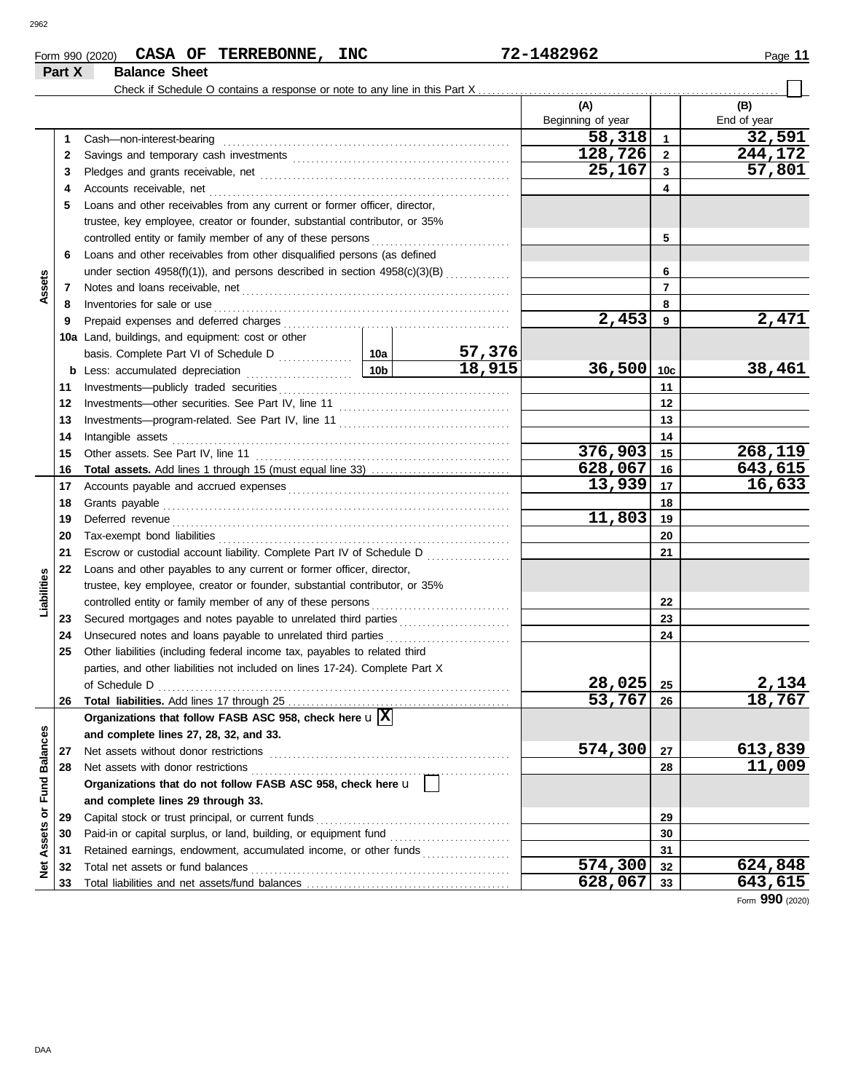| Form 990 (2020) | <b>CASA</b>          | OF | <b>TERREBONNE,</b> | <b>INC</b> | 1482962-<br>$\lambda$ – | Page |
|-----------------|----------------------|----|--------------------|------------|-------------------------|------|
| Part X          | <b>Balance Sheet</b> |    |                    |            |                         |      |

|                      |          |                                                                                                                                                                                                                                      |     |         | (A)<br>Beginning of year |                | (B)<br>End of year |
|----------------------|----------|--------------------------------------------------------------------------------------------------------------------------------------------------------------------------------------------------------------------------------------|-----|---------|--------------------------|----------------|--------------------|
|                      | 1        | Cash-non-interest-bearing                                                                                                                                                                                                            |     |         | 58,318                   | $\mathbf{1}$   | 32,591             |
|                      | 2        |                                                                                                                                                                                                                                      |     |         | 128,726                  | $\overline{2}$ | 244,172            |
|                      | 3        |                                                                                                                                                                                                                                      |     |         | 25,167                   | $\mathbf{3}$   | 57,801             |
|                      | 4        | Accounts receivable, net                                                                                                                                                                                                             |     |         |                          | 4              |                    |
|                      | 5        | Loans and other receivables from any current or former officer, director,                                                                                                                                                            |     |         |                          |                |                    |
|                      |          | trustee, key employee, creator or founder, substantial contributor, or 35%                                                                                                                                                           |     |         |                          |                |                    |
|                      |          | controlled entity or family member of any of these persons                                                                                                                                                                           |     |         |                          | 5              |                    |
|                      | 6        | Loans and other receivables from other disqualified persons (as defined                                                                                                                                                              |     |         |                          |                |                    |
|                      |          | under section 4958(f)(1)), and persons described in section 4958(c)(3)(B)                                                                                                                                                            |     |         |                          | 6              |                    |
| Assets               | 7        | Notes and loans receivable, net manufactured and contact and loans receivable, net manufactured and contact and                                                                                                                      |     |         |                          | 7              |                    |
|                      | 8        |                                                                                                                                                                                                                                      |     | 8       |                          |                |                    |
|                      | 9        | Inventories for sale or use <i>communication</i> and the state of the state or use of the state of the state of the state of the state of the state of the state of the state of the state of the state of the state of the state o  |     |         | 2,453                    | 9              | 2,471              |
|                      |          | 10a Land, buildings, and equipment: cost or other                                                                                                                                                                                    |     |         |                          |                |                    |
|                      |          |                                                                                                                                                                                                                                      |     | 57,376  |                          |                |                    |
|                      |          |                                                                                                                                                                                                                                      | 10b | 18,915  | 36,500                   | 10c            | 38,461             |
|                      |          |                                                                                                                                                                                                                                      |     |         |                          | 11             |                    |
|                      | 11       |                                                                                                                                                                                                                                      |     |         |                          | 12             |                    |
|                      | 12       |                                                                                                                                                                                                                                      |     |         |                          | 13             |                    |
|                      | 13       |                                                                                                                                                                                                                                      |     |         |                          |                |                    |
|                      | 14       | Intangible assets                                                                                                                                                                                                                    |     | 376,903 | 14                       | 268,119        |                    |
|                      | 15       |                                                                                                                                                                                                                                      |     |         | 628,067                  | 15             | 643,615            |
|                      | 16       |                                                                                                                                                                                                                                      |     | 13,939  | 16<br>17                 | 16,633         |                    |
|                      | 17<br>18 |                                                                                                                                                                                                                                      |     |         |                          | 18             |                    |
|                      |          |                                                                                                                                                                                                                                      |     |         | 11,803                   | 19             |                    |
|                      | 19       | Deferred revenue <b>contract and the contract of the contract of the contract of the contract of the contract of the contract of the contract of the contract of the contract of the contract of the contract of the contract of</b> |     |         | 20                       |                |                    |
|                      | 20       |                                                                                                                                                                                                                                      |     |         |                          |                |                    |
|                      | 21       | Escrow or custodial account liability. Complete Part IV of Schedule D                                                                                                                                                                |     |         |                          | 21             |                    |
|                      | 22       | Loans and other payables to any current or former officer, director,                                                                                                                                                                 |     |         |                          |                |                    |
| Liabilities          |          | trustee, key employee, creator or founder, substantial contributor, or 35%                                                                                                                                                           |     |         |                          |                |                    |
|                      |          |                                                                                                                                                                                                                                      |     |         |                          | 22             |                    |
|                      | 23       |                                                                                                                                                                                                                                      |     |         |                          | 23             |                    |
|                      | 24       | Unsecured notes and loans payable to unrelated third parties                                                                                                                                                                         |     |         |                          | 24             |                    |
|                      | 25       | Other liabilities (including federal income tax, payables to related third                                                                                                                                                           |     |         |                          |                |                    |
|                      |          | parties, and other liabilities not included on lines 17-24). Complete Part X                                                                                                                                                         |     |         | 28,025                   | 25             | 2,134              |
|                      |          |                                                                                                                                                                                                                                      |     |         | 53,767                   |                | <u>18,767</u>      |
|                      | 26       | Total liabilities. Add lines 17 through 25.<br>Organizations that follow FASB ASC 958, check here $\mathbf{u}[\overline{\mathbf{X}}]$                                                                                                |     |         |                          | 26             |                    |
|                      |          |                                                                                                                                                                                                                                      |     |         |                          |                |                    |
|                      |          | and complete lines 27, 28, 32, and 33.<br>Net assets without donor restrictions                                                                                                                                                      |     |         | 574,300                  | 27             | 613,839            |
|                      | 27<br>28 | Net assets with donor restrictions                                                                                                                                                                                                   |     |         |                          | 28             | 11,009             |
|                      |          | Organizations that do not follow FASB ASC 958, check here u                                                                                                                                                                          |     |         |                          |                |                    |
| <b>Fund Balances</b> |          | and complete lines 29 through 33.                                                                                                                                                                                                    |     |         |                          |                |                    |
| ŏ                    | 29       | Capital stock or trust principal, or current funds                                                                                                                                                                                   |     |         |                          | 29             |                    |
|                      | 30       |                                                                                                                                                                                                                                      |     |         |                          | 30             |                    |
|                      | 31       | Retained earnings, endowment, accumulated income, or other funds                                                                                                                                                                     |     |         |                          | 31             |                    |
| <b>Net Assets</b>    | 32       | Total net assets or fund balances                                                                                                                                                                                                    |     |         | 574,300                  | 32             | 624,848            |
|                      | 33       |                                                                                                                                                                                                                                      |     |         | 628,067                  | 33             | 643,615            |
|                      |          |                                                                                                                                                                                                                                      |     |         |                          |                |                    |

Form **990** (2020)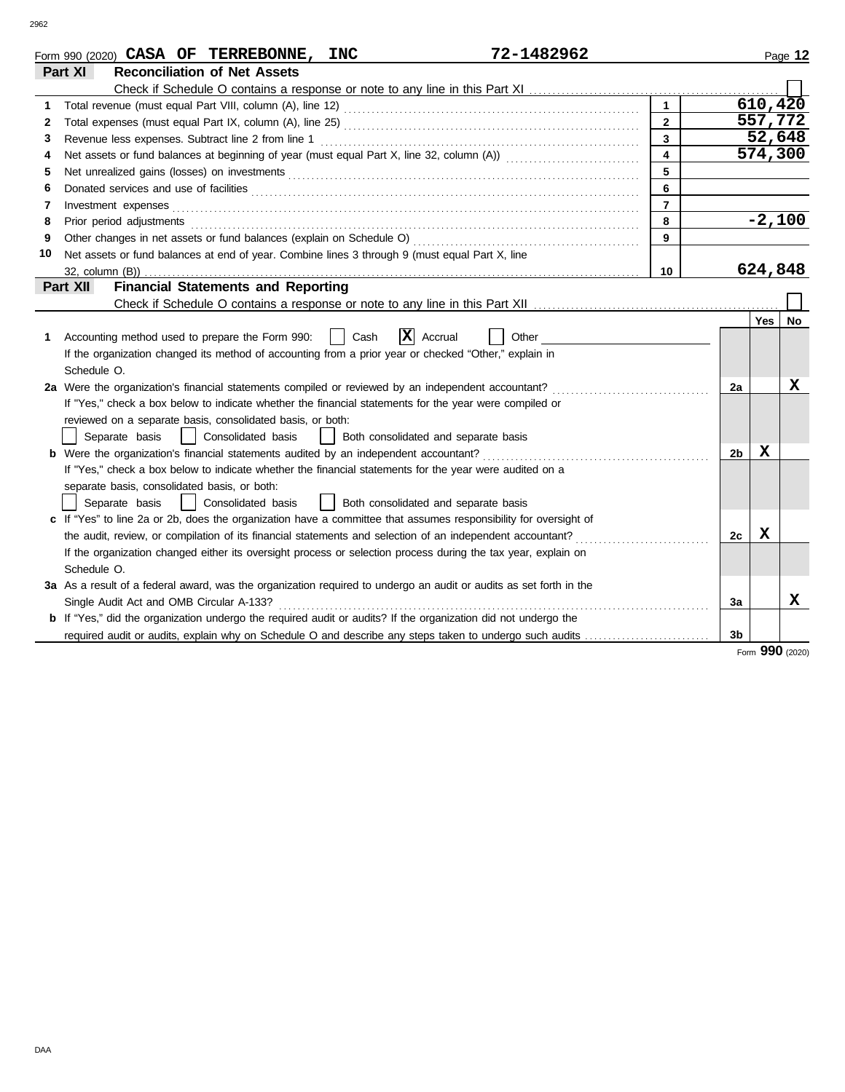|    | 72-1482962<br>Form 990 (2020) CASA OF TERREBONNE, INC                                                                                                                                                                          |                         |                |            | Page 12 |
|----|--------------------------------------------------------------------------------------------------------------------------------------------------------------------------------------------------------------------------------|-------------------------|----------------|------------|---------|
|    | Part XI<br><b>Reconciliation of Net Assets</b>                                                                                                                                                                                 |                         |                |            |         |
|    |                                                                                                                                                                                                                                |                         |                |            |         |
|    |                                                                                                                                                                                                                                | $\mathbf{1}$            |                | 610, 420   |         |
| 2  |                                                                                                                                                                                                                                | $\overline{2}$          |                | 557,772    |         |
| 3  | Revenue less expenses. Subtract line 2 from line 1                                                                                                                                                                             | 3                       |                | 52,648     |         |
| 4  | Net assets or fund balances at beginning of year (must equal Part X, line 32, column (A)) [[[[[[[[[[[[[[[[[[[                                                                                                                  | $\overline{\mathbf{4}}$ |                | 574,300    |         |
| 5  |                                                                                                                                                                                                                                | 5                       |                |            |         |
| 6  |                                                                                                                                                                                                                                | 6                       |                |            |         |
| 7  | Investment expenses <b>contract and the expenses contract and the expenses contract and the expenses</b>                                                                                                                       | $\overline{7}$          |                |            |         |
| 8  | Prior period adjustments entertainments and adjustments and account of the contract of the contract of the contract of the contract of the contract of the contract of the contract of the contract of the contract of the con | 8                       |                | $-2,100$   |         |
| 9  |                                                                                                                                                                                                                                | 9                       |                |            |         |
| 10 | Net assets or fund balances at end of year. Combine lines 3 through 9 (must equal Part X, line                                                                                                                                 |                         |                |            |         |
|    |                                                                                                                                                                                                                                | 10                      |                | 624,848    |         |
|    | <b>Financial Statements and Reporting</b><br>Part XII                                                                                                                                                                          |                         |                |            |         |
|    |                                                                                                                                                                                                                                |                         |                |            |         |
|    |                                                                                                                                                                                                                                |                         |                | <b>Yes</b> | No      |
| 1  | $ \mathbf{X} $ Accrual<br>Cash<br>Accounting method used to prepare the Form 990:<br>Other                                                                                                                                     |                         |                |            |         |
|    | If the organization changed its method of accounting from a prior year or checked "Other," explain in                                                                                                                          |                         |                |            |         |
|    | Schedule O.                                                                                                                                                                                                                    |                         |                |            |         |
|    | 2a Were the organization's financial statements compiled or reviewed by an independent accountant?                                                                                                                             |                         | 2a             |            | X       |
|    | If "Yes," check a box below to indicate whether the financial statements for the year were compiled or                                                                                                                         |                         |                |            |         |
|    | reviewed on a separate basis, consolidated basis, or both:                                                                                                                                                                     |                         |                |            |         |
|    | Separate basis<br>Consolidated basis<br>  Both consolidated and separate basis                                                                                                                                                 |                         |                |            |         |
|    | <b>b</b> Were the organization's financial statements audited by an independent accountant?                                                                                                                                    |                         | 2 <sub>b</sub> | X          |         |
|    | If "Yes," check a box below to indicate whether the financial statements for the year were audited on a                                                                                                                        |                         |                |            |         |
|    | separate basis, consolidated basis, or both:                                                                                                                                                                                   |                         |                |            |         |
|    | Consolidated basis<br>  Both consolidated and separate basis<br>Separate basis                                                                                                                                                 |                         |                |            |         |
|    | c If "Yes" to line 2a or 2b, does the organization have a committee that assumes responsibility for oversight of                                                                                                               |                         |                |            |         |
|    | the audit, review, or compilation of its financial statements and selection of an independent accountant?                                                                                                                      |                         | 2c             | X          |         |
|    | If the organization changed either its oversight process or selection process during the tax year, explain on                                                                                                                  |                         |                |            |         |
|    | Schedule O.                                                                                                                                                                                                                    |                         |                |            |         |
|    | 3a As a result of a federal award, was the organization required to undergo an audit or audits as set forth in the                                                                                                             |                         |                |            |         |
|    | Single Audit Act and OMB Circular A-133?                                                                                                                                                                                       |                         | 3a             |            | x       |
|    | b If "Yes," did the organization undergo the required audit or audits? If the organization did not undergo the                                                                                                                 |                         |                |            |         |
|    | required audit or audits, explain why on Schedule O and describe any steps taken to undergo such audits                                                                                                                        |                         | 3 <sub>b</sub> |            |         |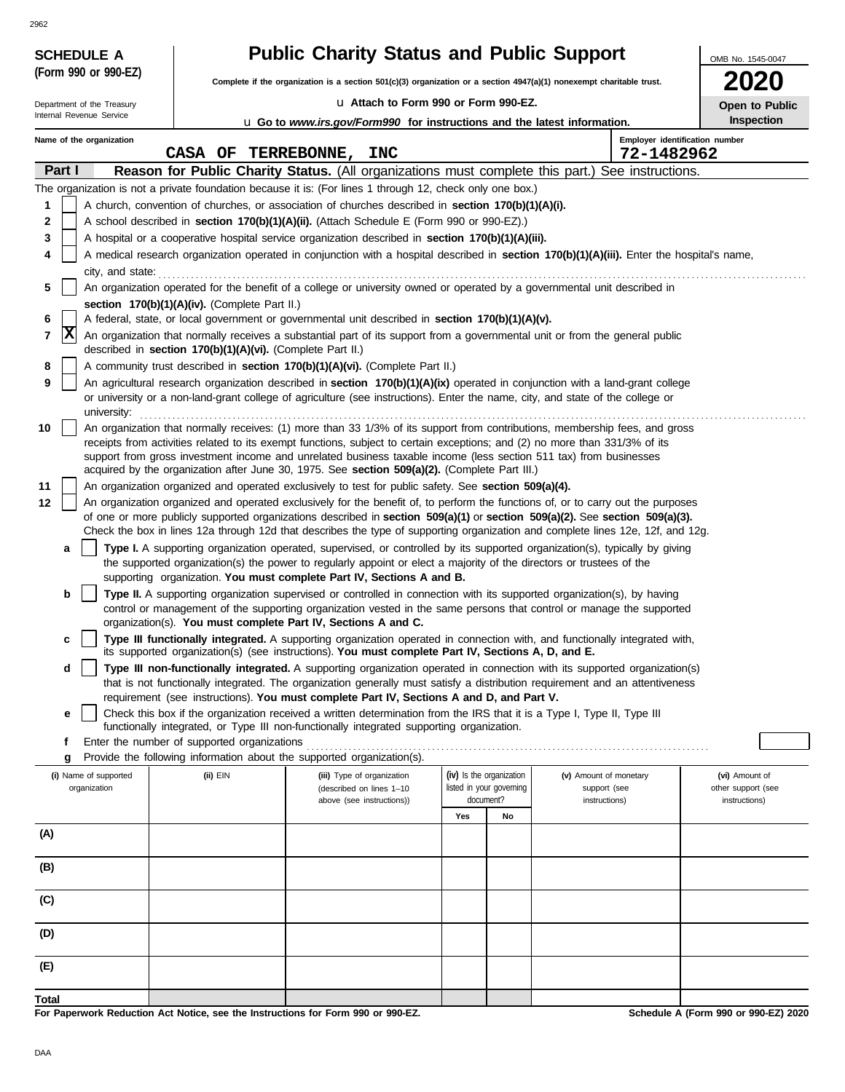| <b>SCHEDULE A</b>          |                                                                                                                                                                                                                                                                 | <b>Public Charity Status and Public Support</b>                                                                                                                                                                                  |                                       |    |                        | OMB No. 1545-0047                    |  |  |  |  |  |
|----------------------------|-----------------------------------------------------------------------------------------------------------------------------------------------------------------------------------------------------------------------------------------------------------------|----------------------------------------------------------------------------------------------------------------------------------------------------------------------------------------------------------------------------------|---------------------------------------|----|------------------------|--------------------------------------|--|--|--|--|--|
| (Form 990 or 990-EZ)       |                                                                                                                                                                                                                                                                 | Complete if the organization is a section 501(c)(3) organization or a section 4947(a)(1) nonexempt charitable trust.                                                                                                             |                                       |    |                        |                                      |  |  |  |  |  |
| Department of the Treasury |                                                                                                                                                                                                                                                                 | La Attach to Form 990 or Form 990-EZ.                                                                                                                                                                                            |                                       |    |                        |                                      |  |  |  |  |  |
| Internal Revenue Service   |                                                                                                                                                                                                                                                                 | <b>u</b> Go to <i>www.irs.gov/Form990</i> for instructions and the latest information.                                                                                                                                           |                                       |    |                        | Open to Public<br>Inspection         |  |  |  |  |  |
| Name of the organization   | CASA OF TERREBONNE, INC                                                                                                                                                                                                                                         |                                                                                                                                                                                                                                  |                                       |    | 72-1482962             | Employer identification number       |  |  |  |  |  |
| Part I                     |                                                                                                                                                                                                                                                                 | Reason for Public Charity Status. (All organizations must complete this part.) See instructions.                                                                                                                                 |                                       |    |                        |                                      |  |  |  |  |  |
|                            |                                                                                                                                                                                                                                                                 | The organization is not a private foundation because it is: (For lines 1 through 12, check only one box.)                                                                                                                        |                                       |    |                        |                                      |  |  |  |  |  |
| 1                          |                                                                                                                                                                                                                                                                 | A church, convention of churches, or association of churches described in section 170(b)(1)(A)(i).                                                                                                                               |                                       |    |                        |                                      |  |  |  |  |  |
| 2                          |                                                                                                                                                                                                                                                                 | A school described in section 170(b)(1)(A)(ii). (Attach Schedule E (Form 990 or 990-EZ).)                                                                                                                                        |                                       |    |                        |                                      |  |  |  |  |  |
| 3                          |                                                                                                                                                                                                                                                                 | A hospital or a cooperative hospital service organization described in section 170(b)(1)(A)(iii).                                                                                                                                |                                       |    |                        |                                      |  |  |  |  |  |
| 4                          |                                                                                                                                                                                                                                                                 | A medical research organization operated in conjunction with a hospital described in section 170(b)(1)(A)(iii). Enter the hospital's name,                                                                                       |                                       |    |                        |                                      |  |  |  |  |  |
| city, and state:           |                                                                                                                                                                                                                                                                 |                                                                                                                                                                                                                                  |                                       |    |                        |                                      |  |  |  |  |  |
| 5                          |                                                                                                                                                                                                                                                                 | An organization operated for the benefit of a college or university owned or operated by a governmental unit described in                                                                                                        |                                       |    |                        |                                      |  |  |  |  |  |
|                            | section 170(b)(1)(A)(iv). (Complete Part II.)                                                                                                                                                                                                                   |                                                                                                                                                                                                                                  |                                       |    |                        |                                      |  |  |  |  |  |
| 6                          | A federal, state, or local government or governmental unit described in section 170(b)(1)(A)(v).                                                                                                                                                                |                                                                                                                                                                                                                                  |                                       |    |                        |                                      |  |  |  |  |  |
| 7                          | X<br>An organization that normally receives a substantial part of its support from a governmental unit or from the general public<br>described in section 170(b)(1)(A)(vi). (Complete Part II.)                                                                 |                                                                                                                                                                                                                                  |                                       |    |                        |                                      |  |  |  |  |  |
| 8                          |                                                                                                                                                                                                                                                                 | A community trust described in section 170(b)(1)(A)(vi). (Complete Part II.)                                                                                                                                                     |                                       |    |                        |                                      |  |  |  |  |  |
| 9<br>university:           | An agricultural research organization described in section 170(b)(1)(A)(ix) operated in conjunction with a land-grant college<br>or university or a non-land-grant college of agriculture (see instructions). Enter the name, city, and state of the college or |                                                                                                                                                                                                                                  |                                       |    |                        |                                      |  |  |  |  |  |
| 10                         |                                                                                                                                                                                                                                                                 | An organization that normally receives: (1) more than 33 1/3% of its support from contributions, membership fees, and gross                                                                                                      |                                       |    |                        |                                      |  |  |  |  |  |
|                            |                                                                                                                                                                                                                                                                 | receipts from activities related to its exempt functions, subject to certain exceptions; and (2) no more than 331/3% of its                                                                                                      |                                       |    |                        |                                      |  |  |  |  |  |
|                            |                                                                                                                                                                                                                                                                 | support from gross investment income and unrelated business taxable income (less section 511 tax) from businesses<br>acquired by the organization after June 30, 1975. See section 509(a)(2). (Complete Part III.)               |                                       |    |                        |                                      |  |  |  |  |  |
| 11                         |                                                                                                                                                                                                                                                                 | An organization organized and operated exclusively to test for public safety. See section 509(a)(4).                                                                                                                             |                                       |    |                        |                                      |  |  |  |  |  |
| 12                         |                                                                                                                                                                                                                                                                 | An organization organized and operated exclusively for the benefit of, to perform the functions of, or to carry out the purposes                                                                                                 |                                       |    |                        |                                      |  |  |  |  |  |
|                            |                                                                                                                                                                                                                                                                 | of one or more publicly supported organizations described in section 509(a)(1) or section 509(a)(2). See section 509(a)(3).                                                                                                      |                                       |    |                        |                                      |  |  |  |  |  |
|                            |                                                                                                                                                                                                                                                                 | Check the box in lines 12a through 12d that describes the type of supporting organization and complete lines 12e, 12f, and 12g.                                                                                                  |                                       |    |                        |                                      |  |  |  |  |  |
| a                          |                                                                                                                                                                                                                                                                 | Type I. A supporting organization operated, supervised, or controlled by its supported organization(s), typically by giving                                                                                                      |                                       |    |                        |                                      |  |  |  |  |  |
|                            |                                                                                                                                                                                                                                                                 | the supported organization(s) the power to regularly appoint or elect a majority of the directors or trustees of the<br>supporting organization. You must complete Part IV, Sections A and B.                                    |                                       |    |                        |                                      |  |  |  |  |  |
| b                          |                                                                                                                                                                                                                                                                 | Type II. A supporting organization supervised or controlled in connection with its supported organization(s), by having                                                                                                          |                                       |    |                        |                                      |  |  |  |  |  |
|                            |                                                                                                                                                                                                                                                                 | control or management of the supporting organization vested in the same persons that control or manage the supported                                                                                                             |                                       |    |                        |                                      |  |  |  |  |  |
|                            |                                                                                                                                                                                                                                                                 | organization(s). You must complete Part IV, Sections A and C.                                                                                                                                                                    |                                       |    |                        |                                      |  |  |  |  |  |
| c                          |                                                                                                                                                                                                                                                                 | Type III functionally integrated. A supporting organization operated in connection with, and functionally integrated with,<br>its supported organization(s) (see instructions). You must complete Part IV, Sections A, D, and E. |                                       |    |                        |                                      |  |  |  |  |  |
| d                          |                                                                                                                                                                                                                                                                 | Type III non-functionally integrated. A supporting organization operated in connection with its supported organization(s)                                                                                                        |                                       |    |                        |                                      |  |  |  |  |  |
|                            |                                                                                                                                                                                                                                                                 | that is not functionally integrated. The organization generally must satisfy a distribution requirement and an attentiveness                                                                                                     |                                       |    |                        |                                      |  |  |  |  |  |
|                            |                                                                                                                                                                                                                                                                 | requirement (see instructions). You must complete Part IV, Sections A and D, and Part V.                                                                                                                                         |                                       |    |                        |                                      |  |  |  |  |  |
| е                          |                                                                                                                                                                                                                                                                 | Check this box if the organization received a written determination from the IRS that it is a Type I, Type II, Type III<br>functionally integrated, or Type III non-functionally integrated supporting organization.             |                                       |    |                        |                                      |  |  |  |  |  |
| f                          | Enter the number of supported organizations                                                                                                                                                                                                                     |                                                                                                                                                                                                                                  |                                       |    |                        |                                      |  |  |  |  |  |
| g                          |                                                                                                                                                                                                                                                                 | Provide the following information about the supported organization(s).                                                                                                                                                           |                                       |    |                        |                                      |  |  |  |  |  |
| (i) Name of supported      | (ii) EIN                                                                                                                                                                                                                                                        | (iii) Type of organization                                                                                                                                                                                                       | (iv) Is the organization              |    | (v) Amount of monetary | (vi) Amount of                       |  |  |  |  |  |
| organization               |                                                                                                                                                                                                                                                                 | (described on lines 1-10                                                                                                                                                                                                         | listed in your governing<br>document? |    | support (see           | other support (see                   |  |  |  |  |  |
|                            |                                                                                                                                                                                                                                                                 | above (see instructions))                                                                                                                                                                                                        | Yes                                   | No | instructions)          | instructions)                        |  |  |  |  |  |
| (A)                        |                                                                                                                                                                                                                                                                 |                                                                                                                                                                                                                                  |                                       |    |                        |                                      |  |  |  |  |  |
|                            |                                                                                                                                                                                                                                                                 |                                                                                                                                                                                                                                  |                                       |    |                        |                                      |  |  |  |  |  |
| (B)                        |                                                                                                                                                                                                                                                                 |                                                                                                                                                                                                                                  |                                       |    |                        |                                      |  |  |  |  |  |
| (C)                        |                                                                                                                                                                                                                                                                 |                                                                                                                                                                                                                                  |                                       |    |                        |                                      |  |  |  |  |  |
|                            |                                                                                                                                                                                                                                                                 |                                                                                                                                                                                                                                  |                                       |    |                        |                                      |  |  |  |  |  |
| (D)                        |                                                                                                                                                                                                                                                                 |                                                                                                                                                                                                                                  |                                       |    |                        |                                      |  |  |  |  |  |
| (E)                        |                                                                                                                                                                                                                                                                 |                                                                                                                                                                                                                                  |                                       |    |                        |                                      |  |  |  |  |  |
| Total                      |                                                                                                                                                                                                                                                                 |                                                                                                                                                                                                                                  |                                       |    |                        |                                      |  |  |  |  |  |
|                            | For Penerwork Reduction Act Notice, see the Instructions for Form 990 or 990-F7                                                                                                                                                                                 |                                                                                                                                                                                                                                  |                                       |    |                        | Schodule A (Form 990 or 990-F7) 2020 |  |  |  |  |  |

For Paperwork Reduction Act Notice, see the Instructions for Form 990 or 990-

DAA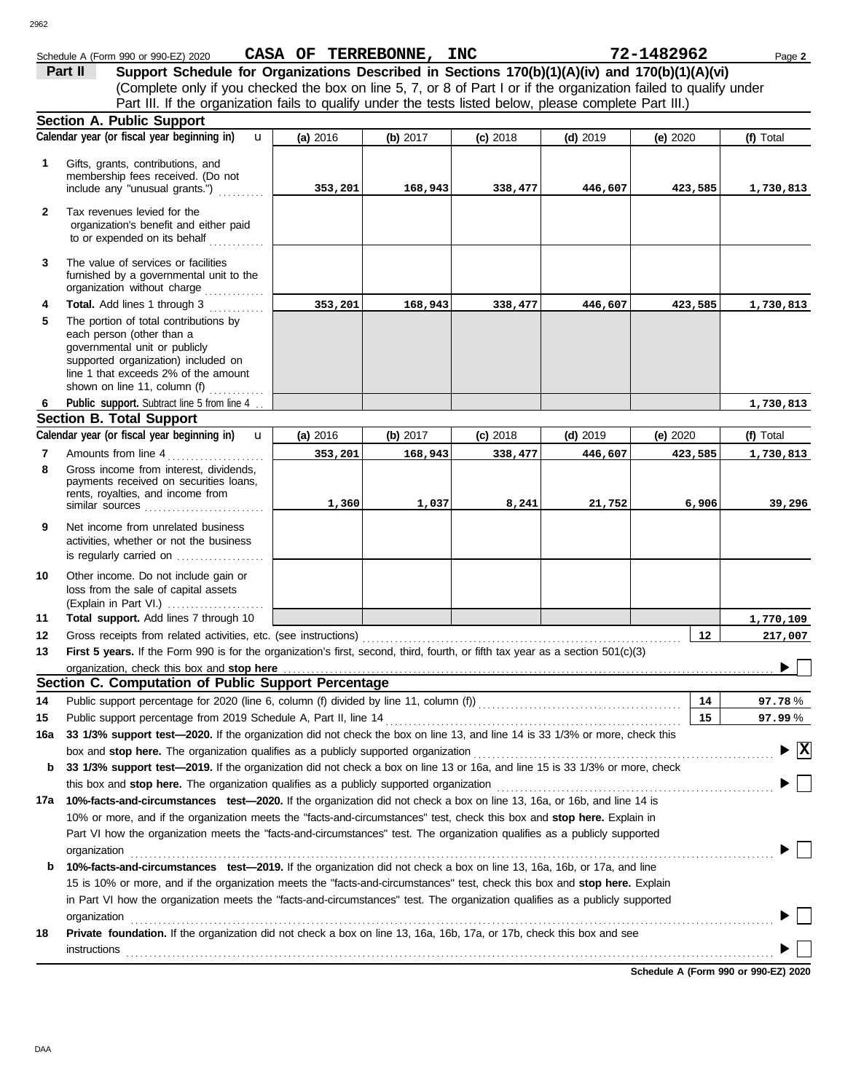|              | Schedule A (Form 990 or 990-EZ) 2020                                                                                            | CASA OF TERREBONNE, INC |            |            |            | 72-1482962      | Page 2                                        |
|--------------|---------------------------------------------------------------------------------------------------------------------------------|-------------------------|------------|------------|------------|-----------------|-----------------------------------------------|
|              | Support Schedule for Organizations Described in Sections 170(b)(1)(A)(iv) and 170(b)(1)(A)(vi)<br>Part II                       |                         |            |            |            |                 |                                               |
|              | (Complete only if you checked the box on line 5, 7, or 8 of Part I or if the organization failed to qualify under               |                         |            |            |            |                 |                                               |
|              | Part III. If the organization fails to qualify under the tests listed below, please complete Part III.)                         |                         |            |            |            |                 |                                               |
|              | <b>Section A. Public Support</b>                                                                                                |                         |            |            |            |                 |                                               |
|              | Calendar year (or fiscal year beginning in)<br>$\mathbf{u}$                                                                     | (a) 2016                | (b) 2017   | $(c)$ 2018 | $(d)$ 2019 | (e) $2020$      | (f) Total                                     |
| 1            | Gifts, grants, contributions, and                                                                                               |                         |            |            |            |                 |                                               |
|              | membership fees received. (Do not                                                                                               |                         |            |            |            |                 |                                               |
|              | include any "unusual grants.")                                                                                                  | 353,201                 | 168,943    | 338,477    | 446,607    | 423,585         | 1,730,813                                     |
| $\mathbf{2}$ | Tax revenues levied for the                                                                                                     |                         |            |            |            |                 |                                               |
|              | organization's benefit and either paid                                                                                          |                         |            |            |            |                 |                                               |
|              | to or expended on its behalf                                                                                                    |                         |            |            |            |                 |                                               |
| 3            | The value of services or facilities                                                                                             |                         |            |            |            |                 |                                               |
|              | furnished by a governmental unit to the<br>organization without charge                                                          |                         |            |            |            |                 |                                               |
| 4            | Total. Add lines 1 through 3                                                                                                    | 353,201                 | 168,943    | 338,477    | 446,607    | 423,585         | 1,730,813                                     |
| 5            | The portion of total contributions by                                                                                           |                         |            |            |            |                 |                                               |
|              | each person (other than a                                                                                                       |                         |            |            |            |                 |                                               |
|              | governmental unit or publicly                                                                                                   |                         |            |            |            |                 |                                               |
|              | supported organization) included on<br>line 1 that exceeds 2% of the amount                                                     |                         |            |            |            |                 |                                               |
|              | shown on line 11, column (f) $\ldots$                                                                                           |                         |            |            |            |                 |                                               |
| 6            | Public support. Subtract line 5 from line 4.                                                                                    |                         |            |            |            |                 | 1,730,813                                     |
|              | <b>Section B. Total Support</b>                                                                                                 |                         |            |            |            |                 |                                               |
|              | Calendar year (or fiscal year beginning in)<br>$\mathbf{u}$                                                                     | (a) 2016                | (b) $2017$ | $(c)$ 2018 | $(d)$ 2019 | (e) $2020$      | (f) Total                                     |
| 7            | Amounts from line 4                                                                                                             | 353,201                 | 168,943    | 338,477    | 446,607    | 423,585         | 1,730,813                                     |
| 8            | Gross income from interest, dividends,                                                                                          |                         |            |            |            |                 |                                               |
|              | payments received on securities loans,<br>rents, royalties, and income from                                                     |                         |            |            |            |                 |                                               |
|              |                                                                                                                                 | 1,360                   | 1,037      | 8,241      | 21,752     | 6,906           | 39,296                                        |
| 9            | Net income from unrelated business                                                                                              |                         |            |            |            |                 |                                               |
|              | activities, whether or not the business                                                                                         |                         |            |            |            |                 |                                               |
|              | is regularly carried on                                                                                                         |                         |            |            |            |                 |                                               |
| 10           | Other income. Do not include gain or                                                                                            |                         |            |            |            |                 |                                               |
|              | loss from the sale of capital assets                                                                                            |                         |            |            |            |                 |                                               |
|              |                                                                                                                                 |                         |            |            |            |                 |                                               |
| 11<br>12     | Total support. Add lines 7 through 10                                                                                           |                         |            |            |            | 12 <sup>2</sup> | 1,770,109                                     |
| 13           | First 5 years. If the Form 990 is for the organization's first, second, third, fourth, or fifth tax year as a section 501(c)(3) |                         |            |            |            |                 | 217,007                                       |
|              | organization, check this box and stop here                                                                                      |                         |            |            |            |                 | ∼ 冖                                           |
|              | Section C. Computation of Public Support Percentage                                                                             |                         |            |            |            |                 |                                               |
| 14           |                                                                                                                                 |                         |            |            |            | 14              | 97.78%                                        |
| 15           | Public support percentage from 2019 Schedule A, Part II, line 14                                                                |                         |            |            |            | 15              | 97.99%                                        |
| 16a          | 33 1/3% support test-2020. If the organization did not check the box on line 13, and line 14 is 33 1/3% or more, check this     |                         |            |            |            |                 |                                               |
|              | box and stop here. The organization qualifies as a publicly supported organization                                              |                         |            |            |            |                 | $\blacktriangleright$ $\overline{\mathbf{X}}$ |
| b            | 33 1/3% support test-2019. If the organization did not check a box on line 13 or 16a, and line 15 is 33 1/3% or more, check     |                         |            |            |            |                 |                                               |
|              | this box and stop here. The organization qualifies as a publicly supported organization                                         |                         |            |            |            |                 |                                               |
| 17a          | 10%-facts-and-circumstances test-2020. If the organization did not check a box on line 13, 16a, or 16b, and line 14 is          |                         |            |            |            |                 |                                               |
|              | 10% or more, and if the organization meets the "facts-and-circumstances" test, check this box and stop here. Explain in         |                         |            |            |            |                 |                                               |
|              | Part VI how the organization meets the "facts-and-circumstances" test. The organization qualifies as a publicly supported       |                         |            |            |            |                 |                                               |
|              | organization                                                                                                                    |                         |            |            |            |                 |                                               |
| b            | 10%-facts-and-circumstances test-2019. If the organization did not check a box on line 13, 16a, 16b, or 17a, and line           |                         |            |            |            |                 |                                               |
|              | 15 is 10% or more, and if the organization meets the "facts-and-circumstances" test, check this box and stop here. Explain      |                         |            |            |            |                 |                                               |
|              | in Part VI how the organization meets the "facts-and-circumstances" test. The organization qualifies as a publicly supported    |                         |            |            |            |                 |                                               |
|              | organization                                                                                                                    |                         |            |            |            |                 |                                               |
| 18           | Private foundation. If the organization did not check a box on line 13, 16a, 16b, 17a, or 17b, check this box and see           |                         |            |            |            |                 |                                               |
|              | <b>instructions</b>                                                                                                             |                         |            |            |            |                 |                                               |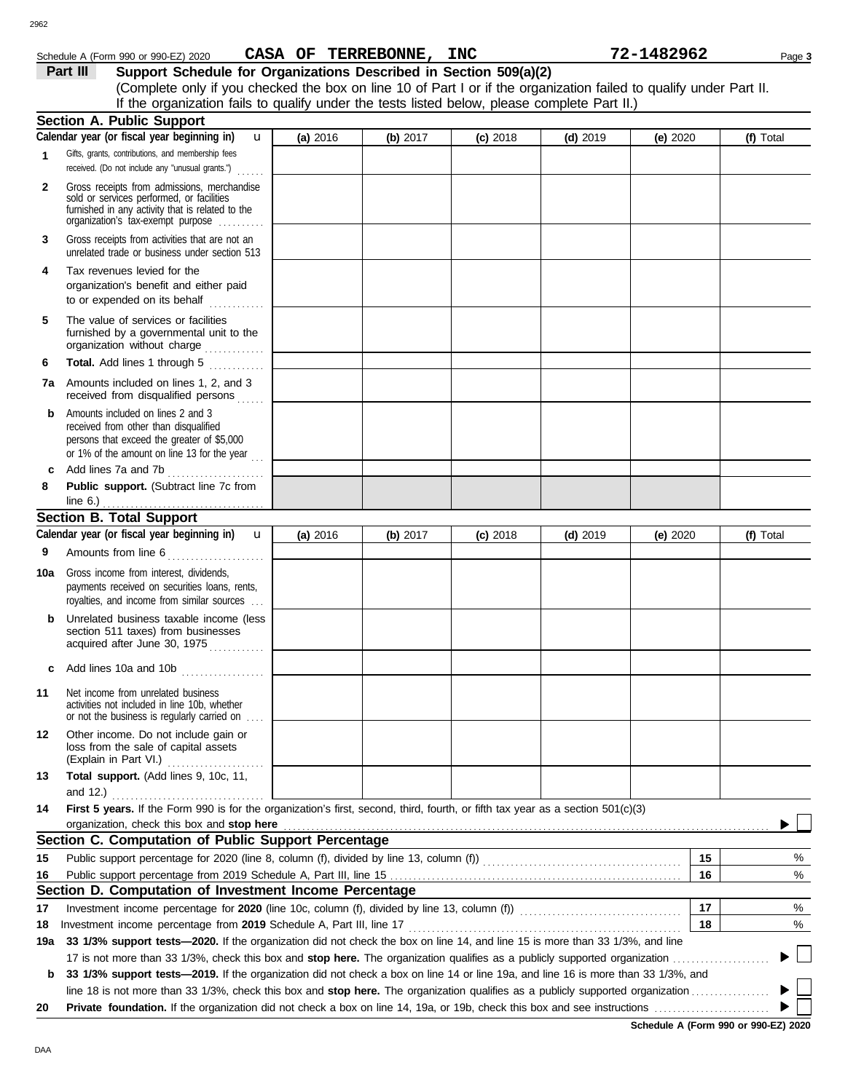### 2962

## Schedule A (Form 990 or 990-EZ) 2020 Page **3 CASA OF TERREBONNE, INC 72-1482962**

**Part III** Support Schedule for Organizations Described in Section 509(a)(2) (Complete only if you checked the box on line 10 of Part I or if the organization failed to qualify under Part II. If the organization fails to qualify under the tests listed below, please complete Part II.)

|     | <b>Section A. Public Support</b>                                                                                                                                                  |          |          |            |            |          |                |
|-----|-----------------------------------------------------------------------------------------------------------------------------------------------------------------------------------|----------|----------|------------|------------|----------|----------------|
|     | Calendar year (or fiscal year beginning in)<br>u                                                                                                                                  | (a) 2016 | (b) 2017 | $(c)$ 2018 | $(d)$ 2019 | (e) 2020 | (f) Total      |
| 1   | Gifts, grants, contributions, and membership fees<br>received. (Do not include any "unusual grants.")                                                                             |          |          |            |            |          |                |
| 2   | Gross receipts from admissions, merchandise<br>sold or services performed, or facilities<br>furnished in any activity that is related to the<br>organization's fax-exempt purpose |          |          |            |            |          |                |
| 3   | Gross receipts from activities that are not an<br>unrelated trade or business under section 513                                                                                   |          |          |            |            |          |                |
| 4   | Tax revenues levied for the<br>organization's benefit and either paid<br>to or expended on its behalf<br>.                                                                        |          |          |            |            |          |                |
| 5   | The value of services or facilities<br>furnished by a governmental unit to the<br>organization without charge                                                                     |          |          |            |            |          |                |
| 6   | Total. Add lines 1 through 5                                                                                                                                                      |          |          |            |            |          |                |
| 7a  | Amounts included on lines 1, 2, and 3<br>received from disqualified persons                                                                                                       |          |          |            |            |          |                |
| b   | Amounts included on lines 2 and 3<br>received from other than disqualified<br>persons that exceed the greater of \$5,000<br>or 1% of the amount on line 13 for the year $\ldots$  |          |          |            |            |          |                |
| c   | Add lines 7a and 7b                                                                                                                                                               |          |          |            |            |          |                |
| 8   | Public support. (Subtract line 7c from<br>line $6.$ )                                                                                                                             |          |          |            |            |          |                |
|     | <b>Section B. Total Support</b>                                                                                                                                                   |          |          |            |            |          |                |
|     | Calendar year (or fiscal year beginning in)<br>$\mathbf{u}$                                                                                                                       | (a) 2016 | (b) 2017 | $(c)$ 2018 | $(d)$ 2019 | (e) 2020 | (f) Total      |
| 9   | Amounts from line 6                                                                                                                                                               |          |          |            |            |          |                |
| 10a | Gross income from interest, dividends,<br>payments received on securities loans, rents,<br>royalties, and income from similar sources                                             |          |          |            |            |          |                |
| b   | Unrelated business taxable income (less<br>section 511 taxes) from businesses<br>acquired after June 30, 1975                                                                     |          |          |            |            |          |                |
| c   | Add lines 10a and 10b $\ldots$ $\ldots$ $\ldots$                                                                                                                                  |          |          |            |            |          |                |
| 11  | Net income from unrelated business<br>activities not included in line 10b, whether<br>or not the business is regularly carried on                                                 |          |          |            |            |          |                |
| 12  | Other income. Do not include gain or<br>loss from the sale of capital assets<br>(Explain in Part VI.)                                                                             |          |          |            |            |          |                |
| 13  | Total support. (Add lines 9, 10c, 11,<br>and $12.$ )                                                                                                                              |          |          |            |            |          |                |
| 14  | First 5 years. If the Form 990 is for the organization's first, second, third, fourth, or fifth tax year as a section 501(c)(3)                                                   |          |          |            |            |          |                |
|     | organization, check this box and stop here<br>Section C. Computation of Public Support Percentage                                                                                 |          |          |            |            |          |                |
| 15  |                                                                                                                                                                                   |          |          |            |            | 15       | %              |
| 16  |                                                                                                                                                                                   |          |          |            |            | 16       | %              |
|     | Section D. Computation of Investment Income Percentage                                                                                                                            |          |          |            |            |          |                |
| 17  | Investment income percentage for 2020 (line 10c, column (f), divided by line 13, column (f)) [[[[[[[[[[[[[[[[[                                                                    |          |          |            |            | 17       | %              |
| 18  | Investment income percentage from 2019 Schedule A, Part III, line 17                                                                                                              |          |          |            |            | 18       | $\%$           |
| 19a | 33 1/3% support tests-2020. If the organization did not check the box on line 14, and line 15 is more than 33 1/3%, and line                                                      |          |          |            |            |          |                |
|     |                                                                                                                                                                                   |          |          |            |            |          | $\mathbb{R}^2$ |
| b   | 33 1/3% support tests-2019. If the organization did not check a box on line 14 or line 19a, and line 16 is more than 33 1/3%, and                                                 |          |          |            |            |          |                |
|     | line 18 is not more than 33 1/3%, check this box and stop here. The organization qualifies as a publicly supported organization <i>[1000]</i>                                     |          |          |            |            |          |                |
| 20  |                                                                                                                                                                                   |          |          |            |            |          |                |

**Schedule A (Form 990 or 990-EZ) 2020**

DAA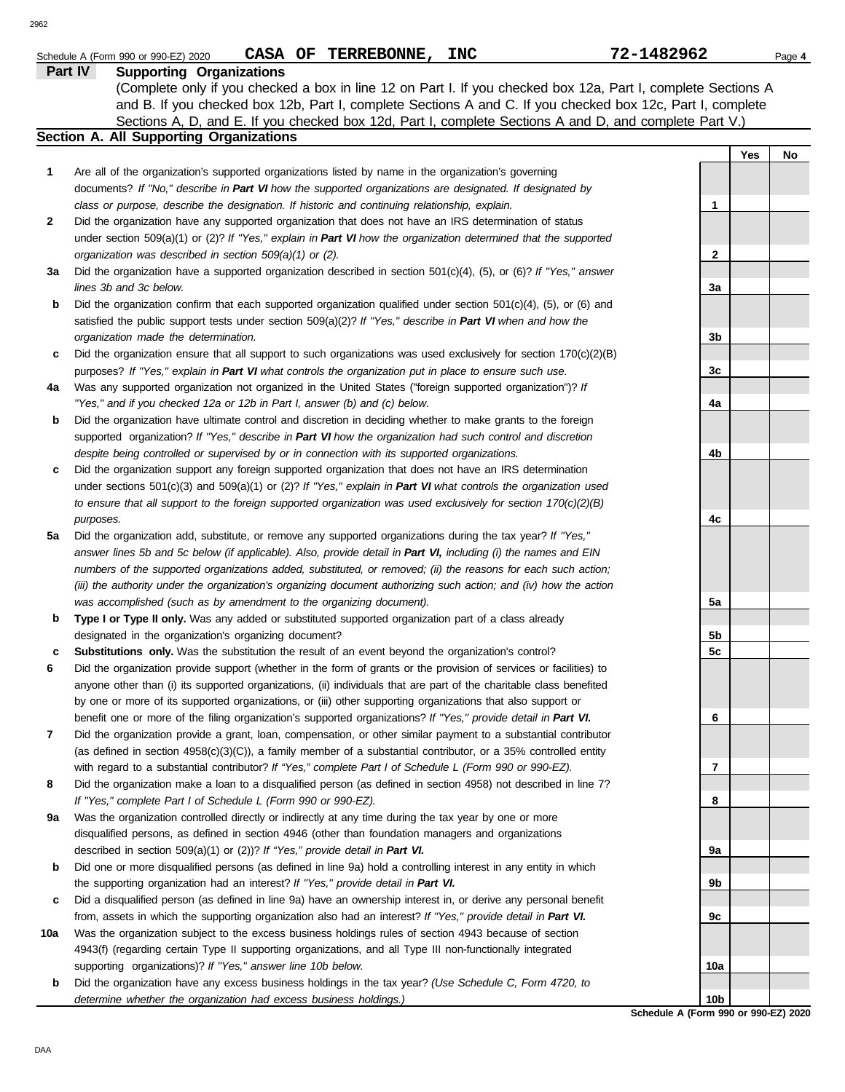| × |
|---|
|   |

|     | CASA OF TERREBONNE, INC<br>Schedule A (Form 990 or 990-EZ) 2020                                                          | 72-1482962      |     | Page 4 |
|-----|--------------------------------------------------------------------------------------------------------------------------|-----------------|-----|--------|
|     | Part IV<br><b>Supporting Organizations</b>                                                                               |                 |     |        |
|     | (Complete only if you checked a box in line 12 on Part I. If you checked box 12a, Part I, complete Sections A            |                 |     |        |
|     | and B. If you checked box 12b, Part I, complete Sections A and C. If you checked box 12c, Part I, complete               |                 |     |        |
|     | Sections A, D, and E. If you checked box 12d, Part I, complete Sections A and D, and complete Part V.)                   |                 |     |        |
|     | Section A. All Supporting Organizations                                                                                  |                 |     |        |
|     |                                                                                                                          |                 | Yes | No     |
| 1   | Are all of the organization's supported organizations listed by name in the organization's governing                     |                 |     |        |
|     | documents? If "No," describe in Part VI how the supported organizations are designated. If designated by                 |                 |     |        |
|     | class or purpose, describe the designation. If historic and continuing relationship, explain.                            | $\mathbf{1}$    |     |        |
| 2   | Did the organization have any supported organization that does not have an IRS determination of status                   |                 |     |        |
|     | under section 509(a)(1) or (2)? If "Yes," explain in Part VI how the organization determined that the supported          |                 |     |        |
|     | organization was described in section 509(a)(1) or (2).                                                                  | $\mathbf{2}$    |     |        |
| За  | Did the organization have a supported organization described in section $501(c)(4)$ , (5), or (6)? If "Yes," answer      |                 |     |        |
|     | lines 3b and 3c below.                                                                                                   | За              |     |        |
|     | Did the organization confirm that each supported organization qualified under section $501(c)(4)$ , $(5)$ , or $(6)$ and |                 |     |        |
| b   | satisfied the public support tests under section 509(a)(2)? If "Yes," describe in Part VI when and how the               |                 |     |        |
|     |                                                                                                                          |                 |     |        |
|     | organization made the determination.                                                                                     | 3b              |     |        |
| c   | Did the organization ensure that all support to such organizations was used exclusively for section $170(c)(2)(B)$       |                 |     |        |
|     | purposes? If "Yes," explain in Part VI what controls the organization put in place to ensure such use.                   | 3c              |     |        |
| 4a  | Was any supported organization not organized in the United States ("foreign supported organization")? If                 |                 |     |        |
|     | "Yes," and if you checked 12a or 12b in Part I, answer (b) and (c) below.                                                | 4a              |     |        |
| b   | Did the organization have ultimate control and discretion in deciding whether to make grants to the foreign              |                 |     |        |
|     | supported organization? If "Yes," describe in Part VI how the organization had such control and discretion               |                 |     |        |
|     | despite being controlled or supervised by or in connection with its supported organizations.                             | 4b              |     |        |
| c   | Did the organization support any foreign supported organization that does not have an IRS determination                  |                 |     |        |
|     | under sections $501(c)(3)$ and $509(a)(1)$ or (2)? If "Yes," explain in Part VI what controls the organization used      |                 |     |        |
|     | to ensure that all support to the foreign supported organization was used exclusively for section $170(c)(2)(B)$         |                 |     |        |
|     | purposes.                                                                                                                | 4c              |     |        |
| 5a  | Did the organization add, substitute, or remove any supported organizations during the tax year? If "Yes,"               |                 |     |        |
|     | answer lines 5b and 5c below (if applicable). Also, provide detail in Part VI, including (i) the names and EIN           |                 |     |        |
|     | numbers of the supported organizations added, substituted, or removed; (ii) the reasons for each such action;            |                 |     |        |
|     | (iii) the authority under the organization's organizing document authorizing such action; and (iv) how the action        |                 |     |        |
|     | was accomplished (such as by amendment to the organizing document).                                                      | 5a              |     |        |
| b   | Type I or Type II only. Was any added or substituted supported organization part of a class already                      |                 |     |        |
|     | designated in the organization's organizing document?                                                                    | 5b              |     |        |
| с   | Substitutions only. Was the substitution the result of an event beyond the organization's control?                       | 5 <sub>c</sub>  |     |        |
| 6   | Did the organization provide support (whether in the form of grants or the provision of services or facilities) to       |                 |     |        |
|     | anyone other than (i) its supported organizations, (ii) individuals that are part of the charitable class benefited      |                 |     |        |
|     | by one or more of its supported organizations, or (iii) other supporting organizations that also support or              |                 |     |        |
|     | benefit one or more of the filing organization's supported organizations? If "Yes," provide detail in Part VI.           | 6               |     |        |
| 7   | Did the organization provide a grant, loan, compensation, or other similar payment to a substantial contributor          |                 |     |        |
|     | (as defined in section $4958(c)(3)(C)$ ), a family member of a substantial contributor, or a 35% controlled entity       |                 |     |        |
|     | with regard to a substantial contributor? If "Yes," complete Part I of Schedule L (Form 990 or 990-EZ).                  | 7               |     |        |
| 8   | Did the organization make a loan to a disqualified person (as defined in section 4958) not described in line 7?          |                 |     |        |
|     | If "Yes," complete Part I of Schedule L (Form 990 or 990-EZ).                                                            | 8               |     |        |
| 9а  | Was the organization controlled directly or indirectly at any time during the tax year by one or more                    |                 |     |        |
|     | disqualified persons, as defined in section 4946 (other than foundation managers and organizations                       |                 |     |        |
|     | described in section 509(a)(1) or (2))? If "Yes," provide detail in Part VI.                                             | 9a              |     |        |
| b   | Did one or more disqualified persons (as defined in line 9a) hold a controlling interest in any entity in which          |                 |     |        |
|     | the supporting organization had an interest? If "Yes," provide detail in Part VI.                                        | 9b              |     |        |
| c   | Did a disqualified person (as defined in line 9a) have an ownership interest in, or derive any personal benefit          |                 |     |        |
|     | from, assets in which the supporting organization also had an interest? If "Yes," provide detail in Part VI.             | 9с              |     |        |
| 10a | Was the organization subject to the excess business holdings rules of section 4943 because of section                    |                 |     |        |
|     | 4943(f) (regarding certain Type II supporting organizations, and all Type III non-functionally integrated                |                 |     |        |
|     | supporting organizations)? If "Yes," answer line 10b below.                                                              | 10a             |     |        |
| b   | Did the organization have any excess business holdings in the tax year? (Use Schedule C, Form 4720, to                   |                 |     |        |
|     | determine whether the organization had excess business holdings.)                                                        | 10 <sub>b</sub> |     |        |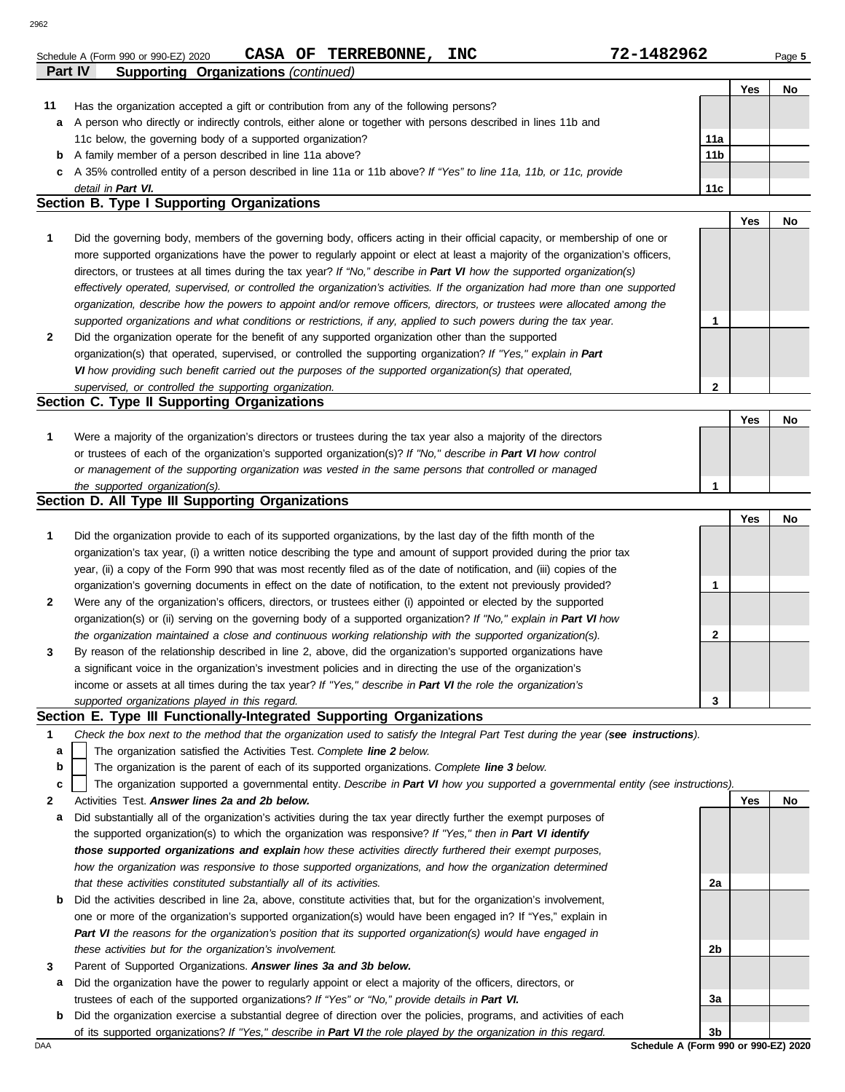|    | CASA OF TERREBONNE,<br><b>INC</b><br>Schedule A (Form 990 or 990-EZ) 2020                                                      | 72-1482962      |     | Page 5 |
|----|--------------------------------------------------------------------------------------------------------------------------------|-----------------|-----|--------|
|    | <b>Part IV</b><br><b>Supporting Organizations (continued)</b>                                                                  |                 |     |        |
|    |                                                                                                                                |                 | Yes | No.    |
| 11 | Has the organization accepted a gift or contribution from any of the following persons?                                        |                 |     |        |
| a  | A person who directly or indirectly controls, either alone or together with persons described in lines 11b and                 |                 |     |        |
|    | 11c below, the governing body of a supported organization?                                                                     | 11a             |     |        |
| b  | A family member of a person described in line 11a above?                                                                       | 11 <sub>b</sub> |     |        |
| C  | A 35% controlled entity of a person described in line 11a or 11b above? If "Yes" to line 11a, 11b, or 11c, provide             |                 |     |        |
|    | detail in Part VI.                                                                                                             | 11c             |     |        |
|    | Section B. Type I Supporting Organizations                                                                                     |                 |     |        |
|    |                                                                                                                                |                 | Yes | No     |
|    | Did the governing body, members of the governing body, officers acting in their official capacity, or membership of one or     |                 |     |        |
|    | more supported organizations have the power to regularly appoint or elect at least a majority of the organization's officers,  |                 |     |        |
|    | directors, or trustees at all times during the tax year? If "No," describe in Part VI how the supported organization(s)        |                 |     |        |
|    | effectively operated, supervised, or controlled the organization's activities. If the organization had more than one supported |                 |     |        |
|    | organization, describe how the powers to appoint and/or remove officers, directors, or trustees were allocated among the       |                 |     |        |
|    | supported organizations and what conditions or restrictions, if any, applied to such powers during the tax year.               |                 |     |        |

| Did the organization operate for the benefit of any supported organization other than the supported             |
|-----------------------------------------------------------------------------------------------------------------|
| organization(s) that operated, supervised, or controlled the supporting organization? If "Yes," explain in Part |
| VI how providing such benefit carried out the purposes of the supported organization(s) that operated,          |
| supervised, or controlled the supporting organization.                                                          |

## **Section C. Type II Supporting Organizations**

|                                                                                                                  |  | No |
|------------------------------------------------------------------------------------------------------------------|--|----|
| Were a majority of the organization's directors or trustees during the tax year also a majority of the directors |  |    |
| or trustees of each of the organization's supported organization(s)? If "No," describe in Part VI how control    |  |    |
| or management of the supporting organization was vested in the same persons that controlled or managed           |  |    |
| the supported organization(s).                                                                                   |  |    |

### **Section D. All Type III Supporting Organizations**

|              |                                                                                                                        |   | Yes | No |
|--------------|------------------------------------------------------------------------------------------------------------------------|---|-----|----|
| $\mathbf{1}$ | Did the organization provide to each of its supported organizations, by the last day of the fifth month of the         |   |     |    |
|              | organization's tax year, (i) a written notice describing the type and amount of support provided during the prior tax  |   |     |    |
|              | year, (ii) a copy of the Form 990 that was most recently filed as of the date of notification, and (iii) copies of the |   |     |    |
|              | organization's governing documents in effect on the date of notification, to the extent not previously provided?       |   |     |    |
| $\mathbf{2}$ | Were any of the organization's officers, directors, or trustees either (i) appointed or elected by the supported       |   |     |    |
|              | organization(s) or (ii) serving on the governing body of a supported organization? If "No," explain in Part VI how     |   |     |    |
|              | the organization maintained a close and continuous working relationship with the supported organization(s).            |   |     |    |
| 3            | By reason of the relationship described in line 2, above, did the organization's supported organizations have          |   |     |    |
|              | a significant voice in the organization's investment policies and in directing the use of the organization's           |   |     |    |
|              | income or assets at all times during the tax year? If "Yes," describe in Part VI the role the organization's           |   |     |    |
|              | supported organizations played in this regard.                                                                         | 3 |     |    |

### **Section E. Type III Functionally-Integrated Supporting Organizations**

- **1** *Check the box next to the method that the organization used to satisfy the Integral Part Test during the year (see instructions).*
	- The organization satisfied the Activities Test. *Complete line 2 below.* **a**
	- The organization is the parent of each of its supported organizations. *Complete line 3 below.* **b**

The organization supported a governmental entity. *Describe in Part VI how you supported a governmental entity (see instructions).* **c**

- **2** Activities Test. *Answer lines 2a and 2b below.*
- **a** Did substantially all of the organization's activities during the tax year directly further the exempt purposes of the supported organization(s) to which the organization was responsive? *If "Yes," then in Part VI identify those supported organizations and explain how these activities directly furthered their exempt purposes,*  how the organization was responsive to those supported organizations, and how the organization determined *that these activities constituted substantially all of its activities.*
- **b** Did the activities described in line 2a, above, constitute activities that, but for the organization's involvement, one or more of the organization's supported organization(s) would have been engaged in? If "Yes," explain in *Part VI the reasons for the organization's position that its supported organization(s) would have engaged in these activities but for the organization's involvement.*
- **3** Parent of Supported Organizations. *Answer lines 3a and 3b below.*
- **a** Did the organization have the power to regularly appoint or elect a majority of the officers, directors, or trustees of each of the supported organizations? *If "Yes" or "No," provide details in Part VI.*
- DAA **Schedule A (Form 990 or 990-EZ) 2020 b** Did the organization exercise a substantial degree of direction over the policies, programs, and activities of each of its supported organizations? *If "Yes," describe in Part VI the role played by the organization in this regard.*

**3b**

**2a**

**2b**

**3a**

**Yes No**

**2**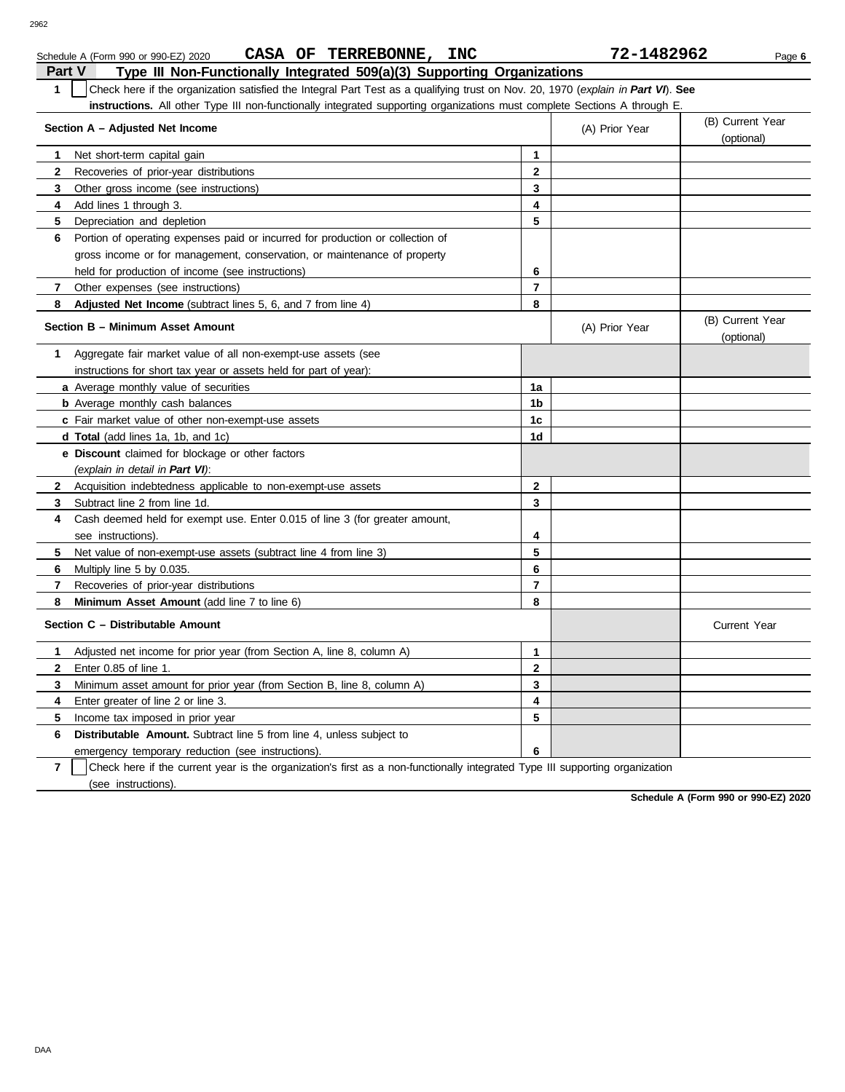| Schedule A (Form 990 or 990-EZ) 2020 | <b>CASA</b> | <b>TERREBONNE,</b><br>ΟF | <b>INC</b> | 1482962<br>$\mathbf{z}$ | Page 6 |
|--------------------------------------|-------------|--------------------------|------------|-------------------------|--------|

| Part V<br>Type III Non-Functionally Integrated 509(a)(3) Supporting Organizations                                                              |                |                |                                |
|------------------------------------------------------------------------------------------------------------------------------------------------|----------------|----------------|--------------------------------|
| 1<br>Check here if the organization satisfied the Integral Part Test as a qualifying trust on Nov. 20, 1970 (explain in Part VI). See          |                |                |                                |
| instructions. All other Type III non-functionally integrated supporting organizations must complete Sections A through E                       |                |                |                                |
| Section A - Adjusted Net Income                                                                                                                |                | (A) Prior Year | (B) Current Year               |
|                                                                                                                                                |                | (optional)     |                                |
| Net short-term capital gain<br>1                                                                                                               | 1              |                |                                |
| $\mathbf{2}$<br>Recoveries of prior-year distributions                                                                                         | $\mathbf{2}$   |                |                                |
| 3<br>Other gross income (see instructions)                                                                                                     | 3              |                |                                |
| Add lines 1 through 3.<br>4                                                                                                                    | 4              |                |                                |
| 5<br>Depreciation and depletion                                                                                                                | 5              |                |                                |
| Portion of operating expenses paid or incurred for production or collection of<br>6                                                            |                |                |                                |
| gross income or for management, conservation, or maintenance of property                                                                       |                |                |                                |
| held for production of income (see instructions)                                                                                               | 6              |                |                                |
| 7<br>Other expenses (see instructions)                                                                                                         | 7              |                |                                |
| 8<br><b>Adjusted Net Income</b> (subtract lines 5, 6, and 7 from line 4)                                                                       | 8              |                |                                |
| Section B - Minimum Asset Amount                                                                                                               |                | (A) Prior Year | (B) Current Year<br>(optional) |
| Aggregate fair market value of all non-exempt-use assets (see<br>1                                                                             |                |                |                                |
| instructions for short tax year or assets held for part of year):                                                                              |                |                |                                |
| a Average monthly value of securities                                                                                                          | 1a             |                |                                |
| <b>b</b> Average monthly cash balances                                                                                                         | 1b             |                |                                |
| c Fair market value of other non-exempt-use assets                                                                                             | 1c             |                |                                |
| <b>d Total</b> (add lines 1a, 1b, and 1c)                                                                                                      | 1d             |                |                                |
| <b>e</b> Discount claimed for blockage or other factors                                                                                        |                |                |                                |
| (explain in detail in Part VI):                                                                                                                |                |                |                                |
| $\mathbf{2}$<br>Acquisition indebtedness applicable to non-exempt-use assets                                                                   | 2              |                |                                |
| Subtract line 2 from line 1d.<br>3                                                                                                             | 3              |                |                                |
| Cash deemed held for exempt use. Enter 0.015 of line 3 (for greater amount,<br>4                                                               |                |                |                                |
| see instructions).                                                                                                                             | 4              |                |                                |
| Net value of non-exempt-use assets (subtract line 4 from line 3)<br>5                                                                          | 5              |                |                                |
| 6<br>Multiply line 5 by 0.035.                                                                                                                 | 6              |                |                                |
| 7<br>Recoveries of prior-year distributions                                                                                                    | $\overline{7}$ |                |                                |
| Minimum Asset Amount (add line 7 to line 6)<br>8                                                                                               | 8              |                |                                |
| Section C - Distributable Amount                                                                                                               |                |                | <b>Current Year</b>            |
| Adjusted net income for prior year (from Section A, line 8, column A)<br>1                                                                     | $\mathbf{1}$   |                |                                |
| Enter 0.85 of line 1.<br>$\mathbf{2}$                                                                                                          | $\mathbf{2}$   |                |                                |
| Minimum asset amount for prior year (from Section B, line 8, column A)<br>3                                                                    | 3              |                |                                |
| Enter greater of line 2 or line 3.<br>4                                                                                                        | 4              |                |                                |
| 5<br>Income tax imposed in prior year                                                                                                          | 5              |                |                                |
| <b>Distributable Amount.</b> Subtract line 5 from line 4, unless subject to<br>6                                                               |                |                |                                |
| emergency temporary reduction (see instructions).                                                                                              | 6              |                |                                |
| $\overline{7}$<br>Check here if the current year is the organization's first as a non-functionally integrated Type III supporting organization |                |                |                                |

(see instructions).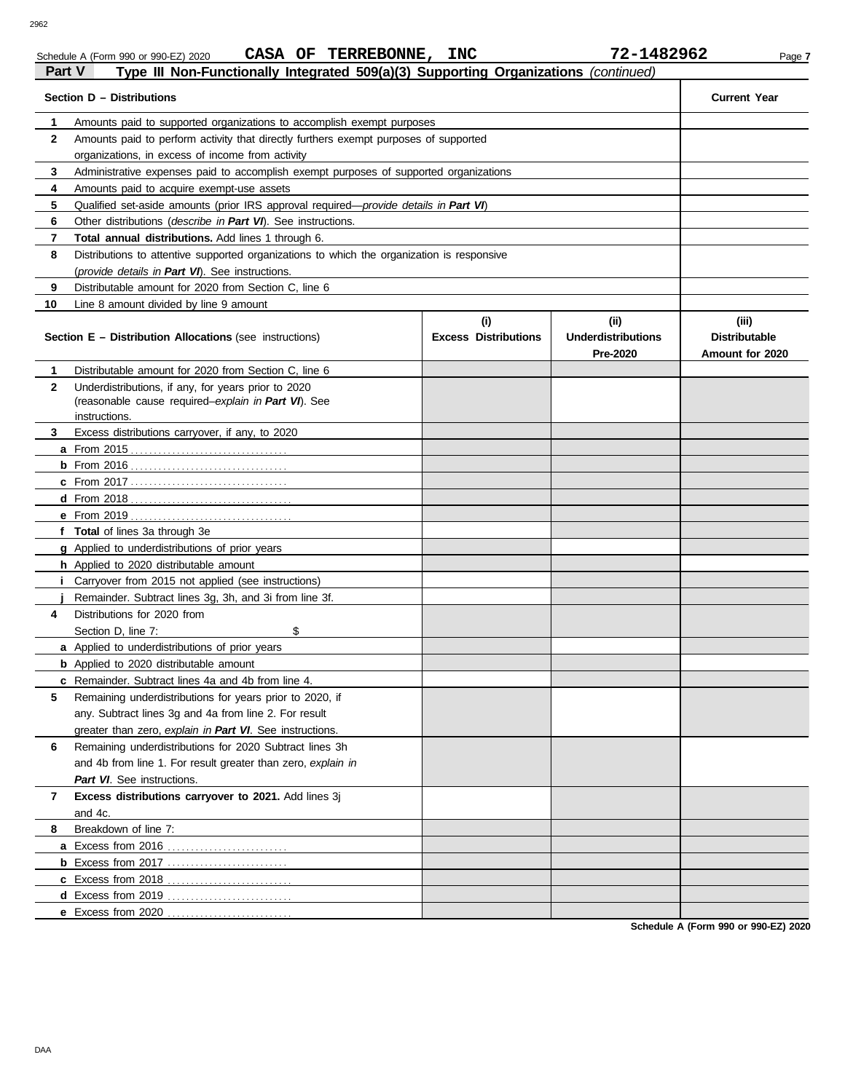### Schedule A (Form 990 or 990-EZ) 2020 **CASA OF TERREBONNE, INC / Z-I 48 Z 9 6 Z** Page 7 **CASA OF TERREBONNE, INC 72-1482962**

| Section D - Distributions<br>$\mathbf 1$<br>Amounts paid to supported organizations to accomplish exempt purposes<br>$\mathbf{2}$<br>Amounts paid to perform activity that directly furthers exempt purposes of supported<br>organizations, in excess of income from activity<br>Administrative expenses paid to accomplish exempt purposes of supported organizations<br>3 | <b>Current Year</b>                              |
|-----------------------------------------------------------------------------------------------------------------------------------------------------------------------------------------------------------------------------------------------------------------------------------------------------------------------------------------------------------------------------|--------------------------------------------------|
|                                                                                                                                                                                                                                                                                                                                                                             |                                                  |
|                                                                                                                                                                                                                                                                                                                                                                             |                                                  |
|                                                                                                                                                                                                                                                                                                                                                                             |                                                  |
|                                                                                                                                                                                                                                                                                                                                                                             |                                                  |
|                                                                                                                                                                                                                                                                                                                                                                             |                                                  |
| 4<br>Amounts paid to acquire exempt-use assets                                                                                                                                                                                                                                                                                                                              |                                                  |
| 5<br>Qualified set-aside amounts (prior IRS approval required-provide details in Part VI)                                                                                                                                                                                                                                                                                   |                                                  |
| Other distributions (describe in Part VI). See instructions.<br>6                                                                                                                                                                                                                                                                                                           |                                                  |
| Total annual distributions. Add lines 1 through 6.<br>7                                                                                                                                                                                                                                                                                                                     |                                                  |
| 8<br>Distributions to attentive supported organizations to which the organization is responsive                                                                                                                                                                                                                                                                             |                                                  |
| (provide details in Part VI). See instructions.                                                                                                                                                                                                                                                                                                                             |                                                  |
| 9<br>Distributable amount for 2020 from Section C, line 6                                                                                                                                                                                                                                                                                                                   |                                                  |
| 10<br>Line 8 amount divided by line 9 amount                                                                                                                                                                                                                                                                                                                                |                                                  |
| (i)<br>(ii)<br><b>Excess Distributions</b><br><b>Underdistributions</b><br><b>Section E - Distribution Allocations (see instructions)</b><br><b>Pre-2020</b>                                                                                                                                                                                                                | (iii)<br><b>Distributable</b><br>Amount for 2020 |
| Distributable amount for 2020 from Section C, line 6<br>1                                                                                                                                                                                                                                                                                                                   |                                                  |
| Underdistributions, if any, for years prior to 2020<br>$\mathbf{2}$<br>(reasonable cause required-explain in Part VI). See<br>instructions.                                                                                                                                                                                                                                 |                                                  |
| Excess distributions carryover, if any, to 2020<br>3                                                                                                                                                                                                                                                                                                                        |                                                  |
|                                                                                                                                                                                                                                                                                                                                                                             |                                                  |
|                                                                                                                                                                                                                                                                                                                                                                             |                                                  |
|                                                                                                                                                                                                                                                                                                                                                                             |                                                  |
|                                                                                                                                                                                                                                                                                                                                                                             |                                                  |
|                                                                                                                                                                                                                                                                                                                                                                             |                                                  |
| f Total of lines 3a through 3e                                                                                                                                                                                                                                                                                                                                              |                                                  |
| <b>g</b> Applied to underdistributions of prior years                                                                                                                                                                                                                                                                                                                       |                                                  |
| <b>h</b> Applied to 2020 distributable amount                                                                                                                                                                                                                                                                                                                               |                                                  |
| <i>i</i> Carryover from 2015 not applied (see instructions)                                                                                                                                                                                                                                                                                                                 |                                                  |
| Remainder. Subtract lines 3g, 3h, and 3i from line 3f.                                                                                                                                                                                                                                                                                                                      |                                                  |
| Distributions for 2020 from<br>4                                                                                                                                                                                                                                                                                                                                            |                                                  |
| \$<br>Section D, line 7:                                                                                                                                                                                                                                                                                                                                                    |                                                  |
| <b>a</b> Applied to underdistributions of prior years                                                                                                                                                                                                                                                                                                                       |                                                  |
| <b>b</b> Applied to 2020 distributable amount                                                                                                                                                                                                                                                                                                                               |                                                  |
| c Remainder. Subtract lines 4a and 4b from line 4.                                                                                                                                                                                                                                                                                                                          |                                                  |
| 5<br>Remaining underdistributions for years prior to 2020, if                                                                                                                                                                                                                                                                                                               |                                                  |
| any. Subtract lines 3q and 4a from line 2. For result                                                                                                                                                                                                                                                                                                                       |                                                  |
| greater than zero, explain in Part VI. See instructions.                                                                                                                                                                                                                                                                                                                    |                                                  |
| Remaining underdistributions for 2020 Subtract lines 3h<br>6                                                                                                                                                                                                                                                                                                                |                                                  |
| and 4b from line 1. For result greater than zero, explain in                                                                                                                                                                                                                                                                                                                |                                                  |
| Part VI. See instructions.                                                                                                                                                                                                                                                                                                                                                  |                                                  |
| Excess distributions carryover to 2021. Add lines 3j<br>7<br>and 4c.                                                                                                                                                                                                                                                                                                        |                                                  |
| Breakdown of line 7:<br>8                                                                                                                                                                                                                                                                                                                                                   |                                                  |
| a Excess from 2016                                                                                                                                                                                                                                                                                                                                                          |                                                  |
| <b>b</b> Excess from 2017                                                                                                                                                                                                                                                                                                                                                   |                                                  |
|                                                                                                                                                                                                                                                                                                                                                                             |                                                  |
| d Excess from 2019                                                                                                                                                                                                                                                                                                                                                          |                                                  |
| e Excess from 2020                                                                                                                                                                                                                                                                                                                                                          |                                                  |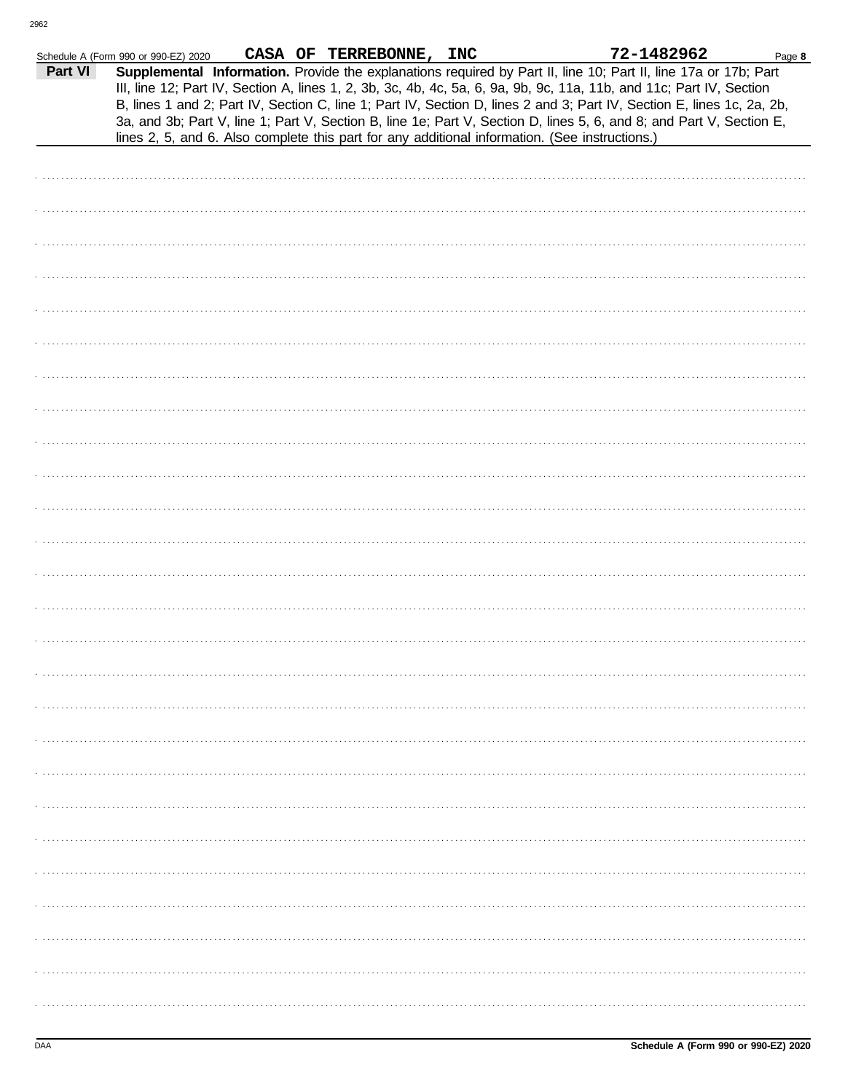| Supplemental Information. Provide the explanations required by Part II, line 10; Part II, line 17a or 17b; Part<br>Part VI<br>III, line 12; Part IV, Section A, lines 1, 2, 3b, 3c, 4b, 4c, 5a, 6, 9a, 9b, 9c, 11a, 11b, and 11c; Part IV, Section<br>B, lines 1 and 2; Part IV, Section C, line 1; Part IV, Section D, lines 2 and 3; Part IV, Section E, lines 1c, 2a, 2b,<br>3a, and 3b; Part V, line 1; Part V, Section B, line 1e; Part V, Section D, lines 5, 6, and 8; and Part V, Section E,<br>lines 2, 5, and 6. Also complete this part for any additional information. (See instructions.) | Schedule A (Form 990 or 990-EZ) 2020 |  | CASA OF TERREBONNE, INC | 72-1482962 | Page 8 |
|--------------------------------------------------------------------------------------------------------------------------------------------------------------------------------------------------------------------------------------------------------------------------------------------------------------------------------------------------------------------------------------------------------------------------------------------------------------------------------------------------------------------------------------------------------------------------------------------------------|--------------------------------------|--|-------------------------|------------|--------|
|                                                                                                                                                                                                                                                                                                                                                                                                                                                                                                                                                                                                        |                                      |  |                         |            |        |
|                                                                                                                                                                                                                                                                                                                                                                                                                                                                                                                                                                                                        |                                      |  |                         |            |        |
|                                                                                                                                                                                                                                                                                                                                                                                                                                                                                                                                                                                                        |                                      |  |                         |            |        |
|                                                                                                                                                                                                                                                                                                                                                                                                                                                                                                                                                                                                        |                                      |  |                         |            |        |
|                                                                                                                                                                                                                                                                                                                                                                                                                                                                                                                                                                                                        |                                      |  |                         |            |        |
|                                                                                                                                                                                                                                                                                                                                                                                                                                                                                                                                                                                                        |                                      |  |                         |            |        |
|                                                                                                                                                                                                                                                                                                                                                                                                                                                                                                                                                                                                        |                                      |  |                         |            |        |
|                                                                                                                                                                                                                                                                                                                                                                                                                                                                                                                                                                                                        |                                      |  |                         |            |        |
|                                                                                                                                                                                                                                                                                                                                                                                                                                                                                                                                                                                                        |                                      |  |                         |            |        |
|                                                                                                                                                                                                                                                                                                                                                                                                                                                                                                                                                                                                        |                                      |  |                         |            |        |
|                                                                                                                                                                                                                                                                                                                                                                                                                                                                                                                                                                                                        |                                      |  |                         |            |        |
|                                                                                                                                                                                                                                                                                                                                                                                                                                                                                                                                                                                                        |                                      |  |                         |            |        |
|                                                                                                                                                                                                                                                                                                                                                                                                                                                                                                                                                                                                        |                                      |  |                         |            |        |
|                                                                                                                                                                                                                                                                                                                                                                                                                                                                                                                                                                                                        |                                      |  |                         |            |        |
|                                                                                                                                                                                                                                                                                                                                                                                                                                                                                                                                                                                                        |                                      |  |                         |            |        |
|                                                                                                                                                                                                                                                                                                                                                                                                                                                                                                                                                                                                        |                                      |  |                         |            |        |
|                                                                                                                                                                                                                                                                                                                                                                                                                                                                                                                                                                                                        |                                      |  |                         |            |        |
|                                                                                                                                                                                                                                                                                                                                                                                                                                                                                                                                                                                                        |                                      |  |                         |            |        |
|                                                                                                                                                                                                                                                                                                                                                                                                                                                                                                                                                                                                        |                                      |  |                         |            |        |
|                                                                                                                                                                                                                                                                                                                                                                                                                                                                                                                                                                                                        |                                      |  |                         |            |        |
|                                                                                                                                                                                                                                                                                                                                                                                                                                                                                                                                                                                                        |                                      |  |                         |            |        |
|                                                                                                                                                                                                                                                                                                                                                                                                                                                                                                                                                                                                        |                                      |  |                         |            |        |
|                                                                                                                                                                                                                                                                                                                                                                                                                                                                                                                                                                                                        |                                      |  |                         |            |        |
|                                                                                                                                                                                                                                                                                                                                                                                                                                                                                                                                                                                                        |                                      |  |                         |            |        |
|                                                                                                                                                                                                                                                                                                                                                                                                                                                                                                                                                                                                        |                                      |  |                         |            |        |
|                                                                                                                                                                                                                                                                                                                                                                                                                                                                                                                                                                                                        |                                      |  |                         |            |        |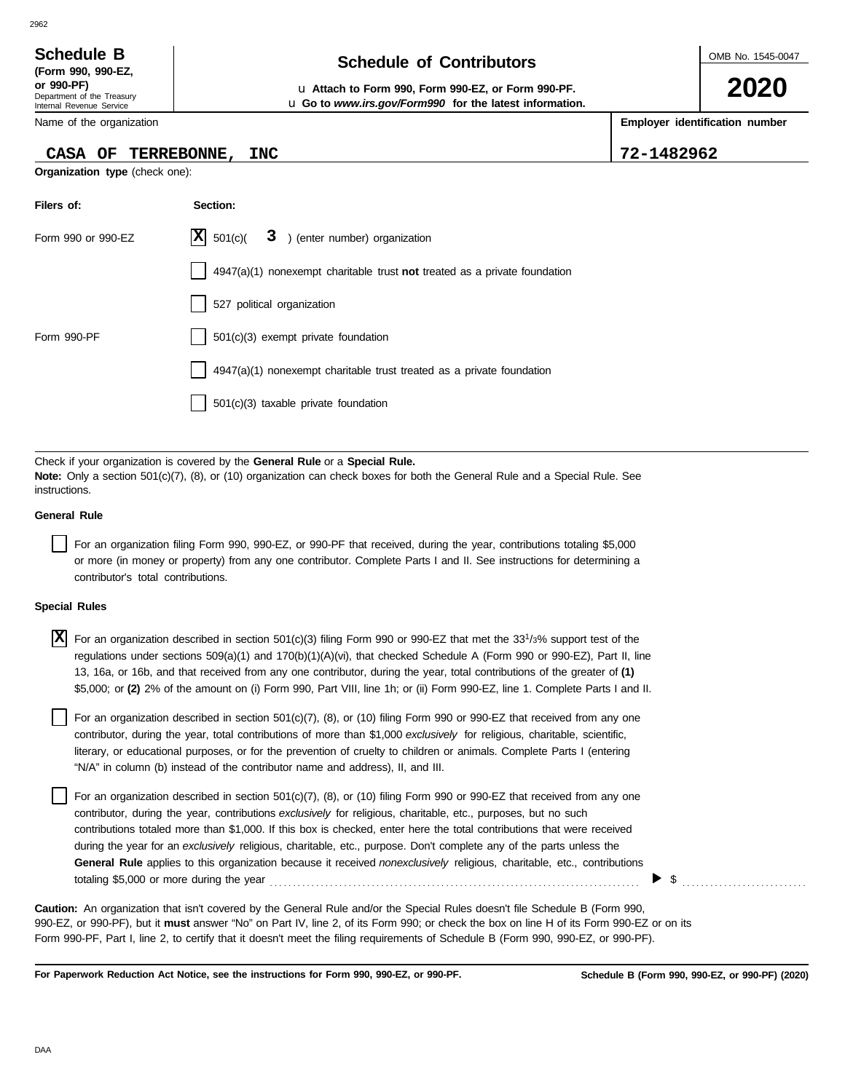2962

Department of the Treasury Internal Revenue Service

## **CASA OF TERREBONNE, INC 72-1482962**

**Organization type** (check one):

**Filers of: Section:**

| Schedule B       | <b>Schedule of Contributors</b> |
|------------------|---------------------------------|
| /Earm 000 000.E7 |                                 |

OMB No. 1545-0047

**2020**

**or 990-PF)** u **Attach to Form 990, Form 990-EZ, or Form 990-PF.** u **Go to** *www.irs.gov/Form990* **for the latest information.**

**Employer identification number**

|                      | Form 990 or 990-EZ                 | X <br>501(c)               | 3 ) (enter number) organization                                                                                                                                                                                                                                                                                                                                                                                                                                                                                                                                                                                                                                                                                                                                                                                                                                                                                                                                                                 |    |
|----------------------|------------------------------------|----------------------------|-------------------------------------------------------------------------------------------------------------------------------------------------------------------------------------------------------------------------------------------------------------------------------------------------------------------------------------------------------------------------------------------------------------------------------------------------------------------------------------------------------------------------------------------------------------------------------------------------------------------------------------------------------------------------------------------------------------------------------------------------------------------------------------------------------------------------------------------------------------------------------------------------------------------------------------------------------------------------------------------------|----|
|                      |                                    |                            | $4947(a)(1)$ nonexempt charitable trust not treated as a private foundation                                                                                                                                                                                                                                                                                                                                                                                                                                                                                                                                                                                                                                                                                                                                                                                                                                                                                                                     |    |
|                      |                                    | 527 political organization |                                                                                                                                                                                                                                                                                                                                                                                                                                                                                                                                                                                                                                                                                                                                                                                                                                                                                                                                                                                                 |    |
| Form 990-PF          |                                    |                            | $501(c)(3)$ exempt private foundation                                                                                                                                                                                                                                                                                                                                                                                                                                                                                                                                                                                                                                                                                                                                                                                                                                                                                                                                                           |    |
|                      |                                    |                            | 4947(a)(1) nonexempt charitable trust treated as a private foundation                                                                                                                                                                                                                                                                                                                                                                                                                                                                                                                                                                                                                                                                                                                                                                                                                                                                                                                           |    |
|                      |                                    |                            | $501(c)(3)$ taxable private foundation                                                                                                                                                                                                                                                                                                                                                                                                                                                                                                                                                                                                                                                                                                                                                                                                                                                                                                                                                          |    |
|                      |                                    |                            |                                                                                                                                                                                                                                                                                                                                                                                                                                                                                                                                                                                                                                                                                                                                                                                                                                                                                                                                                                                                 |    |
| instructions.        |                                    |                            | Check if your organization is covered by the General Rule or a Special Rule.<br>Note: Only a section 501(c)(7), (8), or (10) organization can check boxes for both the General Rule and a Special Rule. See                                                                                                                                                                                                                                                                                                                                                                                                                                                                                                                                                                                                                                                                                                                                                                                     |    |
| <b>General Rule</b>  |                                    |                            |                                                                                                                                                                                                                                                                                                                                                                                                                                                                                                                                                                                                                                                                                                                                                                                                                                                                                                                                                                                                 |    |
|                      | contributor's total contributions. |                            | For an organization filing Form 990, 990-EZ, or 990-PF that received, during the year, contributions totaling \$5,000<br>or more (in money or property) from any one contributor. Complete Parts I and II. See instructions for determining a                                                                                                                                                                                                                                                                                                                                                                                                                                                                                                                                                                                                                                                                                                                                                   |    |
| <b>Special Rules</b> |                                    |                            |                                                                                                                                                                                                                                                                                                                                                                                                                                                                                                                                                                                                                                                                                                                                                                                                                                                                                                                                                                                                 |    |
| X                    |                                    |                            | For an organization described in section 501(c)(3) filing Form 990 or 990-EZ that met the 33 <sup>1</sup> /3% support test of the<br>regulations under sections $509(a)(1)$ and $170(b)(1)(A)(vi)$ , that checked Schedule A (Form 990 or 990-EZ), Part II, line<br>13, 16a, or 16b, and that received from any one contributor, during the year, total contributions of the greater of (1)<br>\$5,000; or (2) 2% of the amount on (i) Form 990, Part VIII, line 1h; or (ii) Form 990-EZ, line 1. Complete Parts I and II.<br>For an organization described in section $501(c)(7)$ , (8), or (10) filing Form 990 or 990-EZ that received from any one<br>contributor, during the year, total contributions of more than \$1,000 exclusively for religious, charitable, scientific,<br>literary, or educational purposes, or for the prevention of cruelty to children or animals. Complete Parts I (entering<br>"N/A" in column (b) instead of the contributor name and address), II, and III. |    |
|                      |                                    |                            | For an organization described in section $501(c)(7)$ , (8), or (10) filing Form 990 or 990-EZ that received from any one<br>contributor, during the year, contributions exclusively for religious, charitable, etc., purposes, but no such<br>contributions totaled more than \$1,000. If this box is checked, enter here the total contributions that were received<br>during the year for an exclusively religious, charitable, etc., purpose. Don't complete any of the parts unless the<br>General Rule applies to this organization because it received nonexclusively religious, charitable, etc., contributions                                                                                                                                                                                                                                                                                                                                                                          | \$ |
|                      |                                    |                            | Caution: An organization that isn't covered by the General Rule and/or the Special Rules doesn't file Schedule B (Form 990,<br>990-EZ, or 990-PF), but it must answer "No" on Part IV, line 2, of its Form 990; or check the box on line H of its Form 990-EZ or on its<br>Form 990-PF, Part I, line 2, to certify that it doesn't meet the filing requirements of Schedule B (Form 990, 990-EZ, or 990-PF).                                                                                                                                                                                                                                                                                                                                                                                                                                                                                                                                                                                    |    |

**For Paperwork Reduction Act Notice, see the instructions for Form 990, 990-EZ, or 990-PF.**

**(Form 990, 990-EZ,**

Name of the organization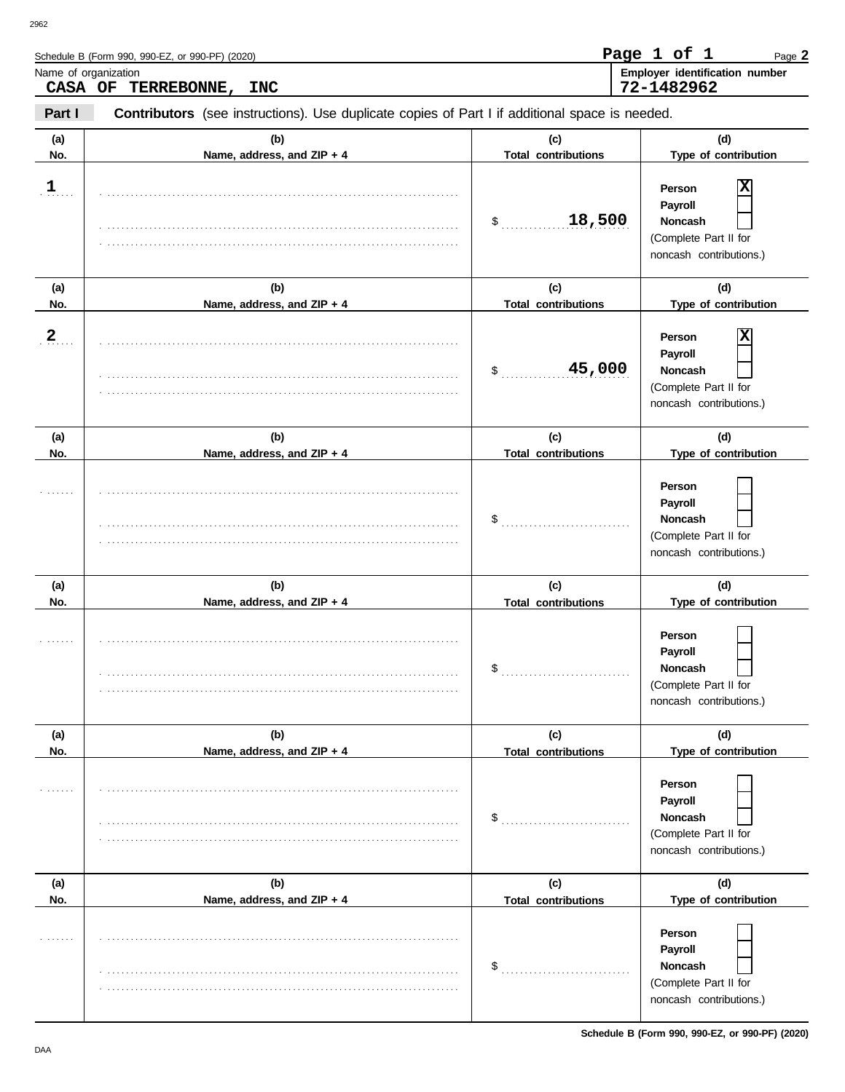| . . | . . |
|-----|-----|

|                      | Schedule B (Form 990, 990-EZ, or 990-PF) (2020)                                                |                                             | Page 1 of 1<br>Page 2                                                                                    |  |  |
|----------------------|------------------------------------------------------------------------------------------------|---------------------------------------------|----------------------------------------------------------------------------------------------------------|--|--|
| Name of organization | CASA OF TERREBONNE,<br><b>INC</b>                                                              |                                             | Employer identification number<br>72-1482962                                                             |  |  |
| Part I               | Contributors (see instructions). Use duplicate copies of Part I if additional space is needed. |                                             |                                                                                                          |  |  |
| (a)<br>No.           | (b)<br>Name, address, and ZIP + 4                                                              | (c)<br><b>Total contributions</b>           | (d)<br>Type of contribution                                                                              |  |  |
| $\frac{1}{n}$        |                                                                                                | 18,500<br>\$                                | Person<br>Payroll<br>Noncash<br>(Complete Part II for<br>noncash contributions.)                         |  |  |
| (a)<br>No.           | (b)<br>Name, address, and ZIP + 4                                                              | (c)<br><b>Total contributions</b>           | (d)<br>Type of contribution                                                                              |  |  |
| $\frac{2}{\cdot}$    |                                                                                                | 45,000<br>$\frac{1}{2}$                     | Person<br>Payroll<br>Noncash<br>(Complete Part II for<br>noncash contributions.)                         |  |  |
| (a)<br>No.           | (b)<br>Name, address, and ZIP + 4                                                              | (c)<br><b>Total contributions</b>           | (d)<br>Type of contribution                                                                              |  |  |
|                      |                                                                                                | \$                                          | Person<br>Payroll<br>Noncash<br>(Complete Part II for<br>noncash contributions.)                         |  |  |
| (a)<br>No.           | (b)                                                                                            | (c)                                         | (d)<br>Type of contribution                                                                              |  |  |
|                      | Name, address, and ZIP + 4                                                                     | <b>Total contributions</b><br>$\mathsf{\$}$ | Person<br>Payroll<br>Noncash<br>(Complete Part II for<br>noncash contributions.)                         |  |  |
| (a)<br>No.           | (b)<br>Name, address, and ZIP + 4                                                              | (c)<br><b>Total contributions</b>           | (d)<br>Type of contribution                                                                              |  |  |
|                      |                                                                                                | \$                                          | Person<br>Payroll<br><b>Noncash</b><br>(Complete Part II for<br>noncash contributions.)                  |  |  |
| (a)                  | (b)                                                                                            | (c)                                         | (d)                                                                                                      |  |  |
| No.                  | Name, address, and ZIP + 4                                                                     | <b>Total contributions</b><br>\$            | Type of contribution<br>Person<br>Payroll<br>Noncash<br>(Complete Part II for<br>noncash contributions.) |  |  |

Page **2**

**Page 1 of 1**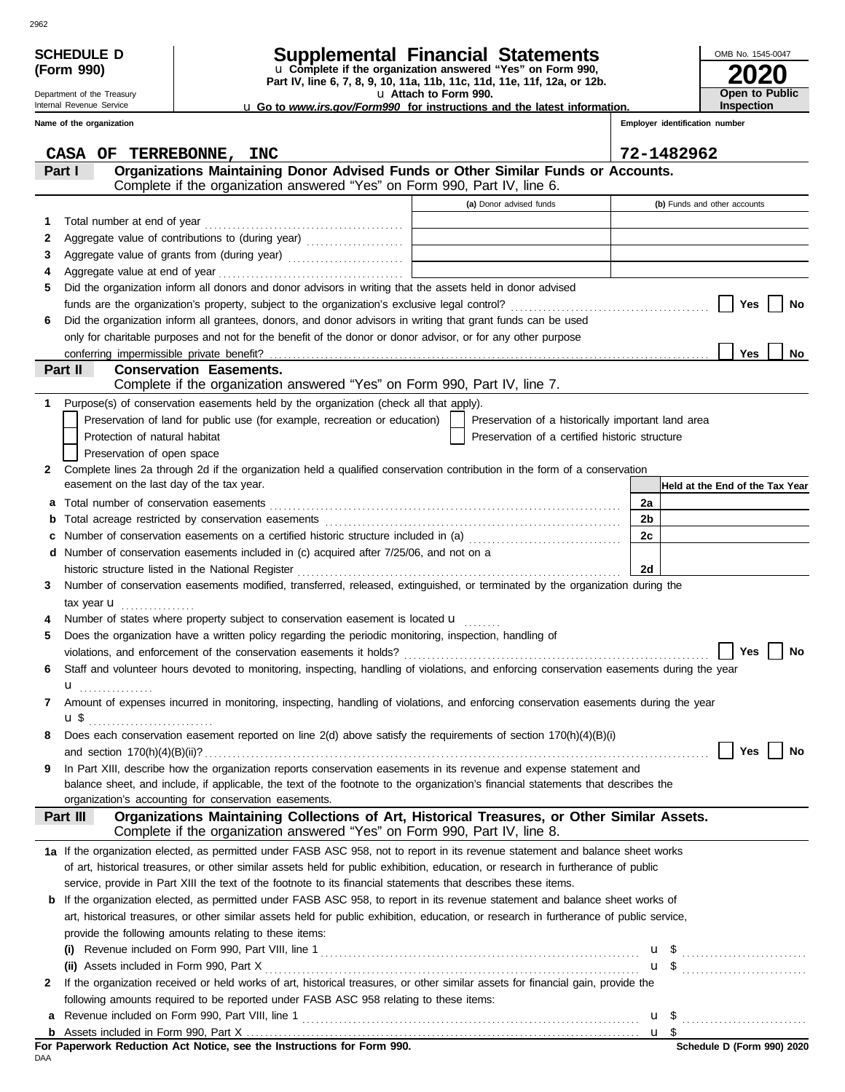|   | <b>SCHEDULE D</b><br>(Form 990) |                               |                                                                                                                 |  |  |                        | Supplemental Financial Statements<br>u Complete if the organization answered "Yes" on Form 990, |                                                                                                                                           |                |  | OMB No. 1545-0047               |                       |
|---|---------------------------------|-------------------------------|-----------------------------------------------------------------------------------------------------------------|--|--|------------------------|-------------------------------------------------------------------------------------------------|-------------------------------------------------------------------------------------------------------------------------------------------|----------------|--|---------------------------------|-----------------------|
|   | Department of the Treasury      |                               |                                                                                                                 |  |  | La Attach to Form 990. | Part IV, line 6, 7, 8, 9, 10, 11a, 11b, 11c, 11d, 11e, 11f, 12a, or 12b.                        |                                                                                                                                           |                |  |                                 | <b>Open to Public</b> |
|   | Internal Revenue Service        |                               |                                                                                                                 |  |  |                        |                                                                                                 | <b>u</b> Go to www.irs.gov/Form990 for instructions and the latest information.                                                           |                |  | Inspection                      |                       |
|   | Name of the organization        |                               |                                                                                                                 |  |  |                        |                                                                                                 |                                                                                                                                           |                |  | Employer identification number  |                       |
|   |                                 |                               |                                                                                                                 |  |  |                        |                                                                                                 |                                                                                                                                           |                |  |                                 |                       |
|   | Part I                          |                               | CASA OF TERREBONNE, INC                                                                                         |  |  |                        |                                                                                                 | Organizations Maintaining Donor Advised Funds or Other Similar Funds or Accounts.                                                         | 72-1482962     |  |                                 |                       |
|   |                                 |                               | Complete if the organization answered "Yes" on Form 990, Part IV, line 6.                                       |  |  |                        |                                                                                                 |                                                                                                                                           |                |  |                                 |                       |
|   |                                 |                               |                                                                                                                 |  |  |                        | (a) Donor advised funds                                                                         |                                                                                                                                           |                |  | (b) Funds and other accounts    |                       |
| 1 |                                 |                               |                                                                                                                 |  |  |                        |                                                                                                 |                                                                                                                                           |                |  |                                 |                       |
| 2 |                                 |                               |                                                                                                                 |  |  |                        |                                                                                                 |                                                                                                                                           |                |  |                                 |                       |
| 3 |                                 |                               |                                                                                                                 |  |  |                        |                                                                                                 |                                                                                                                                           |                |  |                                 |                       |
| 4 |                                 |                               |                                                                                                                 |  |  |                        |                                                                                                 |                                                                                                                                           |                |  |                                 |                       |
| 5 |                                 |                               | Did the organization inform all donors and donor advisors in writing that the assets held in donor advised      |  |  |                        |                                                                                                 |                                                                                                                                           |                |  |                                 |                       |
| 6 |                                 |                               | Did the organization inform all grantees, donors, and donor advisors in writing that grant funds can be used    |  |  |                        |                                                                                                 |                                                                                                                                           |                |  | Yes                             | No                    |
|   |                                 |                               | only for charitable purposes and not for the benefit of the donor or donor advisor, or for any other purpose    |  |  |                        |                                                                                                 |                                                                                                                                           |                |  |                                 |                       |
|   |                                 |                               |                                                                                                                 |  |  |                        |                                                                                                 |                                                                                                                                           |                |  | Yes                             | No                    |
|   | Part II                         |                               | <b>Conservation Easements.</b>                                                                                  |  |  |                        |                                                                                                 |                                                                                                                                           |                |  |                                 |                       |
|   |                                 |                               | Complete if the organization answered "Yes" on Form 990, Part IV, line 7.                                       |  |  |                        |                                                                                                 |                                                                                                                                           |                |  |                                 |                       |
| 1 |                                 |                               | Purpose(s) of conservation easements held by the organization (check all that apply).                           |  |  |                        |                                                                                                 |                                                                                                                                           |                |  |                                 |                       |
|   |                                 |                               | Preservation of land for public use (for example, recreation or education)                                      |  |  |                        |                                                                                                 | Preservation of a historically important land area                                                                                        |                |  |                                 |                       |
|   |                                 | Protection of natural habitat |                                                                                                                 |  |  |                        |                                                                                                 | Preservation of a certified historic structure                                                                                            |                |  |                                 |                       |
| 2 |                                 | Preservation of open space    |                                                                                                                 |  |  |                        |                                                                                                 | Complete lines 2a through 2d if the organization held a qualified conservation contribution in the form of a conservation                 |                |  |                                 |                       |
|   |                                 |                               | easement on the last day of the tax year.                                                                       |  |  |                        |                                                                                                 |                                                                                                                                           |                |  | Held at the End of the Tax Year |                       |
| а |                                 |                               |                                                                                                                 |  |  |                        |                                                                                                 |                                                                                                                                           | 2a             |  |                                 |                       |
| b |                                 |                               |                                                                                                                 |  |  |                        |                                                                                                 |                                                                                                                                           | 2 <sub>b</sub> |  |                                 |                       |
| c |                                 |                               | Number of conservation easements on a certified historic structure included in (a) [[[[[ [ [ ]]]                |  |  |                        |                                                                                                 |                                                                                                                                           | 2c             |  |                                 |                       |
| d |                                 |                               | Number of conservation easements included in (c) acquired after 7/25/06, and not on a                           |  |  |                        |                                                                                                 |                                                                                                                                           |                |  |                                 |                       |
|   |                                 |                               | historic structure listed in the National Register                                                              |  |  |                        |                                                                                                 |                                                                                                                                           | 2d             |  |                                 |                       |
| 3 |                                 |                               |                                                                                                                 |  |  |                        |                                                                                                 | Number of conservation easements modified, transferred, released, extinguished, or terminated by the organization during the              |                |  |                                 |                       |
|   | tax year <b>u</b>               | .                             | Number of states where property subject to conservation easement is located u                                   |  |  |                        |                                                                                                 |                                                                                                                                           |                |  |                                 |                       |
| 5 |                                 |                               | Does the organization have a written policy regarding the periodic monitoring, inspection, handling of          |  |  |                        |                                                                                                 |                                                                                                                                           |                |  |                                 |                       |
|   |                                 |                               | violations, and enforcement of the conservation easements it holds?                                             |  |  |                        |                                                                                                 |                                                                                                                                           |                |  | Yes                             | No                    |
| 6 |                                 |                               |                                                                                                                 |  |  |                        |                                                                                                 | Staff and volunteer hours devoted to monitoring, inspecting, handling of violations, and enforcing conservation easements during the year |                |  |                                 |                       |
|   | u                               |                               |                                                                                                                 |  |  |                        |                                                                                                 |                                                                                                                                           |                |  |                                 |                       |
| 7 |                                 |                               |                                                                                                                 |  |  |                        |                                                                                                 | Amount of expenses incurred in monitoring, inspecting, handling of violations, and enforcing conservation easements during the year       |                |  |                                 |                       |
|   |                                 |                               |                                                                                                                 |  |  |                        |                                                                                                 |                                                                                                                                           |                |  |                                 |                       |
| 8 |                                 |                               | Does each conservation easement reported on line 2(d) above satisfy the requirements of section 170(h)(4)(B)(i) |  |  |                        |                                                                                                 |                                                                                                                                           |                |  | Yes                             | No                    |
| 9 |                                 |                               |                                                                                                                 |  |  |                        |                                                                                                 | In Part XIII, describe how the organization reports conservation easements in its revenue and expense statement and                       |                |  |                                 |                       |
|   |                                 |                               |                                                                                                                 |  |  |                        |                                                                                                 | balance sheet, and include, if applicable, the text of the footnote to the organization's financial statements that describes the         |                |  |                                 |                       |
|   |                                 |                               | organization's accounting for conservation easements.                                                           |  |  |                        |                                                                                                 |                                                                                                                                           |                |  |                                 |                       |
|   | Part III                        |                               | Complete if the organization answered "Yes" on Form 990, Part IV, line 8.                                       |  |  |                        |                                                                                                 | Organizations Maintaining Collections of Art, Historical Treasures, or Other Similar Assets.                                              |                |  |                                 |                       |
|   |                                 |                               |                                                                                                                 |  |  |                        |                                                                                                 | 1a If the organization elected, as permitted under FASB ASC 958, not to report in its revenue statement and balance sheet works           |                |  |                                 |                       |
|   |                                 |                               |                                                                                                                 |  |  |                        |                                                                                                 | of art, historical treasures, or other similar assets held for public exhibition, education, or research in furtherance of public         |                |  |                                 |                       |
|   |                                 |                               | service, provide in Part XIII the text of the footnote to its financial statements that describes these items.  |  |  |                        |                                                                                                 |                                                                                                                                           |                |  |                                 |                       |
| b |                                 |                               |                                                                                                                 |  |  |                        |                                                                                                 | If the organization elected, as permitted under FASB ASC 958, to report in its revenue statement and balance sheet works of               |                |  |                                 |                       |
|   |                                 |                               |                                                                                                                 |  |  |                        |                                                                                                 | art, historical treasures, or other similar assets held for public exhibition, education, or research in furtherance of public service,   |                |  |                                 |                       |
|   | (i)                             |                               | provide the following amounts relating to these items:                                                          |  |  |                        |                                                                                                 |                                                                                                                                           |                |  |                                 |                       |
|   |                                 |                               | (ii) Assets included in Form 990, Part X                                                                        |  |  |                        |                                                                                                 |                                                                                                                                           |                |  | $\mathbf{u}$ \$ $\ldots$        |                       |
| 2 |                                 |                               |                                                                                                                 |  |  |                        |                                                                                                 | If the organization received or held works of art, historical treasures, or other similar assets for financial gain, provide the          |                |  |                                 |                       |
|   |                                 |                               | following amounts required to be reported under FASB ASC 958 relating to these items:                           |  |  |                        |                                                                                                 |                                                                                                                                           |                |  |                                 |                       |
| а |                                 |                               |                                                                                                                 |  |  |                        |                                                                                                 |                                                                                                                                           |                |  |                                 |                       |
|   |                                 |                               |                                                                                                                 |  |  |                        |                                                                                                 |                                                                                                                                           |                |  |                                 |                       |

| For Paperwork Reduction Act Notice, see the Instructions for Form 990. |  |
|------------------------------------------------------------------------|--|
| DAA                                                                    |  |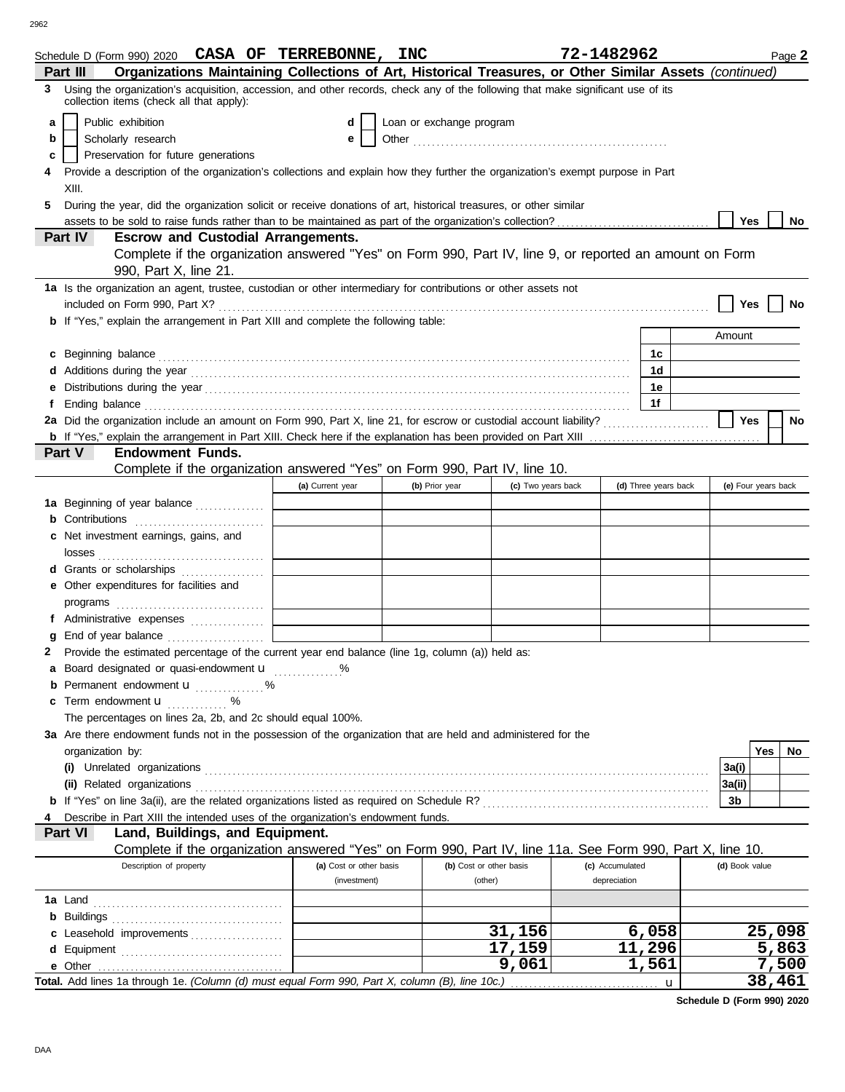|    | Schedule D (Form 990) 2020 CASA OF TERREBONNE, INC                                                                                                                                                                                  |                         |                          |                    | 72-1482962      |                      |                |                     | Page 2 |
|----|-------------------------------------------------------------------------------------------------------------------------------------------------------------------------------------------------------------------------------------|-------------------------|--------------------------|--------------------|-----------------|----------------------|----------------|---------------------|--------|
|    | Organizations Maintaining Collections of Art, Historical Treasures, or Other Similar Assets (continued)<br>Part III                                                                                                                 |                         |                          |                    |                 |                      |                |                     |        |
| 3. | Using the organization's acquisition, accession, and other records, check any of the following that make significant use of its<br>collection items (check all that apply):                                                         |                         |                          |                    |                 |                      |                |                     |        |
| a  | Public exhibition                                                                                                                                                                                                                   | d                       | Loan or exchange program |                    |                 |                      |                |                     |        |
| b  | Scholarly research                                                                                                                                                                                                                  | е                       |                          |                    |                 |                      |                |                     |        |
| c  | Preservation for future generations                                                                                                                                                                                                 |                         |                          |                    |                 |                      |                |                     |        |
|    | Provide a description of the organization's collections and explain how they further the organization's exempt purpose in Part                                                                                                      |                         |                          |                    |                 |                      |                |                     |        |
|    | XIII.                                                                                                                                                                                                                               |                         |                          |                    |                 |                      |                |                     |        |
|    | During the year, did the organization solicit or receive donations of art, historical treasures, or other similar                                                                                                                   |                         |                          |                    |                 |                      |                |                     |        |
|    |                                                                                                                                                                                                                                     |                         |                          |                    |                 |                      | <b>Yes</b>     |                     | No     |
|    | assets to be sold to raise funds rather than to be maintained as part of the organization's collection?<br>Part IV<br><b>Escrow and Custodial Arrangements.</b>                                                                     |                         |                          |                    |                 |                      |                |                     |        |
|    | Complete if the organization answered "Yes" on Form 990, Part IV, line 9, or reported an amount on Form                                                                                                                             |                         |                          |                    |                 |                      |                |                     |        |
|    |                                                                                                                                                                                                                                     |                         |                          |                    |                 |                      |                |                     |        |
|    | 990, Part X, line 21.                                                                                                                                                                                                               |                         |                          |                    |                 |                      |                |                     |        |
|    | 1a Is the organization an agent, trustee, custodian or other intermediary for contributions or other assets not                                                                                                                     |                         |                          |                    |                 |                      |                |                     |        |
|    |                                                                                                                                                                                                                                     |                         |                          |                    |                 |                      | Yes            |                     | No     |
|    | <b>b</b> If "Yes," explain the arrangement in Part XIII and complete the following table:                                                                                                                                           |                         |                          |                    |                 |                      |                |                     |        |
|    |                                                                                                                                                                                                                                     |                         |                          |                    |                 |                      | Amount         |                     |        |
| C  | Beginning balance                                                                                                                                                                                                                   |                         |                          |                    |                 | 1c                   |                |                     |        |
|    | Additions during the year contains and according to the year contained and year and according the year contains and according the year contains and according to the year contains and according to the year and year and year      |                         |                          |                    |                 | 1d                   |                |                     |        |
|    |                                                                                                                                                                                                                                     |                         |                          |                    |                 | 1е                   |                |                     |        |
| f  | Ending balance <b>construction and the construction of the construction</b> of the construction of the construction of the construction of the construction of the construction of the construction of the construction of the cons |                         |                          |                    |                 | 1f                   |                |                     |        |
|    | 2a Did the organization include an amount on Form 990, Part X, line 21, for escrow or custodial account liability?                                                                                                                  |                         |                          |                    |                 |                      | Yes            |                     | No     |
|    |                                                                                                                                                                                                                                     |                         |                          |                    |                 |                      |                |                     |        |
|    | Part V<br><b>Endowment Funds.</b>                                                                                                                                                                                                   |                         |                          |                    |                 |                      |                |                     |        |
|    | Complete if the organization answered "Yes" on Form 990, Part IV, line 10.                                                                                                                                                          |                         |                          |                    |                 |                      |                |                     |        |
|    |                                                                                                                                                                                                                                     | (a) Current year        | (b) Prior year           | (c) Two years back |                 | (d) Three years back |                | (e) Four years back |        |
|    | 1a Beginning of year balance                                                                                                                                                                                                        |                         |                          |                    |                 |                      |                |                     |        |
|    | <b>b</b> Contributions $\ldots$                                                                                                                                                                                                     |                         |                          |                    |                 |                      |                |                     |        |
| С  | Net investment earnings, gains, and                                                                                                                                                                                                 |                         |                          |                    |                 |                      |                |                     |        |
|    | losses                                                                                                                                                                                                                              |                         |                          |                    |                 |                      |                |                     |        |
|    | <b>d</b> Grants or scholarships<br>.                                                                                                                                                                                                |                         |                          |                    |                 |                      |                |                     |        |
|    | e Other expenditures for facilities and                                                                                                                                                                                             |                         |                          |                    |                 |                      |                |                     |        |
|    |                                                                                                                                                                                                                                     |                         |                          |                    |                 |                      |                |                     |        |
|    | f Administrative expenses                                                                                                                                                                                                           |                         |                          |                    |                 |                      |                |                     |        |
| a  |                                                                                                                                                                                                                                     |                         |                          |                    |                 |                      |                |                     |        |
|    | Provide the estimated percentage of the current year end balance (line 1g, column (a)) held as:                                                                                                                                     |                         |                          |                    |                 |                      |                |                     |        |
|    | Board designated or quasi-endowment u %                                                                                                                                                                                             |                         |                          |                    |                 |                      |                |                     |        |
|    |                                                                                                                                                                                                                                     |                         |                          |                    |                 |                      |                |                     |        |
|    | <b>b</b> Permanent endowment <b>u</b> %                                                                                                                                                                                             |                         |                          |                    |                 |                      |                |                     |        |
| c  | Term endowment <b>u</b> %                                                                                                                                                                                                           |                         |                          |                    |                 |                      |                |                     |        |
|    | The percentages on lines 2a, 2b, and 2c should equal 100%.                                                                                                                                                                          |                         |                          |                    |                 |                      |                |                     |        |
|    | 3a Are there endowment funds not in the possession of the organization that are held and administered for the                                                                                                                       |                         |                          |                    |                 |                      |                |                     |        |
|    | organization by:                                                                                                                                                                                                                    |                         |                          |                    |                 |                      |                | Yes                 | No     |
|    |                                                                                                                                                                                                                                     |                         |                          |                    |                 |                      | 3a(i)          |                     |        |
|    | (ii) Related organizations                                                                                                                                                                                                          |                         |                          |                    |                 |                      | 3a(ii)         |                     |        |
|    |                                                                                                                                                                                                                                     |                         |                          |                    |                 |                      | 3b             |                     |        |
|    | Describe in Part XIII the intended uses of the organization's endowment funds.                                                                                                                                                      |                         |                          |                    |                 |                      |                |                     |        |
|    | Part VI<br>Land, Buildings, and Equipment.                                                                                                                                                                                          |                         |                          |                    |                 |                      |                |                     |        |
|    | Complete if the organization answered "Yes" on Form 990, Part IV, line 11a. See Form 990, Part X, line 10.                                                                                                                          |                         |                          |                    |                 |                      |                |                     |        |
|    | Description of property                                                                                                                                                                                                             | (a) Cost or other basis | (b) Cost or other basis  |                    | (c) Accumulated |                      | (d) Book value |                     |        |
|    |                                                                                                                                                                                                                                     | (investment)            | (other)                  |                    | depreciation    |                      |                |                     |        |
|    | 1a Land                                                                                                                                                                                                                             |                         |                          |                    |                 |                      |                |                     |        |
|    | <b>b</b> Buildings                                                                                                                                                                                                                  |                         |                          |                    |                 |                      |                |                     |        |
|    | c Leasehold improvements                                                                                                                                                                                                            |                         |                          | 31,156             |                 | 6,058                |                | 25,098              |        |
|    |                                                                                                                                                                                                                                     |                         |                          | 17,159             |                 | 11,296               |                |                     | 5,863  |
|    |                                                                                                                                                                                                                                     |                         |                          | 9,061              |                 | 1,561                |                |                     | 7,500  |
|    |                                                                                                                                                                                                                                     |                         |                          |                    |                 |                      |                | 38,461              |        |

**Schedule D (Form 990) 2020**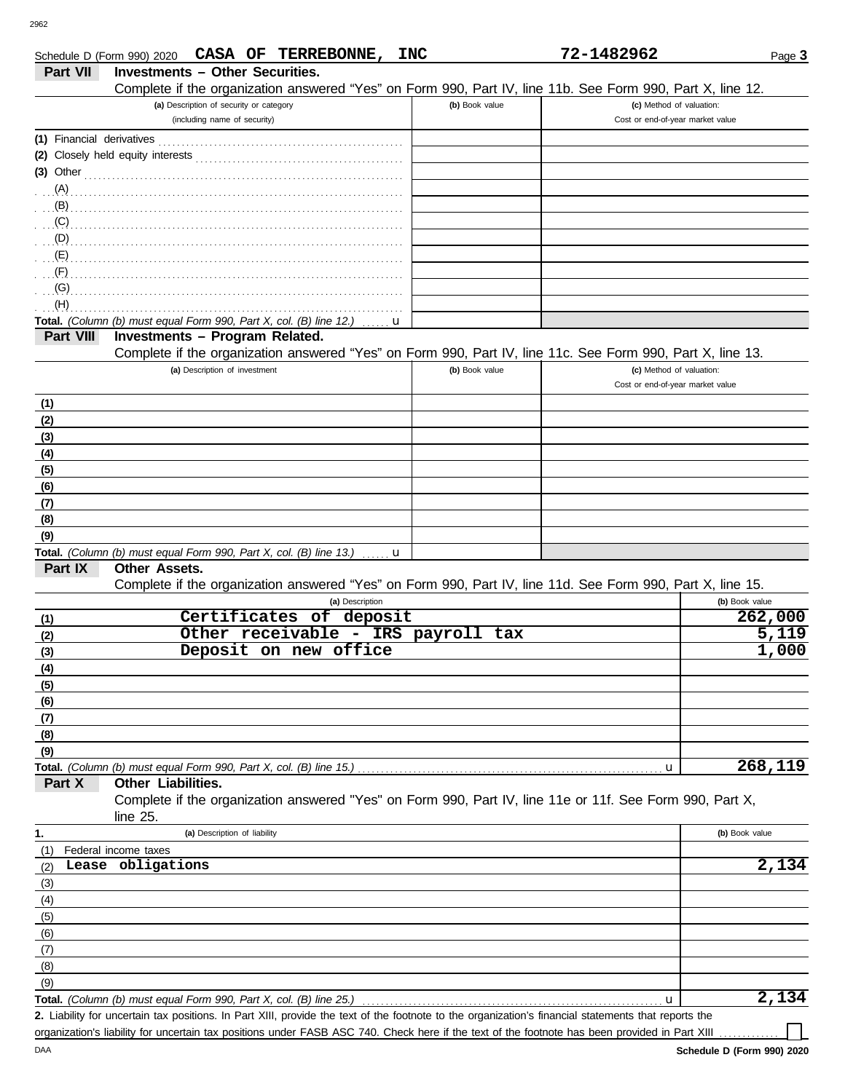DAA

|                           |                                        |                                         | Schedule D (Form 990) 2020 CASA OF TERREBONNE,                     | <b>INC</b> |                                                                                                            | 72-1482962                       |                | Page 3             |
|---------------------------|----------------------------------------|-----------------------------------------|--------------------------------------------------------------------|------------|------------------------------------------------------------------------------------------------------------|----------------------------------|----------------|--------------------|
| Part VII                  | <b>Investments - Other Securities.</b> |                                         |                                                                    |            |                                                                                                            |                                  |                |                    |
|                           |                                        |                                         |                                                                    |            | Complete if the organization answered "Yes" on Form 990, Part IV, line 11b. See Form 990, Part X, line 12. |                                  |                |                    |
|                           |                                        | (a) Description of security or category |                                                                    |            | (b) Book value                                                                                             | (c) Method of valuation:         |                |                    |
|                           |                                        | (including name of security)            |                                                                    |            |                                                                                                            | Cost or end-of-year market value |                |                    |
| (1) Financial derivatives |                                        |                                         |                                                                    |            |                                                                                                            |                                  |                |                    |
|                           |                                        |                                         |                                                                    |            |                                                                                                            |                                  |                |                    |
| $(3)$ Other               |                                        |                                         |                                                                    |            |                                                                                                            |                                  |                |                    |
|                           |                                        |                                         |                                                                    |            |                                                                                                            |                                  |                |                    |
| (B)                       |                                        |                                         |                                                                    |            |                                                                                                            |                                  |                |                    |
| (C)                       |                                        |                                         |                                                                    |            |                                                                                                            |                                  |                |                    |
| (D)                       |                                        |                                         |                                                                    |            |                                                                                                            |                                  |                |                    |
| (E)                       |                                        |                                         |                                                                    |            |                                                                                                            |                                  |                |                    |
| (F)                       |                                        |                                         |                                                                    |            |                                                                                                            |                                  |                |                    |
| (G)<br>(H)                |                                        |                                         |                                                                    |            |                                                                                                            |                                  |                |                    |
|                           |                                        |                                         | Total. (Column (b) must equal Form 990, Part X, col. (B) line 12.) | u          |                                                                                                            |                                  |                |                    |
| Part VIII                 | <b>Investments - Program Related.</b>  |                                         |                                                                    |            |                                                                                                            |                                  |                |                    |
|                           |                                        |                                         |                                                                    |            | Complete if the organization answered "Yes" on Form 990, Part IV, line 11c. See Form 990, Part X, line 13. |                                  |                |                    |
|                           |                                        | (a) Description of investment           |                                                                    |            | (b) Book value                                                                                             | (c) Method of valuation:         |                |                    |
|                           |                                        |                                         |                                                                    |            |                                                                                                            | Cost or end-of-year market value |                |                    |
| (1)                       |                                        |                                         |                                                                    |            |                                                                                                            |                                  |                |                    |
| (2)                       |                                        |                                         |                                                                    |            |                                                                                                            |                                  |                |                    |
| (3)                       |                                        |                                         |                                                                    |            |                                                                                                            |                                  |                |                    |
| (4)                       |                                        |                                         |                                                                    |            |                                                                                                            |                                  |                |                    |
| (5)                       |                                        |                                         |                                                                    |            |                                                                                                            |                                  |                |                    |
| (6)                       |                                        |                                         |                                                                    |            |                                                                                                            |                                  |                |                    |
| (7)                       |                                        |                                         |                                                                    |            |                                                                                                            |                                  |                |                    |
| (8)                       |                                        |                                         |                                                                    |            |                                                                                                            |                                  |                |                    |
| (9)                       |                                        |                                         |                                                                    |            |                                                                                                            |                                  |                |                    |
|                           |                                        |                                         | Total. (Column (b) must equal Form 990, Part X, col. (B) line 13.) | $\ldots$ u |                                                                                                            |                                  |                |                    |
| Part IX                   | Other Assets.                          |                                         |                                                                    |            |                                                                                                            |                                  |                |                    |
|                           |                                        |                                         |                                                                    |            | Complete if the organization answered "Yes" on Form 990, Part IV, line 11d. See Form 990, Part X, line 15. |                                  |                |                    |
|                           |                                        |                                         | (a) Description                                                    |            |                                                                                                            |                                  | (b) Book value |                    |
| (1)                       |                                        |                                         | Certificates of deposit                                            |            |                                                                                                            |                                  |                | 262,000            |
| (2)                       |                                        |                                         | Other receivable - IRS payroll tax                                 |            |                                                                                                            |                                  |                | 5,119              |
| (3)                       |                                        |                                         | Deposit on new office                                              |            |                                                                                                            |                                  |                | 1,000              |
| (4)                       |                                        |                                         |                                                                    |            |                                                                                                            |                                  |                |                    |
| (5)                       |                                        |                                         |                                                                    |            |                                                                                                            |                                  |                |                    |
| (6)                       |                                        |                                         |                                                                    |            |                                                                                                            |                                  |                |                    |
| (7)                       |                                        |                                         |                                                                    |            |                                                                                                            |                                  |                |                    |
| (8)                       |                                        |                                         |                                                                    |            |                                                                                                            |                                  |                |                    |
| (9)                       |                                        |                                         |                                                                    |            |                                                                                                            |                                  |                | 268,119            |
| Part X                    | Other Liabilities.                     |                                         | Total. (Column (b) must equal Form 990, Part X, col. (B) line 15.) |            |                                                                                                            | u                                |                |                    |
|                           |                                        |                                         |                                                                    |            | Complete if the organization answered "Yes" on Form 990, Part IV, line 11e or 11f. See Form 990, Part X,   |                                  |                |                    |
|                           | line $25$ .                            |                                         |                                                                    |            |                                                                                                            |                                  |                |                    |
|                           |                                        | (a) Description of liability            |                                                                    |            |                                                                                                            |                                  | (b) Book value |                    |
| 1.                        | Federal income taxes                   |                                         |                                                                    |            |                                                                                                            |                                  |                |                    |
| (1)                       | Lease obligations                      |                                         |                                                                    |            |                                                                                                            |                                  |                | 2,134              |
| (2)<br>(3)                |                                        |                                         |                                                                    |            |                                                                                                            |                                  |                |                    |
| (4)                       |                                        |                                         |                                                                    |            |                                                                                                            |                                  |                |                    |
| (5)                       |                                        |                                         |                                                                    |            |                                                                                                            |                                  |                |                    |
| (6)                       |                                        |                                         |                                                                    |            |                                                                                                            |                                  |                |                    |
| (7)                       |                                        |                                         |                                                                    |            |                                                                                                            |                                  |                |                    |
| (8)                       |                                        |                                         |                                                                    |            |                                                                                                            |                                  |                |                    |
| (9)                       |                                        |                                         |                                                                    |            |                                                                                                            |                                  |                |                    |
|                           |                                        |                                         | Total. (Column (b) must equal Form 990, Part X, col. (B) line 25.) |            |                                                                                                            | u                                |                | $\overline{2,134}$ |

Liability for uncertain tax positions. In Part XIII, provide the text of the footnote to the organization's financial statements that reports the **2.** organization's liability for uncertain tax positions under FASB ASC 740. Check here if the text of the footnote has been provided in Part XIII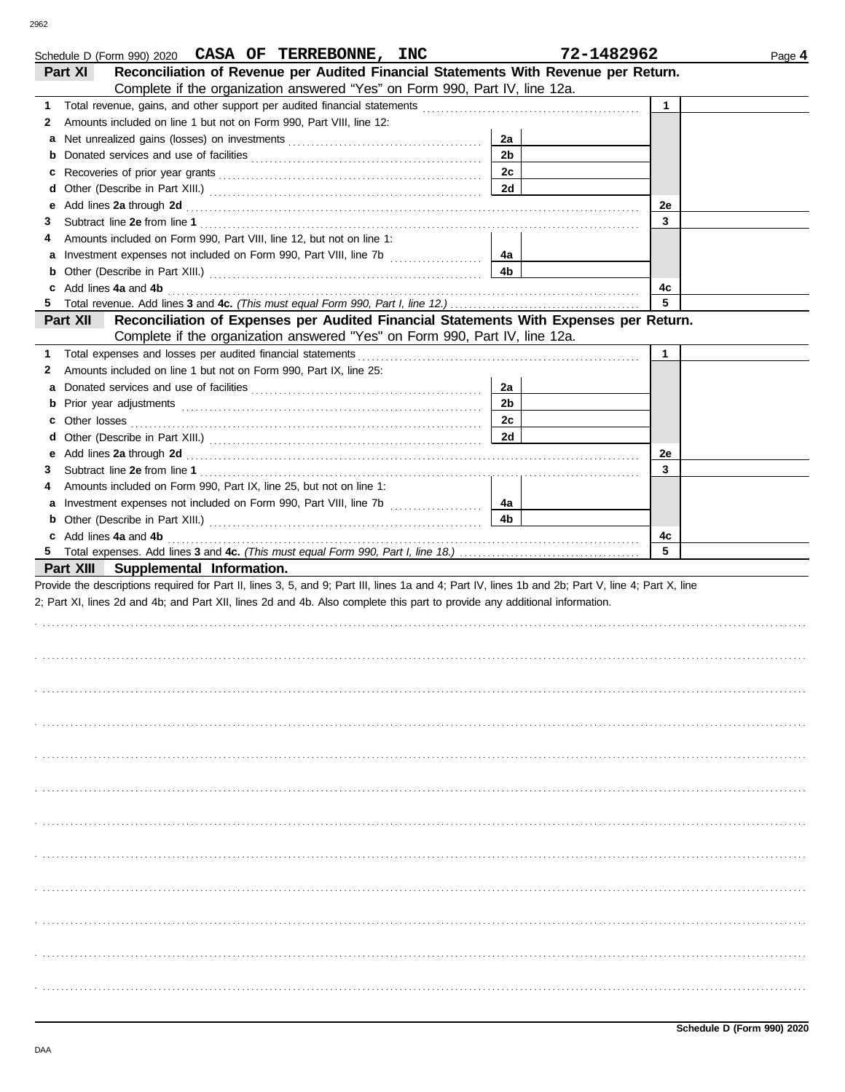| Schedule D (Form 990) 2020 CASA OF TERREBONNE, INC                                                                                                                                                                                             |                | 72-1482962   | Page 4 |
|------------------------------------------------------------------------------------------------------------------------------------------------------------------------------------------------------------------------------------------------|----------------|--------------|--------|
| Reconciliation of Revenue per Audited Financial Statements With Revenue per Return.<br>Part XI                                                                                                                                                 |                |              |        |
| Complete if the organization answered "Yes" on Form 990, Part IV, line 12a.                                                                                                                                                                    |                |              |        |
| Total revenue, gains, and other support per audited financial statements [111][11][11][11][11][11][11][11][11]<br>1                                                                                                                            |                | $\mathbf{1}$ |        |
| Amounts included on line 1 but not on Form 990, Part VIII, line 12:<br>2                                                                                                                                                                       |                |              |        |
| a                                                                                                                                                                                                                                              | 2a             |              |        |
| <b>b</b> Donated services and use of facilities <b>constants</b> and the service of the series of facilities <b>by the service of the service of the series of the service of the service of the series of the series of the series of the</b> | 2 <sub>b</sub> |              |        |
|                                                                                                                                                                                                                                                | 2c             |              |        |
|                                                                                                                                                                                                                                                | 2d             |              |        |
| е                                                                                                                                                                                                                                              |                | 2e           |        |
| Add lines 2a through 2d [11] And The Contract of the Contract of the Contract of the Contract of the Contract of the Contract of the Contract of the Contract of the Contract of the Contract of the Contract of the Contract<br>3             |                | 3            |        |
| Amounts included on Form 990, Part VIII, line 12, but not on line 1:                                                                                                                                                                           |                |              |        |
| 4                                                                                                                                                                                                                                              |                |              |        |
|                                                                                                                                                                                                                                                | 4а<br>4b       |              |        |
| <b>b</b> Other (Describe in Part XIII.) <b>CONSIDENT</b> 2014 12:00 12:00 12:00 12:00 12:00 12:00 12:00 12:00 12:00 12:00 12:00 12:00 12:00 12:00 12:00 12:00 12:00 12:00 12:00 12:00 12:00 12:00 12:00 12:00 12:00 12:00 12:00 12:00 12       |                |              |        |
| c Add lines 4a and 4b                                                                                                                                                                                                                          |                | 4с           |        |
|                                                                                                                                                                                                                                                |                | 5            |        |
| Part XII<br>Reconciliation of Expenses per Audited Financial Statements With Expenses per Return.                                                                                                                                              |                |              |        |
| Complete if the organization answered "Yes" on Form 990, Part IV, line 12a.                                                                                                                                                                    |                |              |        |
| Total expenses and losses per audited financial statements<br>1                                                                                                                                                                                |                | $\mathbf{1}$ |        |
| Amounts included on line 1 but not on Form 990, Part IX, line 25:<br>2                                                                                                                                                                         |                |              |        |
| a                                                                                                                                                                                                                                              | 2a             |              |        |
|                                                                                                                                                                                                                                                | 2 <sub>b</sub> |              |        |
|                                                                                                                                                                                                                                                | 2c             |              |        |
|                                                                                                                                                                                                                                                | 2d             |              |        |
| е                                                                                                                                                                                                                                              |                | 2e           |        |
| 3                                                                                                                                                                                                                                              |                | 3            |        |
| Amounts included on Form 990, Part IX, line 25, but not on line 1:<br>4                                                                                                                                                                        |                |              |        |
|                                                                                                                                                                                                                                                | 4а             |              |        |
| <b>b</b> Other (Describe in Part XIII.) <b>CONSIDENT</b> 2014 12:20 12:20 12:20 12:20 12:20 12:20 12:20 12:20 12:20 12:20 12:20 12:20 12:20 12:20 12:20 12:20 12:20 12:20 12:20 12:20 12:20 12:20 12:20 12:20 12:20 12:20 12:20 12:20 12       | 4b             |              |        |
|                                                                                                                                                                                                                                                |                |              |        |
| c Add lines 4a and 4b                                                                                                                                                                                                                          |                | 4c           |        |
|                                                                                                                                                                                                                                                |                | 5            |        |
| Part XIII Supplemental Information.                                                                                                                                                                                                            |                |              |        |
| Provide the descriptions required for Part II, lines 3, 5, and 9; Part III, lines 1a and 4; Part IV, lines 1b and 2b; Part V, line 4; Part X, line                                                                                             |                |              |        |
|                                                                                                                                                                                                                                                |                |              |        |
| 2; Part XI, lines 2d and 4b; and Part XII, lines 2d and 4b. Also complete this part to provide any additional information.                                                                                                                     |                |              |        |
|                                                                                                                                                                                                                                                |                |              |        |
|                                                                                                                                                                                                                                                |                |              |        |
|                                                                                                                                                                                                                                                |                |              |        |
|                                                                                                                                                                                                                                                |                |              |        |
|                                                                                                                                                                                                                                                |                |              |        |
|                                                                                                                                                                                                                                                |                |              |        |
|                                                                                                                                                                                                                                                |                |              |        |
|                                                                                                                                                                                                                                                |                |              |        |
|                                                                                                                                                                                                                                                |                |              |        |
|                                                                                                                                                                                                                                                |                |              |        |
|                                                                                                                                                                                                                                                |                |              |        |
|                                                                                                                                                                                                                                                |                |              |        |
|                                                                                                                                                                                                                                                |                |              |        |
|                                                                                                                                                                                                                                                |                |              |        |
|                                                                                                                                                                                                                                                |                |              |        |
|                                                                                                                                                                                                                                                |                |              |        |
|                                                                                                                                                                                                                                                |                |              |        |
|                                                                                                                                                                                                                                                |                |              |        |
|                                                                                                                                                                                                                                                |                |              |        |
|                                                                                                                                                                                                                                                |                |              |        |
|                                                                                                                                                                                                                                                |                |              |        |
|                                                                                                                                                                                                                                                |                |              |        |
|                                                                                                                                                                                                                                                |                |              |        |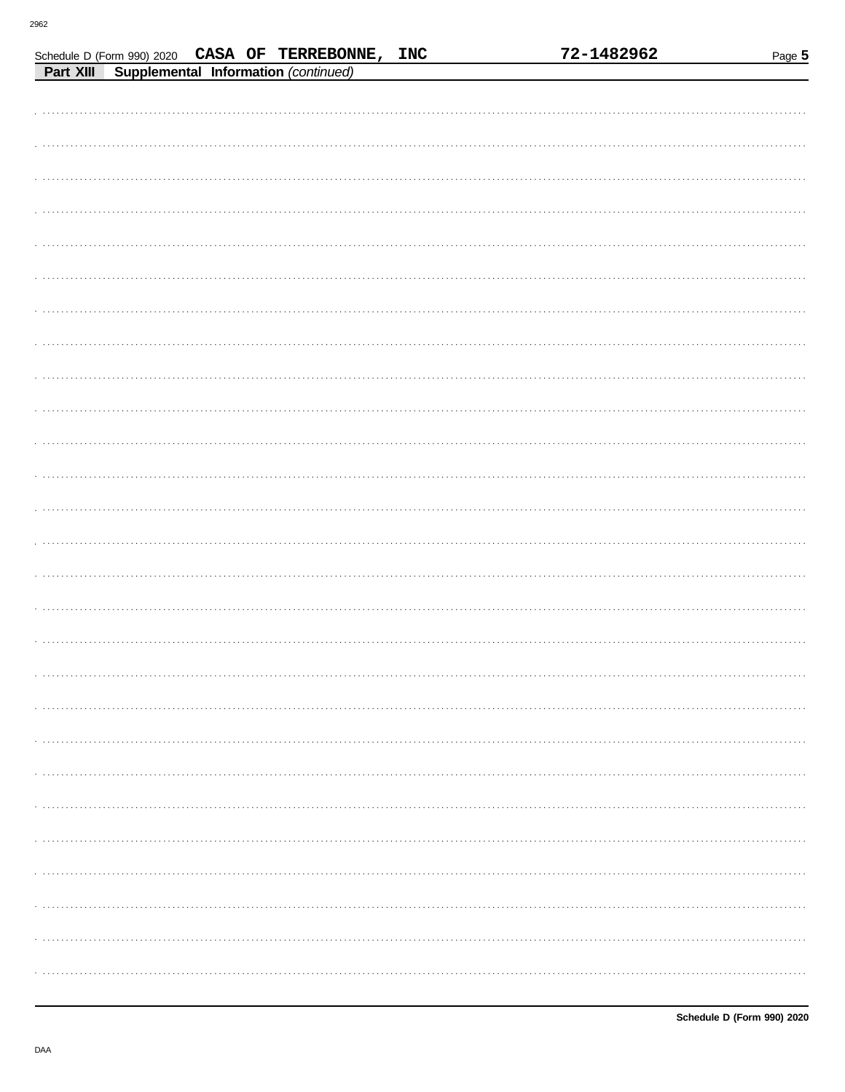|  |                                                                                                      |  | 72-1482962 | Page 5 |
|--|------------------------------------------------------------------------------------------------------|--|------------|--------|
|  | Schedule D (Form 990) 2020 CASA OF TERREBONNE, INC<br>Part XIII Supplemental Information (continued) |  |            |        |
|  |                                                                                                      |  |            |        |
|  |                                                                                                      |  |            |        |
|  |                                                                                                      |  |            |        |
|  |                                                                                                      |  |            |        |
|  |                                                                                                      |  |            |        |
|  |                                                                                                      |  |            |        |
|  |                                                                                                      |  |            |        |
|  |                                                                                                      |  |            |        |
|  |                                                                                                      |  |            |        |
|  |                                                                                                      |  |            |        |
|  |                                                                                                      |  |            |        |
|  |                                                                                                      |  |            |        |
|  |                                                                                                      |  |            |        |
|  |                                                                                                      |  |            |        |
|  |                                                                                                      |  |            |        |
|  |                                                                                                      |  |            |        |
|  |                                                                                                      |  |            |        |
|  |                                                                                                      |  |            |        |
|  |                                                                                                      |  |            |        |
|  |                                                                                                      |  |            |        |
|  |                                                                                                      |  |            |        |
|  |                                                                                                      |  |            |        |
|  |                                                                                                      |  |            |        |
|  |                                                                                                      |  |            |        |
|  |                                                                                                      |  |            |        |
|  |                                                                                                      |  |            |        |
|  |                                                                                                      |  |            |        |
|  |                                                                                                      |  |            |        |
|  |                                                                                                      |  |            |        |
|  |                                                                                                      |  |            |        |
|  |                                                                                                      |  |            |        |
|  |                                                                                                      |  |            |        |
|  |                                                                                                      |  |            |        |
|  |                                                                                                      |  |            |        |
|  |                                                                                                      |  |            |        |
|  |                                                                                                      |  |            |        |
|  |                                                                                                      |  |            |        |
|  |                                                                                                      |  |            |        |
|  |                                                                                                      |  |            |        |
|  |                                                                                                      |  |            |        |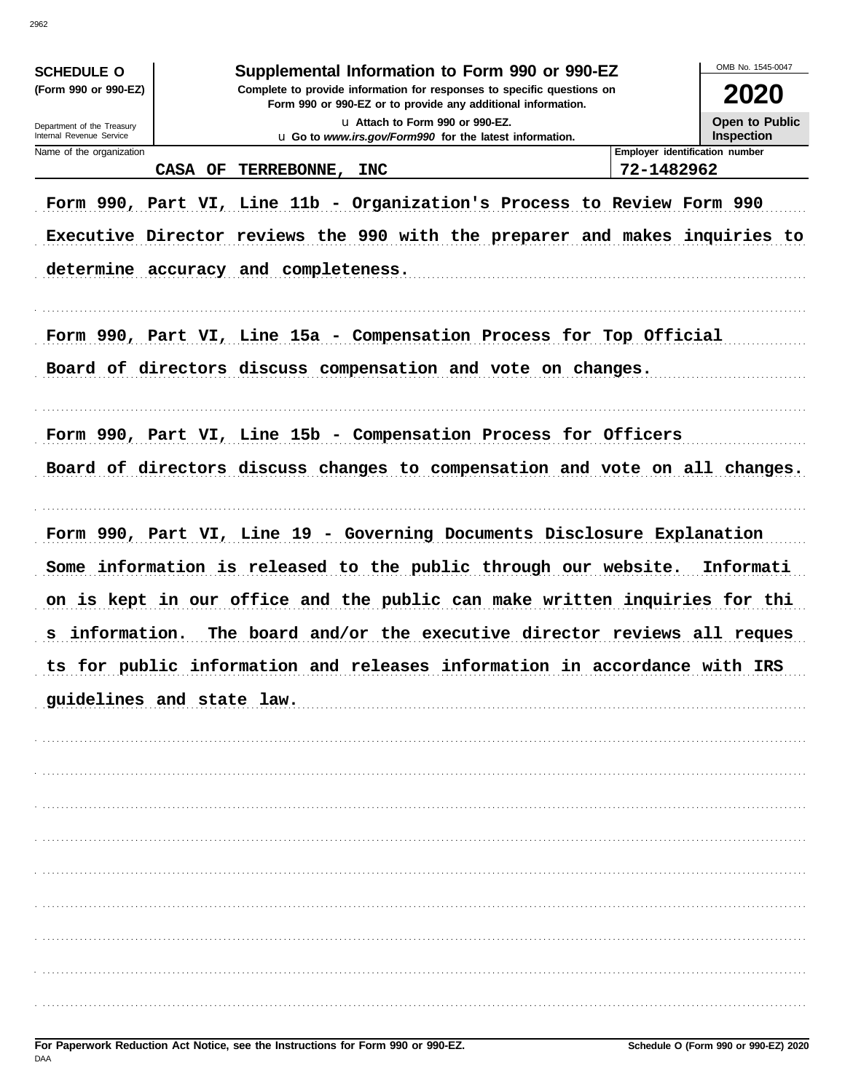| Supplemental Information to Form 990 or 990-EZ<br><b>SCHEDULE O</b><br>(Form 990 or 990-EZ)<br>Complete to provide information for responses to specific questions on<br>2020<br>Form 990 or 990-EZ or to provide any additional information.<br>Open to Public<br>La Attach to Form 990 or 990-EZ.<br>Department of the Treasury<br>Internal Revenue Service<br><b>Inspection</b><br>u Go to www.irs.gov/Form990 for the latest information.<br>Employer identification number<br>Name of the organization<br>72-1482962<br>TERREBONNE, INC<br>CASA OF<br>Form 990, Part VI, Line 11b - Organization's Process to Review Form 990<br>Executive Director reviews the 990 with the preparer and makes inquiries to<br>determine accuracy and completeness.<br>Form 990, Part VI, Line 15a - Compensation Process for Top Official<br>Board of directors discuss compensation and vote on changes.<br>Form 990, Part VI, Line 15b - Compensation Process for Officers<br>Board of directors discuss changes to compensation and vote on all changes. |
|----------------------------------------------------------------------------------------------------------------------------------------------------------------------------------------------------------------------------------------------------------------------------------------------------------------------------------------------------------------------------------------------------------------------------------------------------------------------------------------------------------------------------------------------------------------------------------------------------------------------------------------------------------------------------------------------------------------------------------------------------------------------------------------------------------------------------------------------------------------------------------------------------------------------------------------------------------------------------------------------------------------------------------------------------|
|                                                                                                                                                                                                                                                                                                                                                                                                                                                                                                                                                                                                                                                                                                                                                                                                                                                                                                                                                                                                                                                    |
|                                                                                                                                                                                                                                                                                                                                                                                                                                                                                                                                                                                                                                                                                                                                                                                                                                                                                                                                                                                                                                                    |
|                                                                                                                                                                                                                                                                                                                                                                                                                                                                                                                                                                                                                                                                                                                                                                                                                                                                                                                                                                                                                                                    |
|                                                                                                                                                                                                                                                                                                                                                                                                                                                                                                                                                                                                                                                                                                                                                                                                                                                                                                                                                                                                                                                    |
|                                                                                                                                                                                                                                                                                                                                                                                                                                                                                                                                                                                                                                                                                                                                                                                                                                                                                                                                                                                                                                                    |
|                                                                                                                                                                                                                                                                                                                                                                                                                                                                                                                                                                                                                                                                                                                                                                                                                                                                                                                                                                                                                                                    |
|                                                                                                                                                                                                                                                                                                                                                                                                                                                                                                                                                                                                                                                                                                                                                                                                                                                                                                                                                                                                                                                    |
|                                                                                                                                                                                                                                                                                                                                                                                                                                                                                                                                                                                                                                                                                                                                                                                                                                                                                                                                                                                                                                                    |
|                                                                                                                                                                                                                                                                                                                                                                                                                                                                                                                                                                                                                                                                                                                                                                                                                                                                                                                                                                                                                                                    |
|                                                                                                                                                                                                                                                                                                                                                                                                                                                                                                                                                                                                                                                                                                                                                                                                                                                                                                                                                                                                                                                    |
|                                                                                                                                                                                                                                                                                                                                                                                                                                                                                                                                                                                                                                                                                                                                                                                                                                                                                                                                                                                                                                                    |
|                                                                                                                                                                                                                                                                                                                                                                                                                                                                                                                                                                                                                                                                                                                                                                                                                                                                                                                                                                                                                                                    |
|                                                                                                                                                                                                                                                                                                                                                                                                                                                                                                                                                                                                                                                                                                                                                                                                                                                                                                                                                                                                                                                    |
|                                                                                                                                                                                                                                                                                                                                                                                                                                                                                                                                                                                                                                                                                                                                                                                                                                                                                                                                                                                                                                                    |
|                                                                                                                                                                                                                                                                                                                                                                                                                                                                                                                                                                                                                                                                                                                                                                                                                                                                                                                                                                                                                                                    |
| Form 990, Part VI, Line 19 - Governing Documents Disclosure Explanation                                                                                                                                                                                                                                                                                                                                                                                                                                                                                                                                                                                                                                                                                                                                                                                                                                                                                                                                                                            |
| Some information is released to the public through our website.<br>Informati                                                                                                                                                                                                                                                                                                                                                                                                                                                                                                                                                                                                                                                                                                                                                                                                                                                                                                                                                                       |
| on is kept in our office and the public can make written inquiries for thi                                                                                                                                                                                                                                                                                                                                                                                                                                                                                                                                                                                                                                                                                                                                                                                                                                                                                                                                                                         |
|                                                                                                                                                                                                                                                                                                                                                                                                                                                                                                                                                                                                                                                                                                                                                                                                                                                                                                                                                                                                                                                    |
| The board and/or the executive director reviews all reques<br>information.<br>s                                                                                                                                                                                                                                                                                                                                                                                                                                                                                                                                                                                                                                                                                                                                                                                                                                                                                                                                                                    |
| ts for public information and releases information in accordance with IRS                                                                                                                                                                                                                                                                                                                                                                                                                                                                                                                                                                                                                                                                                                                                                                                                                                                                                                                                                                          |
| guidelines and state law.                                                                                                                                                                                                                                                                                                                                                                                                                                                                                                                                                                                                                                                                                                                                                                                                                                                                                                                                                                                                                          |
|                                                                                                                                                                                                                                                                                                                                                                                                                                                                                                                                                                                                                                                                                                                                                                                                                                                                                                                                                                                                                                                    |
|                                                                                                                                                                                                                                                                                                                                                                                                                                                                                                                                                                                                                                                                                                                                                                                                                                                                                                                                                                                                                                                    |
|                                                                                                                                                                                                                                                                                                                                                                                                                                                                                                                                                                                                                                                                                                                                                                                                                                                                                                                                                                                                                                                    |
|                                                                                                                                                                                                                                                                                                                                                                                                                                                                                                                                                                                                                                                                                                                                                                                                                                                                                                                                                                                                                                                    |
|                                                                                                                                                                                                                                                                                                                                                                                                                                                                                                                                                                                                                                                                                                                                                                                                                                                                                                                                                                                                                                                    |
|                                                                                                                                                                                                                                                                                                                                                                                                                                                                                                                                                                                                                                                                                                                                                                                                                                                                                                                                                                                                                                                    |
|                                                                                                                                                                                                                                                                                                                                                                                                                                                                                                                                                                                                                                                                                                                                                                                                                                                                                                                                                                                                                                                    |
|                                                                                                                                                                                                                                                                                                                                                                                                                                                                                                                                                                                                                                                                                                                                                                                                                                                                                                                                                                                                                                                    |
|                                                                                                                                                                                                                                                                                                                                                                                                                                                                                                                                                                                                                                                                                                                                                                                                                                                                                                                                                                                                                                                    |
|                                                                                                                                                                                                                                                                                                                                                                                                                                                                                                                                                                                                                                                                                                                                                                                                                                                                                                                                                                                                                                                    |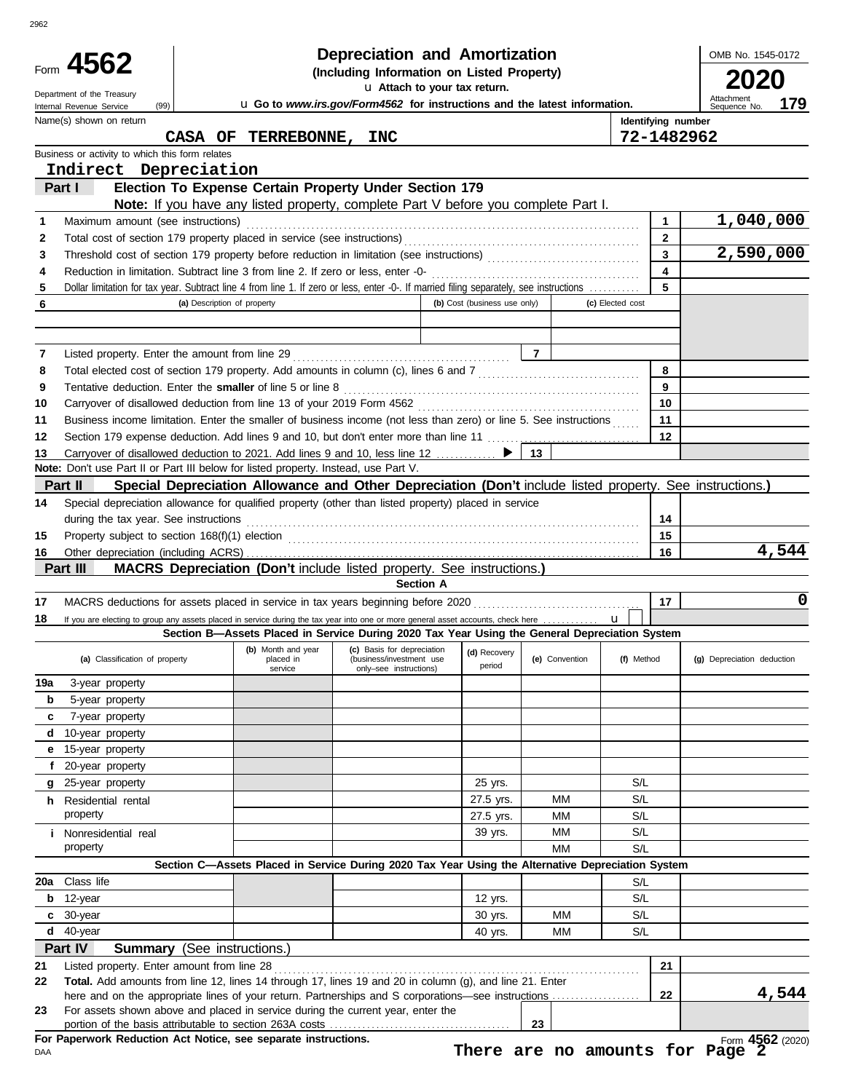|            | Form 4562                                                                                                                                                                                                                           |                                 | <b>Depreciation and Amortization</b><br>(Including Information on Listed Property)                       |                              |                |                         | OMB No. 1545-0172          |
|------------|-------------------------------------------------------------------------------------------------------------------------------------------------------------------------------------------------------------------------------------|---------------------------------|----------------------------------------------------------------------------------------------------------|------------------------------|----------------|-------------------------|----------------------------|
|            |                                                                                                                                                                                                                                     |                                 | u Attach to your tax return.                                                                             |                              |                |                         |                            |
|            | Department of the Treasury<br>(99)                                                                                                                                                                                                  |                                 | u Go to www.irs.gov/Form4562 for instructions and the latest information.                                |                              |                |                         | Attachment<br>179          |
|            | Internal Revenue Service<br>Name(s) shown on return                                                                                                                                                                                 |                                 |                                                                                                          |                              |                | Identifying number      | Sequence No.               |
|            |                                                                                                                                                                                                                                     | CASA OF TERREBONNE, INC         |                                                                                                          |                              |                | 72-1482962              |                            |
|            | Business or activity to which this form relates                                                                                                                                                                                     |                                 |                                                                                                          |                              |                |                         |                            |
|            | Indirect Depreciation                                                                                                                                                                                                               |                                 |                                                                                                          |                              |                |                         |                            |
|            | Part I                                                                                                                                                                                                                              |                                 | Election To Expense Certain Property Under Section 179                                                   |                              |                |                         |                            |
|            |                                                                                                                                                                                                                                     |                                 | Note: If you have any listed property, complete Part V before you complete Part I.                       |                              |                |                         |                            |
| 1          | Maximum amount (see instructions)                                                                                                                                                                                                   |                                 |                                                                                                          |                              |                | 1                       | 1,040,000                  |
| 2          |                                                                                                                                                                                                                                     |                                 |                                                                                                          |                              |                | $\mathbf{2}$            |                            |
| 3          |                                                                                                                                                                                                                                     |                                 |                                                                                                          |                              |                | $\overline{\mathbf{3}}$ | 2,590,000                  |
| 4          |                                                                                                                                                                                                                                     |                                 |                                                                                                          |                              |                | $\overline{\mathbf{4}}$ |                            |
| 5          | Dollar limitation for tax year. Subtract line 4 from line 1. If zero or less, enter -0-. If married filing separately, see instructions                                                                                             |                                 |                                                                                                          |                              |                | 5                       |                            |
| 6          |                                                                                                                                                                                                                                     | (a) Description of property     |                                                                                                          | (b) Cost (business use only) |                | (c) Elected cost        |                            |
|            |                                                                                                                                                                                                                                     |                                 |                                                                                                          |                              |                |                         |                            |
|            |                                                                                                                                                                                                                                     |                                 |                                                                                                          |                              |                |                         |                            |
| 7          |                                                                                                                                                                                                                                     |                                 |                                                                                                          |                              | $\overline{7}$ |                         |                            |
| 8          |                                                                                                                                                                                                                                     |                                 |                                                                                                          |                              |                | 8                       |                            |
| 9          | Tentative deduction. Enter the smaller of line 5 or line 8 [11] content content content of the smaller of line 5 or line 8                                                                                                          |                                 |                                                                                                          |                              |                | 9                       |                            |
| 10         |                                                                                                                                                                                                                                     |                                 |                                                                                                          |                              |                | 10                      |                            |
| 11         | Business income limitation. Enter the smaller of business income (not less than zero) or line 5. See instructions                                                                                                                   |                                 |                                                                                                          |                              |                | 11                      |                            |
| 12         | Section 179 expense deduction. Add lines 9 and 10, but don't enter more than line 11                                                                                                                                                |                                 |                                                                                                          |                              |                | 12                      |                            |
| 13         | Carryover of disallowed deduction to 2021. Add lines 9 and 10, less line 12  ▶                                                                                                                                                      |                                 |                                                                                                          |                              | 13             |                         |                            |
|            | Note: Don't use Part II or Part III below for listed property. Instead, use Part V.                                                                                                                                                 |                                 |                                                                                                          |                              |                |                         |                            |
|            | Part II                                                                                                                                                                                                                             |                                 | Special Depreciation Allowance and Other Depreciation (Don't include listed property. See instructions.) |                              |                |                         |                            |
| 14         | Special depreciation allowance for qualified property (other than listed property) placed in service                                                                                                                                |                                 |                                                                                                          |                              |                |                         |                            |
|            | during the tax year. See instructions                                                                                                                                                                                               |                                 |                                                                                                          |                              |                | 14                      |                            |
| 15         | Property subject to section 168(f)(1) election <i>contained a contained a contained a contained a</i> contained a contained a contained a contained a contained a contained a contained a contained a contained a contained a conta |                                 |                                                                                                          |                              |                | 15                      |                            |
| 16         |                                                                                                                                                                                                                                     |                                 |                                                                                                          |                              |                | 16                      | 4,544                      |
|            | Part III                                                                                                                                                                                                                            |                                 | MACRS Depreciation (Don't include listed property. See instructions.)                                    |                              |                |                         |                            |
|            |                                                                                                                                                                                                                                     |                                 | <b>Section A</b>                                                                                         |                              |                |                         | 0                          |
| 17         |                                                                                                                                                                                                                                     |                                 |                                                                                                          |                              |                | 17                      |                            |
| 18         | If you are electing to group any assets placed in service during the tax year into one or more general asset accounts, check here                                                                                                   |                                 | Section B-Assets Placed in Service During 2020 Tax Year Using the General Depreciation System            |                              |                | $\mathbf{u}$            |                            |
|            | (a) Classification of property                                                                                                                                                                                                      | (b) Month and year<br>placed in | (c) Basis for depreciation<br>(business/investment use                                                   | (d) Recovery                 | (e) Convention | (f) Method              | (g) Depreciation deduction |
|            |                                                                                                                                                                                                                                     | service                         | only-see instructions)                                                                                   | period                       |                |                         |                            |
| 19a        | 3-year property                                                                                                                                                                                                                     |                                 |                                                                                                          |                              |                |                         |                            |
| b          | 5-year property                                                                                                                                                                                                                     |                                 |                                                                                                          |                              |                |                         |                            |
| c          | 7-year property                                                                                                                                                                                                                     |                                 |                                                                                                          |                              |                |                         |                            |
| d          | 10-year property                                                                                                                                                                                                                    |                                 |                                                                                                          |                              |                |                         |                            |
| е          | 15-year property                                                                                                                                                                                                                    |                                 |                                                                                                          |                              |                |                         |                            |
| f          | 20-year property                                                                                                                                                                                                                    |                                 |                                                                                                          |                              |                |                         |                            |
| g          | 25-year property                                                                                                                                                                                                                    |                                 |                                                                                                          | 25 yrs.                      |                | S/L                     |                            |
|            | h Residential rental                                                                                                                                                                                                                |                                 |                                                                                                          | 27.5 yrs.                    | ΜМ             | S/L                     |                            |
|            | property                                                                                                                                                                                                                            |                                 |                                                                                                          | 27.5 yrs.                    | ΜМ             | S/L                     |                            |
|            | i Nonresidential real                                                                                                                                                                                                               |                                 |                                                                                                          | 39 yrs.                      | МM             | S/L                     |                            |
|            | property                                                                                                                                                                                                                            |                                 |                                                                                                          |                              | MМ             | S/L                     |                            |
|            |                                                                                                                                                                                                                                     |                                 | Section C-Assets Placed in Service During 2020 Tax Year Using the Alternative Depreciation System        |                              |                |                         |                            |
|            |                                                                                                                                                                                                                                     |                                 |                                                                                                          |                              |                | S/L                     |                            |
| <b>20a</b> | Class life                                                                                                                                                                                                                          |                                 |                                                                                                          |                              |                | S/L                     |                            |
| b          | 12-year                                                                                                                                                                                                                             |                                 |                                                                                                          | 12 yrs.                      |                |                         |                            |
| c          | 30-year                                                                                                                                                                                                                             |                                 |                                                                                                          | 30 yrs.                      | MМ             | S/L                     |                            |
| d          | 40-year                                                                                                                                                                                                                             |                                 |                                                                                                          | 40 yrs.                      | MМ             | S/L                     |                            |
|            | Part IV<br><b>Summary</b>                                                                                                                                                                                                           | (See instructions.)             |                                                                                                          |                              |                |                         |                            |
| 21         | Listed property. Enter amount from line 28                                                                                                                                                                                          |                                 |                                                                                                          |                              |                | 21                      |                            |
| 22         | Total. Add amounts from line 12, lines 14 through 17, lines 19 and 20 in column (g), and line 21. Enter                                                                                                                             |                                 |                                                                                                          |                              |                |                         |                            |
|            | here and on the appropriate lines of your return. Partnerships and S corporations—see instructions                                                                                                                                  |                                 |                                                                                                          |                              |                | 22                      | 4,544                      |
| 23         | For assets shown above and placed in service during the current year, enter the                                                                                                                                                     |                                 |                                                                                                          |                              | 23             |                         |                            |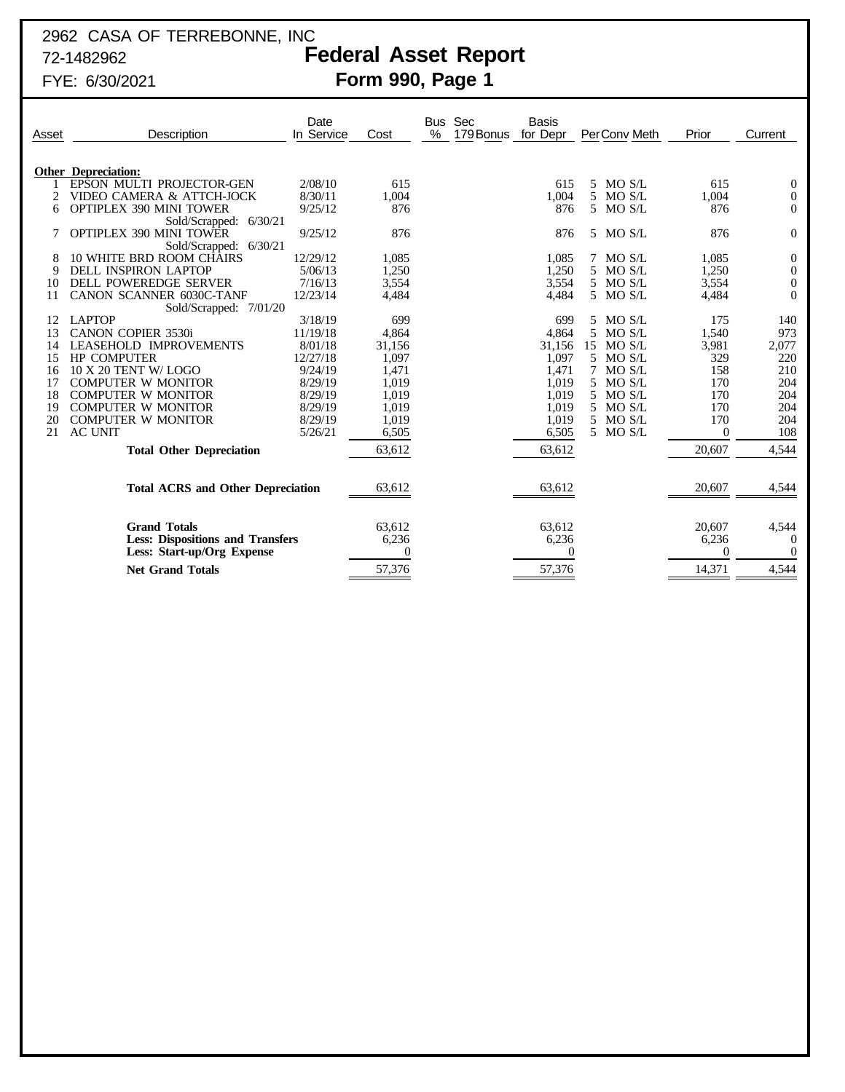# 2962 CASA OF TERREBONNE, INC

# 72-1482962 **Federal Asset Report**

FYE: 6/30/2021 **Form 990, Page 1**

| Asset | Description                                               | Date<br>In Service | Cost     | <b>Bus</b><br>% | Sec<br>179 Bonus | <b>Basis</b><br>for Depr |    | PerConv Meth | Prior        | Current          |
|-------|-----------------------------------------------------------|--------------------|----------|-----------------|------------------|--------------------------|----|--------------|--------------|------------------|
|       | <b>Other Depreciation:</b>                                |                    |          |                 |                  |                          |    |              |              |                  |
|       | EPSON MULTI PROJECTOR-GEN                                 | 2/08/10            | 615      |                 |                  | 615                      |    | 5 MO S/L     | 615          | $\theta$         |
|       | VIDEO CAMERA & ATTCH-JOCK                                 | 8/30/11            | 1,004    |                 |                  | 1,004                    |    | 5 MO S/L     | 1,004        | $\boldsymbol{0}$ |
| 6     | <b>OPTIPLEX 390 MINI TOWER</b>                            | 9/25/12            | 876      |                 |                  | 876                      |    | 5 MO S/L     | 876          | $\theta$         |
|       | Sold/Scrapped: 6/30/21                                    |                    |          |                 |                  |                          |    |              |              |                  |
|       | <b>OPTIPLEX 390 MINI TOWER</b>                            | 9/25/12            | 876      |                 |                  | 876                      |    | 5 MO S/L     | 876          | $\theta$         |
| 8     | Sold/Scrapped: 6/30/21<br><b>10 WHITE BRD ROOM CHAIRS</b> | 12/29/12           | 1,085    |                 |                  | 1,085                    |    | 7 MO S/L     | 1,085        | $\theta$         |
| 9     | <b>DELL INSPIRON LAPTOP</b>                               | 5/06/13            | 1,250    |                 |                  | 1,250                    |    | 5 MO S/L     | 1,250        | $\mathbf{0}$     |
| 10    | <b>DELL POWEREDGE SERVER</b>                              | 7/16/13            | 3,554    |                 |                  | 3,554                    |    | 5 MO S/L     | 3,554        | $\theta$         |
|       | CANON SCANNER 6030C-TANF                                  | 12/23/14           | 4,484    |                 |                  | 4,484                    |    | 5 MO S/L     | 4,484        | $\theta$         |
|       | Sold/Scrapped: 7/01/20                                    |                    |          |                 |                  |                          |    |              |              |                  |
|       | <b>LAPTOP</b>                                             | 3/18/19            | 699      |                 |                  | 699                      |    | 5 MO S/L     | 175          | 140              |
| 13    | <b>CANON COPIER 3530i</b>                                 | 11/19/18           | 4,864    |                 |                  | 4,864                    |    | 5 MO S/L     | 1,540        | 973              |
|       | LEASEHOLD IMPROVEMENTS                                    | 8/01/18            | 31,156   |                 |                  | 31,156                   | 15 | MO S/L       | 3,981        | 2,077            |
| 15    | <b>HP COMPUTER</b>                                        | 12/27/18           | 1,097    |                 |                  | 1,097                    |    | 5 MO S/L     | 329          | 220              |
| 16    | 10 X 20 TENT W/LOGO                                       | 9/24/19            | 1,471    |                 |                  | 1,471                    |    | MO S/L       | 158          | 210              |
|       | <b>COMPUTER W MONITOR</b>                                 | 8/29/19            | 1,019    |                 |                  | 1,019                    | .5 | MO S/L       | 170          | 204              |
| 18    | <b>COMPUTER W MONITOR</b>                                 | 8/29/19            | 1,019    |                 |                  | 1.019                    | 5. | MO S/L       | 170          | 204              |
| 19    | <b>COMPUTER W MONITOR</b>                                 | 8/29/19            | 1,019    |                 |                  | 1,019                    | 5. | MO S/L       | 170          | 204              |
| 20    | <b>COMPUTER W MONITOR</b>                                 | 8/29/19            | 1,019    |                 |                  | 1,019                    | 5  | MO S/L       | 170          | 204              |
| 21    | <b>AC UNIT</b>                                            | 5/26/21            | 6,505    |                 |                  | 6,505                    |    | 5 MO S/L     | $\mathbf{0}$ | 108              |
|       | <b>Total Other Depreciation</b>                           |                    | 63,612   |                 |                  | 63,612                   |    |              | 20,607       | 4,544            |
|       | <b>Total ACRS and Other Depreciation</b>                  |                    | 63.612   |                 |                  | 63,612                   |    |              | 20,607       | 4,544            |
|       |                                                           |                    |          |                 |                  |                          |    |              |              |                  |
|       | <b>Grand Totals</b>                                       |                    | 63,612   |                 |                  | 63,612                   |    |              | 20,607       | 4,544            |
|       | <b>Less: Dispositions and Transfers</b>                   |                    | 6,236    |                 |                  | 6,236                    |    |              | 6,236        | $\theta$         |
|       | Less: Start-up/Org Expense                                |                    | $\theta$ |                 |                  | $\Omega$                 |    |              | $\Omega$     | $\Omega$         |
|       | <b>Net Grand Totals</b>                                   |                    | 57,376   |                 |                  | 57,376                   |    |              | 14,371       | 4,544            |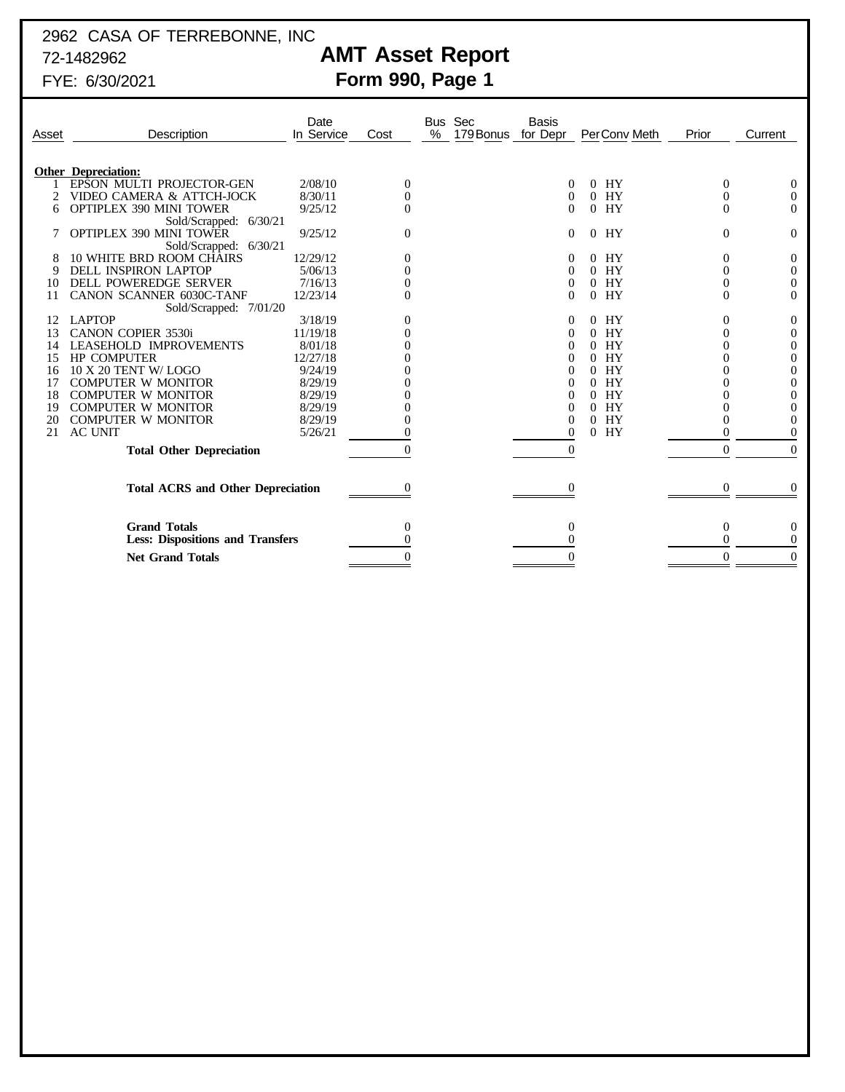# 2962 CASA OF TERREBONNE, INC

# 72-1482962 **AMT Asset Report**

FYE: 6/30/2021 **Form 990, Page 1**

| Asset                                    | Description                                                    | Date<br>In Service | Cost           | % | Bus Sec<br>179 Bonus | <b>Basis</b><br>for Depr |                | PerConv Meth | Prior        | Current              |
|------------------------------------------|----------------------------------------------------------------|--------------------|----------------|---|----------------------|--------------------------|----------------|--------------|--------------|----------------------|
|                                          | <b>Other Depreciation:</b>                                     |                    |                |   |                      |                          |                |              |              |                      |
|                                          | EPSON MULTI PROJECTOR-GEN                                      | 2/08/10            | 0              |   |                      | 0                        | $\overline{0}$ | HY           | $\theta$     | $\boldsymbol{0}$     |
|                                          | VIDEO CAMERA & ATTCH-JOCK                                      | 8/30/11            | $\overline{0}$ |   |                      | $\theta$                 | $\Omega$       | HY           | 0            | $\boldsymbol{0}$     |
| 6                                        | <b>OPTIPLEX 390 MINI TOWER</b>                                 | 9/25/12            | $\overline{0}$ |   |                      | $\left($                 |                | $0$ HY       | 0            | $\mathbf{0}$         |
|                                          | Sold/Scrapped: 6/30/21                                         |                    |                |   |                      |                          |                |              |              |                      |
|                                          | <b>OPTIPLEX 390 MINI TOWER</b>                                 | 9/25/12            | $\mathbf{0}$   |   |                      | 0                        |                | $0$ HY       | $\mathbf{0}$ | $\mathbf{0}$         |
|                                          | Sold/Scrapped: 6/30/21                                         |                    |                |   |                      |                          |                |              |              |                      |
| 8                                        | <b>10 WHITE BRD ROOM CHAIRS</b>                                | 12/29/12           | 0              |   |                      |                          |                | $0$ HY       | 0            | $\boldsymbol{0}$     |
| 9                                        | <b>DELL INSPIRON LAPTOP</b>                                    | 5/06/13            |                |   |                      | $\theta$                 |                | $0$ HY       | 0            | $\boldsymbol{0}$     |
| 10                                       | <b>DELL POWEREDGE SERVER</b>                                   | 7/16/13            |                |   |                      | $\theta$                 |                | $0$ HY       |              | $\mathbf{0}$         |
| 11                                       | CANON SCANNER 6030C-TANF                                       | 12/23/14           | $\Omega$       |   |                      | 0                        |                | $0$ HY       | 0            | $\Omega$             |
|                                          | Sold/Scrapped: 7/01/20                                         |                    |                |   |                      |                          |                |              |              |                      |
| 12                                       | <b>LAPTOP</b>                                                  | 3/18/19            | $\theta$       |   |                      |                          | 0              | HY           | 0            | $\boldsymbol{0}$     |
| 13                                       | <b>CANON COPIER 3530i</b>                                      | 11/19/18           |                |   |                      |                          |                | $0$ HY       |              | $\boldsymbol{0}$     |
| 14                                       | LEASEHOLD IMPROVEMENTS                                         | 8/01/18            |                |   |                      |                          |                | $0$ HY       |              | $\boldsymbol{0}$     |
| 15                                       | <b>HP COMPUTER</b>                                             | 12/27/18           |                |   |                      |                          | $\Omega$       | HY           |              | $\boldsymbol{0}$     |
| 16                                       | 10 X 20 TENT W/LOGO                                            | 9/24/19            |                |   |                      | $_{0}$                   | 0              | HY           |              | $\boldsymbol{0}$     |
| 17                                       | <b>COMPUTER W MONITOR</b>                                      | 8/29/19            |                |   |                      | 0                        | $\Omega$       | HY           |              | $\boldsymbol{0}$     |
| 18                                       | <b>COMPUTER W MONITOR</b>                                      | 8/29/19            |                |   |                      | 0                        | 0              | HY           |              | $\mathbf{0}$         |
| 19                                       | <b>COMPUTER W MONITOR</b>                                      | 8/29/19            |                |   |                      | 0                        | $\Omega$       | HY           |              | $\boldsymbol{0}$     |
| 20                                       | <b>COMPUTER W MONITOR</b>                                      | 8/29/19            |                |   |                      | 0                        |                | $0$ HY       |              | $\mathbf{0}$         |
| 21                                       | <b>AC UNIT</b>                                                 | 5/26/21            |                |   |                      | 0                        | $\Omega$       | HY           |              | $\mathbf{0}$         |
|                                          | <b>Total Other Depreciation</b>                                |                    | $\theta$       |   |                      | $\Omega$                 |                |              | $\Omega$     | $\Omega$             |
| <b>Total ACRS and Other Depreciation</b> |                                                                |                    | 0              |   |                      | $\theta$                 |                |              | $\theta$     | $\Omega$             |
|                                          | <b>Grand Totals</b><br><b>Less: Dispositions and Transfers</b> |                    | 0              |   |                      | 0                        |                |              | $\theta$     | $\theta$<br>$\Omega$ |
|                                          | <b>Net Grand Totals</b>                                        |                    |                |   |                      |                          |                |              | 0            | $\theta$             |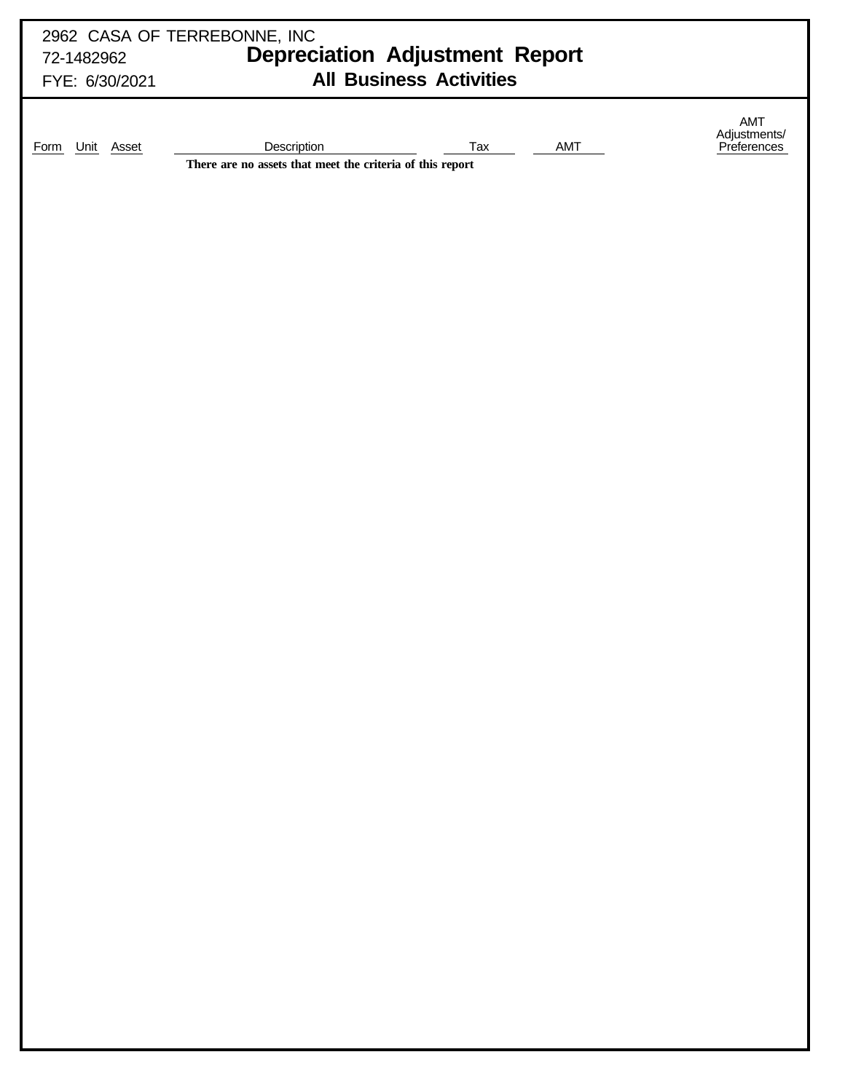| 72-1482962                | 2962 CASA OF TERREBONNE, INC<br><b>Depreciation Adjustment Report</b>                  |                                    |
|---------------------------|----------------------------------------------------------------------------------------|------------------------------------|
| FYE: 6/30/2021            | <b>All Business Activities</b>                                                         |                                    |
| Unit Asset<br><b>Form</b> | Description<br>Tax<br>AMT<br>There are no assets that meet the criteria of this report | AMT<br>Adjustments/<br>Preferences |
|                           |                                                                                        |                                    |
|                           |                                                                                        |                                    |
|                           |                                                                                        |                                    |
|                           |                                                                                        |                                    |
|                           |                                                                                        |                                    |
|                           |                                                                                        |                                    |
|                           |                                                                                        |                                    |
|                           |                                                                                        |                                    |
|                           |                                                                                        |                                    |
|                           |                                                                                        |                                    |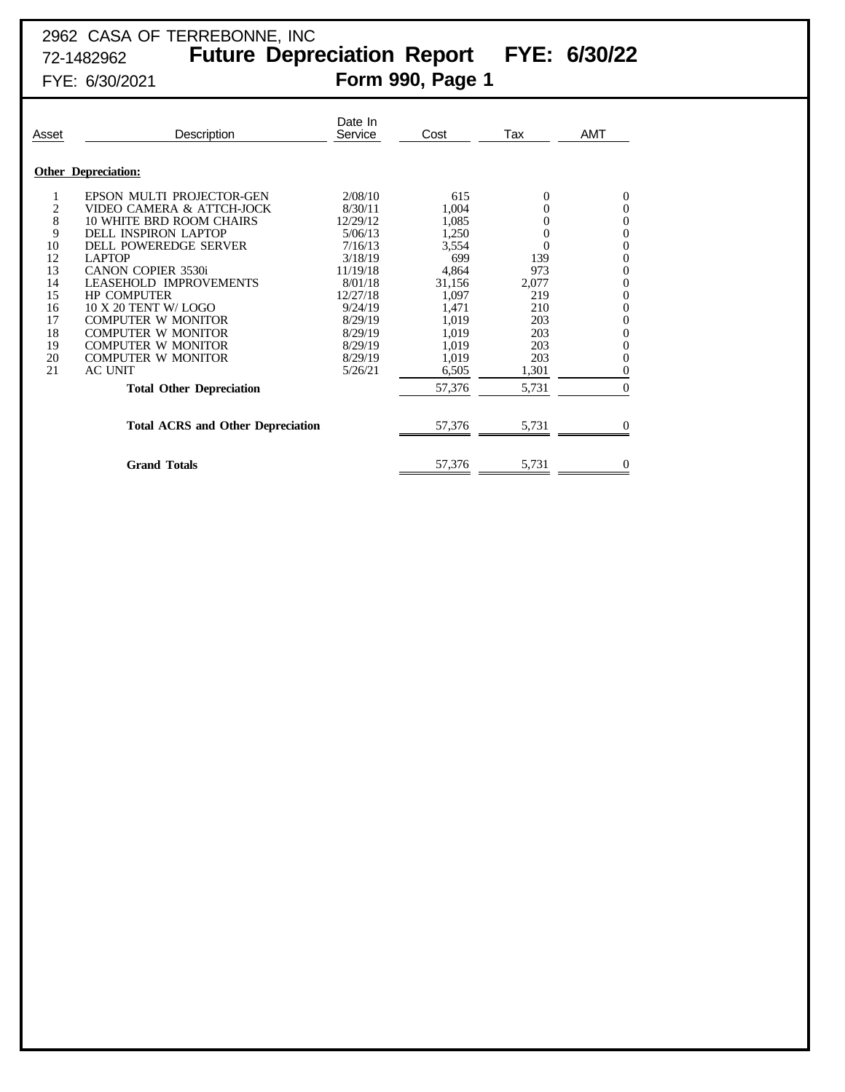## 2962 CASA OF TERREBONNE, INC 72-1482962 **Future Depreciation Report FYE: 6/30/22**

# FYE: 6/30/2021 **Form 990, Page 1**

| Asset                   | Description                              | Date In<br>Service | Cost   | Tax      | AMT              |
|-------------------------|------------------------------------------|--------------------|--------|----------|------------------|
|                         | <b>Other Depreciation:</b>               |                    |        |          |                  |
| 1                       | EPSON MULTI PROJECTOR-GEN                | 2/08/10            | 615    | 0        | $\mathbf 0$      |
| $\overline{\mathbf{c}}$ | VIDEO CAMERA & ATTCH-JOCK                | 8/30/11            | 1,004  | 0        | $\boldsymbol{0}$ |
| 8                       | <b>10 WHITE BRD ROOM CHAIRS</b>          | 12/29/12           | 1,085  | 0        | $\boldsymbol{0}$ |
| 9                       | DELL INSPIRON LAPTOP                     | 5/06/13            | 1,250  | 0        | $\boldsymbol{0}$ |
| 10                      | DELL POWEREDGE SERVER                    | 7/16/13            | 3,554  | $\theta$ | $\boldsymbol{0}$ |
| 12                      | <b>LAPTOP</b>                            | 3/18/19            | 699    | 139      | $\boldsymbol{0}$ |
| 13                      | <b>CANON COPIER 3530i</b>                | 11/19/18           | 4,864  | 973      | $\boldsymbol{0}$ |
| 14                      | LEASEHOLD IMPROVEMENTS                   | 8/01/18            | 31,156 | 2,077    | $\boldsymbol{0}$ |
| 15                      | <b>HP COMPUTER</b>                       | 12/27/18           | 1,097  | 219      | $\boldsymbol{0}$ |
| 16                      | 10 X 20 TENT W/ LOGO                     | 9/24/19            | 1,471  | 210      | $\boldsymbol{0}$ |
| 17                      | <b>COMPUTER W MONITOR</b>                | 8/29/19            | 1,019  | 203      | $\boldsymbol{0}$ |
| 18                      | <b>COMPUTER W MONITOR</b>                | 8/29/19            | 1,019  | 203      | $\mathbf{0}$     |
| 19                      | COMPUTER W MONITOR                       | 8/29/19            | 1,019  | 203      | $\boldsymbol{0}$ |
| 20                      | <b>COMPUTER W MONITOR</b>                | 8/29/19            | 1,019  | 203      | $\overline{0}$   |
| 21                      | <b>AC UNIT</b>                           | 5/26/21            | 6,505  | 1,301    | $\overline{0}$   |
|                         | <b>Total Other Depreciation</b>          |                    | 57,376 | 5,731    | $\overline{0}$   |
|                         | <b>Total ACRS and Other Depreciation</b> |                    | 57,376 | 5,731    | $\Omega$         |
|                         | <b>Grand Totals</b>                      |                    | 57,376 | 5,731    | $\mathbf 0$      |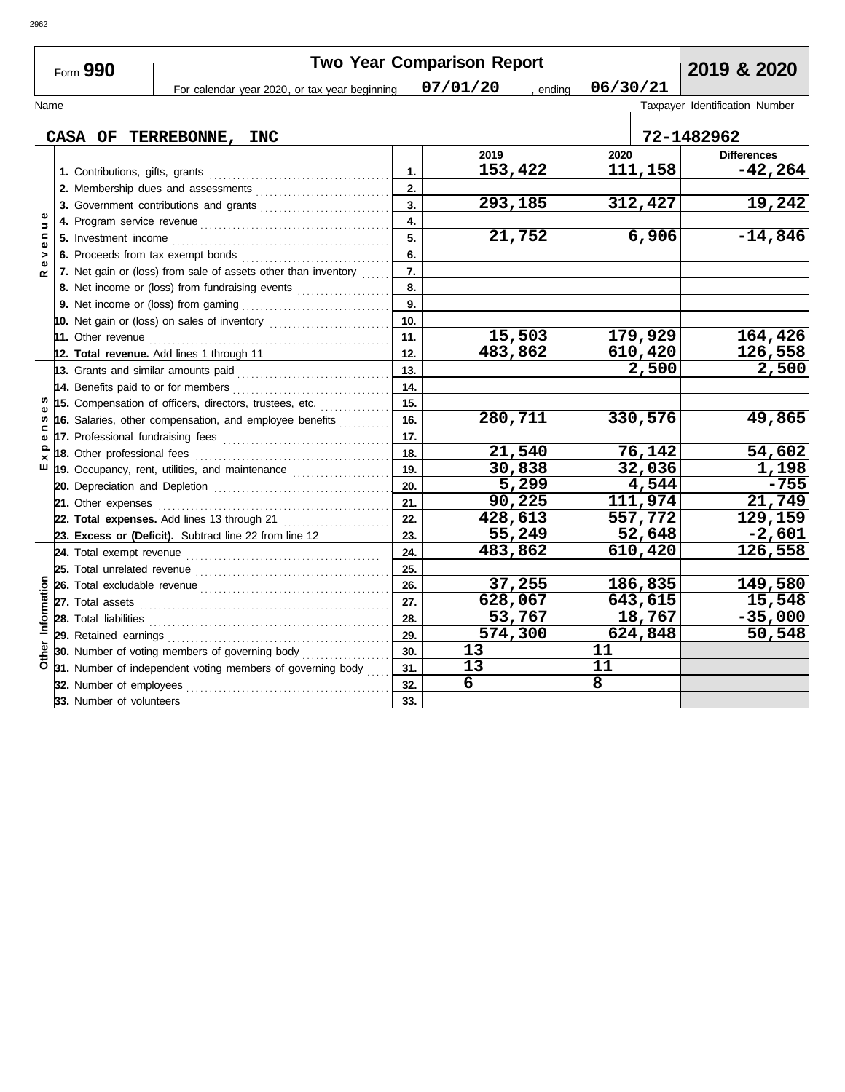|              | Form 990                            |                                                                                                                                                                                                                                      |                  | <b>Two Year Comparison Report</b> |                    | 2019 & 2020                    |
|--------------|-------------------------------------|--------------------------------------------------------------------------------------------------------------------------------------------------------------------------------------------------------------------------------------|------------------|-----------------------------------|--------------------|--------------------------------|
|              |                                     | For calendar year 2020, or tax year beginning                                                                                                                                                                                        |                  | 07/01/20                          | 06/30/21<br>ending |                                |
| Name         |                                     |                                                                                                                                                                                                                                      |                  |                                   |                    | Taxpayer Identification Number |
|              |                                     | CASA OF TERREBONNE, INC                                                                                                                                                                                                              |                  |                                   |                    | 72-1482962                     |
|              |                                     |                                                                                                                                                                                                                                      |                  | 2019                              | 2020               | <b>Differences</b>             |
|              |                                     |                                                                                                                                                                                                                                      | 1.               | 153,422                           | 111,158            | $-42, 264$                     |
|              |                                     | 2. Membership dues and assessments [111] Martin Martin Martin Martin Martin Martin Martin Martin Martin Martin Martin Martin Martin Martin Martin Martin Martin Martin Martin Martin Martin Martin Martin Martin Martin Martin       | 2.               |                                   |                    |                                |
|              |                                     |                                                                                                                                                                                                                                      | 3.               | 293,185                           | 312,427            | 19,242                         |
| Ξ            |                                     |                                                                                                                                                                                                                                      | $\overline{4}$ . |                                   |                    |                                |
| $\mathbf{C}$ | 5. Investment income                |                                                                                                                                                                                                                                      | 5.               | 21,752                            | 6,906              | $-14,846$                      |
| >            | 6. Proceeds from tax exempt bonds   |                                                                                                                                                                                                                                      | 6.               |                                   |                    |                                |
|              |                                     | 7. Net gain or (loss) from sale of assets other than inventory                                                                                                                                                                       | 7.               |                                   |                    |                                |
|              |                                     | 8. Net income or (loss) from fundraising events                                                                                                                                                                                      | 8.               |                                   |                    |                                |
|              |                                     |                                                                                                                                                                                                                                      | 9.               |                                   |                    |                                |
|              |                                     |                                                                                                                                                                                                                                      | 10.              |                                   |                    |                                |
|              |                                     |                                                                                                                                                                                                                                      | 11.              | 15,503                            | 179,929            | 164,426                        |
|              |                                     | 12. Total revenue. Add lines 1 through 11                                                                                                                                                                                            | 12.              | 483,862                           | 610,420            | 126,558                        |
|              | 13. Grants and similar amounts paid |                                                                                                                                                                                                                                      | 13.              |                                   | 2,500              | 2,500                          |
|              | 14. Benefits paid to or for members |                                                                                                                                                                                                                                      | 14.              |                                   |                    |                                |
|              |                                     | 15. Compensation of officers, directors, trustees, etc.                                                                                                                                                                              | 15.              |                                   |                    |                                |
| S            |                                     | 16. Salaries, other compensation, and employee benefits                                                                                                                                                                              | 16.              | 280,711                           | 330,576            | 49,865                         |
|              |                                     |                                                                                                                                                                                                                                      | 17.              |                                   |                    |                                |
| ×            | 18. Other professional fees         |                                                                                                                                                                                                                                      | 18.              | 21,540                            | 76,142             | 54,602                         |
| ш            |                                     | 19. Occupancy, rent, utilities, and maintenance <i>maintenance</i>                                                                                                                                                                   | 19.              | 30,838                            | 32,036             | 1,198                          |
|              |                                     |                                                                                                                                                                                                                                      | 20.              | 5,299                             | 4,544              | $-755$                         |
|              |                                     |                                                                                                                                                                                                                                      | 21.              | 90,225                            | 111,974            | 21,749                         |
|              |                                     | 22. Total expenses. Add lines 13 through 21                                                                                                                                                                                          | 22.              | 428,613                           | 557,772            | 129,159                        |
|              |                                     | 23. Excess or (Deficit). Subtract line 22 from line 12                                                                                                                                                                               | 23.              | 55,249                            | 52,648             | $-2,601$                       |
|              |                                     |                                                                                                                                                                                                                                      | 24.              | 483,862                           | 610,420            | 126,558                        |
|              |                                     |                                                                                                                                                                                                                                      | 25.              |                                   |                    |                                |
|              |                                     |                                                                                                                                                                                                                                      | 26.              | 37,255                            | 186,835            | 149,580                        |
|              |                                     |                                                                                                                                                                                                                                      | 27.              | 628,067                           | 643,615            | 15,548                         |
| Information  |                                     | 28. Total liabilities <b>constant in the set of the set of the set of the set of the set of the set of the set of the set of the set of the set of the set of the set of the set of the set of the set of the set of the set of </b> | 28.              | 53,767                            | 18,767             | $-35,000$                      |
|              |                                     |                                                                                                                                                                                                                                      | 29.              | 574,300                           | 624,848            | 50,548                         |
|              |                                     | 30. Number of voting members of governing body                                                                                                                                                                                       | 30.              | 13                                | 11                 |                                |
|              |                                     | 31. Number of independent voting members of governing body                                                                                                                                                                           | 31.              | 13                                | 11                 |                                |
|              | 32. Number of employees             |                                                                                                                                                                                                                                      | 32.              | 6                                 | 8                  |                                |
|              | 33. Number of volunteers            |                                                                                                                                                                                                                                      | 33.              |                                   |                    |                                |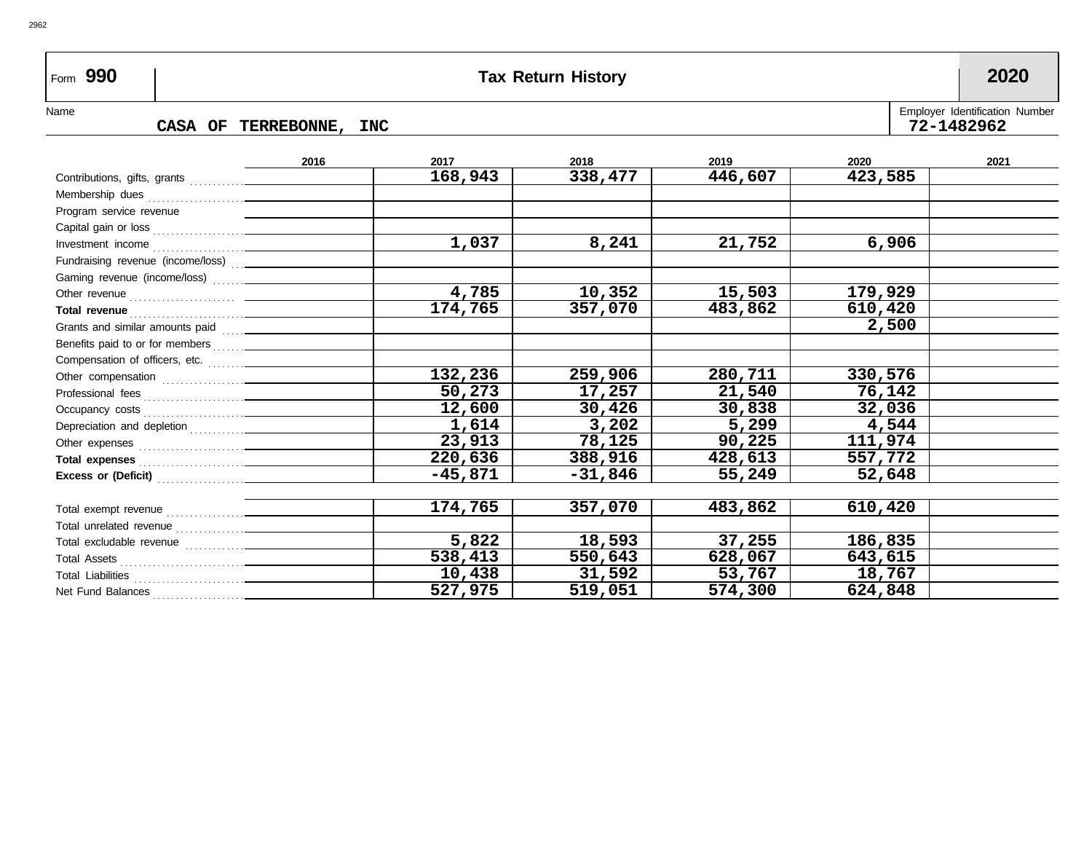## Form **990 Tax Return History 2020**

2962

## CASA OF TERREBONNE, INC

Name CASA OF TERREBONNE, INC

|                                                                                                                                                                                                                                      | 2016 | 2017      | 2018      | 2019    | 2020    | 2021 |
|--------------------------------------------------------------------------------------------------------------------------------------------------------------------------------------------------------------------------------------|------|-----------|-----------|---------|---------|------|
|                                                                                                                                                                                                                                      |      | 168,943   | 338,477   | 446,607 | 423,585 |      |
|                                                                                                                                                                                                                                      |      |           |           |         |         |      |
| Program service revenue                                                                                                                                                                                                              |      |           |           |         |         |      |
|                                                                                                                                                                                                                                      |      |           |           |         |         |      |
|                                                                                                                                                                                                                                      |      | 1,037     | 8,241     | 21,752  | 6,906   |      |
| Fundraising revenue (income/loss)  _________                                                                                                                                                                                         |      |           |           |         |         |      |
|                                                                                                                                                                                                                                      |      |           |           |         |         |      |
|                                                                                                                                                                                                                                      |      | 4,785     | 10,352    | 15,503  | 179,929 |      |
| Total revenue <b>contract and the contract of the contract of the contract of the contract of the contract of the contract of the contract of the contract of the contract of the contract of the contract of the contract of th</b> |      | 174,765   | 357,070   | 483,862 | 610,420 |      |
|                                                                                                                                                                                                                                      |      |           |           |         | 2,500   |      |
|                                                                                                                                                                                                                                      |      |           |           |         |         |      |
|                                                                                                                                                                                                                                      |      |           |           |         |         |      |
|                                                                                                                                                                                                                                      |      | 132,236   | 259,906   | 280,711 | 330,576 |      |
|                                                                                                                                                                                                                                      |      | 50,273    | 17,257    | 21,540  | 76,142  |      |
|                                                                                                                                                                                                                                      |      | 12,600    | 30,426    | 30,838  | 32,036  |      |
| Depreciation and depletion [11] [11] Depreciation and depletion                                                                                                                                                                      |      | 1,614     | 3,202     | 5,299   | 4,544   |      |
|                                                                                                                                                                                                                                      |      | 23,913    | 78,125    | 90,225  | 111,974 |      |
| Total expenses <b>contained</b> and a series of the series of the series of the series of the series of the series of the series of the series of the series of the series of the series of the series of the series of the series   |      | 220,636   | 388,916   | 428,613 | 557,772 |      |
| Excess or (Deficit) Material Contract Property Contract Property Contract Property Contract Property Contract Property Contract Property Contract Property Contract Property Contract Property Contract Property Contract Prop       |      | $-45,871$ | $-31,846$ | 55,249  | 52,648  |      |
|                                                                                                                                                                                                                                      |      |           |           |         |         |      |
|                                                                                                                                                                                                                                      |      | 174,765   | 357,070   | 483,862 | 610,420 |      |
|                                                                                                                                                                                                                                      |      |           |           |         |         |      |
|                                                                                                                                                                                                                                      |      | 5,822     | 18,593    | 37,255  | 186,835 |      |
|                                                                                                                                                                                                                                      |      | 538,413   | 550,643   | 628,067 | 643,615 |      |
|                                                                                                                                                                                                                                      |      | 10,438    | 31,592    | 53,767  | 18,767  |      |
|                                                                                                                                                                                                                                      |      | 527,975   | 519,051   | 574,300 | 624,848 |      |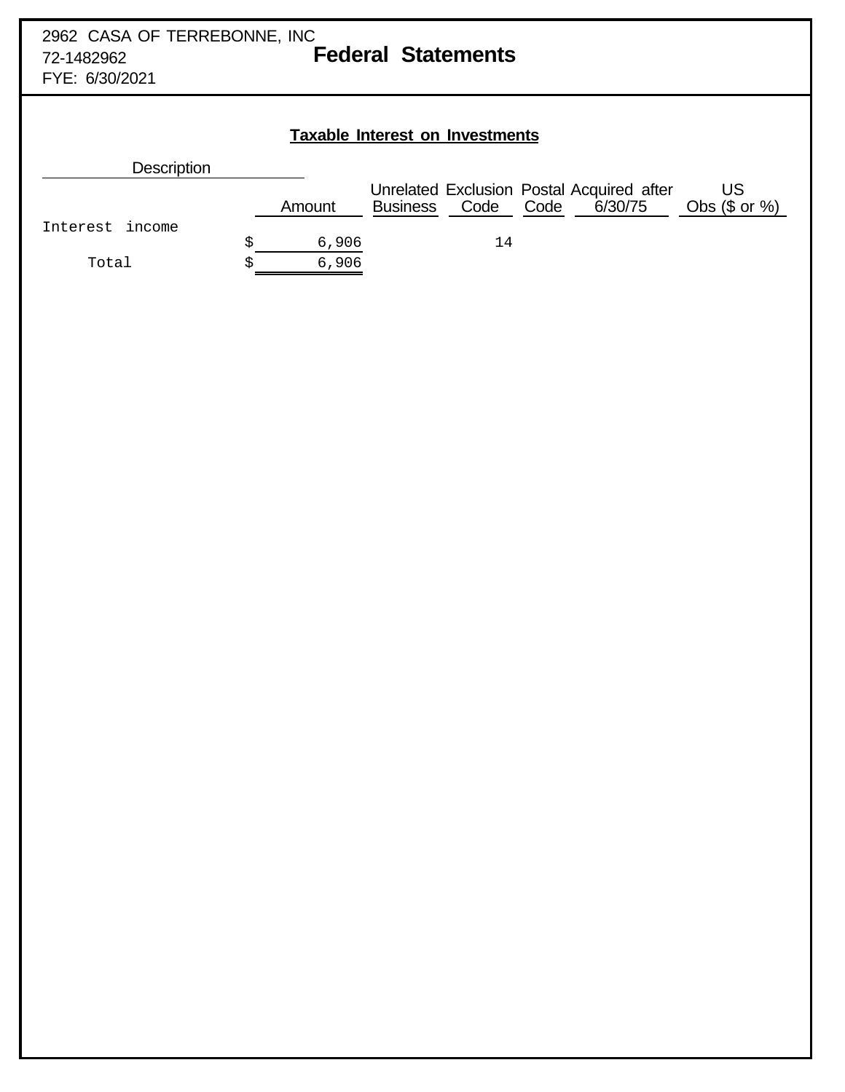## **Taxable Interest on Investments**

| <b>Description</b> |        |                 |           |                                                      |                        |
|--------------------|--------|-----------------|-----------|------------------------------------------------------|------------------------|
|                    | Amount | <b>Business</b> | Code Code | Unrelated Exclusion Postal Acquired after<br>6/30/75 | US<br>Obs $(\$$ or $%$ |
| Interest income    |        |                 |           |                                                      |                        |
|                    | 6,906  |                 | 14        |                                                      |                        |
| Total              | 6,906  |                 |           |                                                      |                        |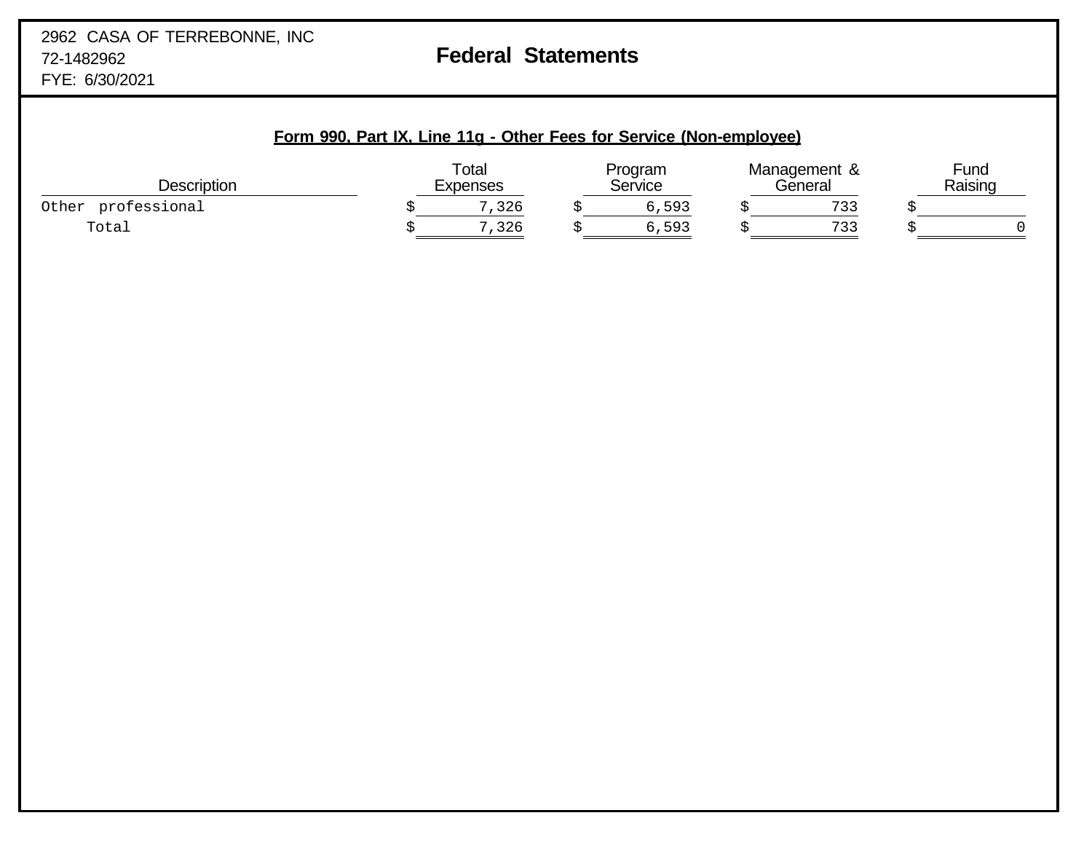## **Form 990, Part IX, Line 11g - Other Fees for Service (Non-employee)**

| <b>Description</b>    | Total<br><b>Expenses</b> | Program<br>Service | Management &<br>'Seneral | Fund<br>Raising |
|-----------------------|--------------------------|--------------------|--------------------------|-----------------|
| professional<br>Other | −<br>326                 | 5,593              | 722<br>ب ب               |                 |
| Total                 | 326                      | 6,593              | コココ<br>ب ب               |                 |